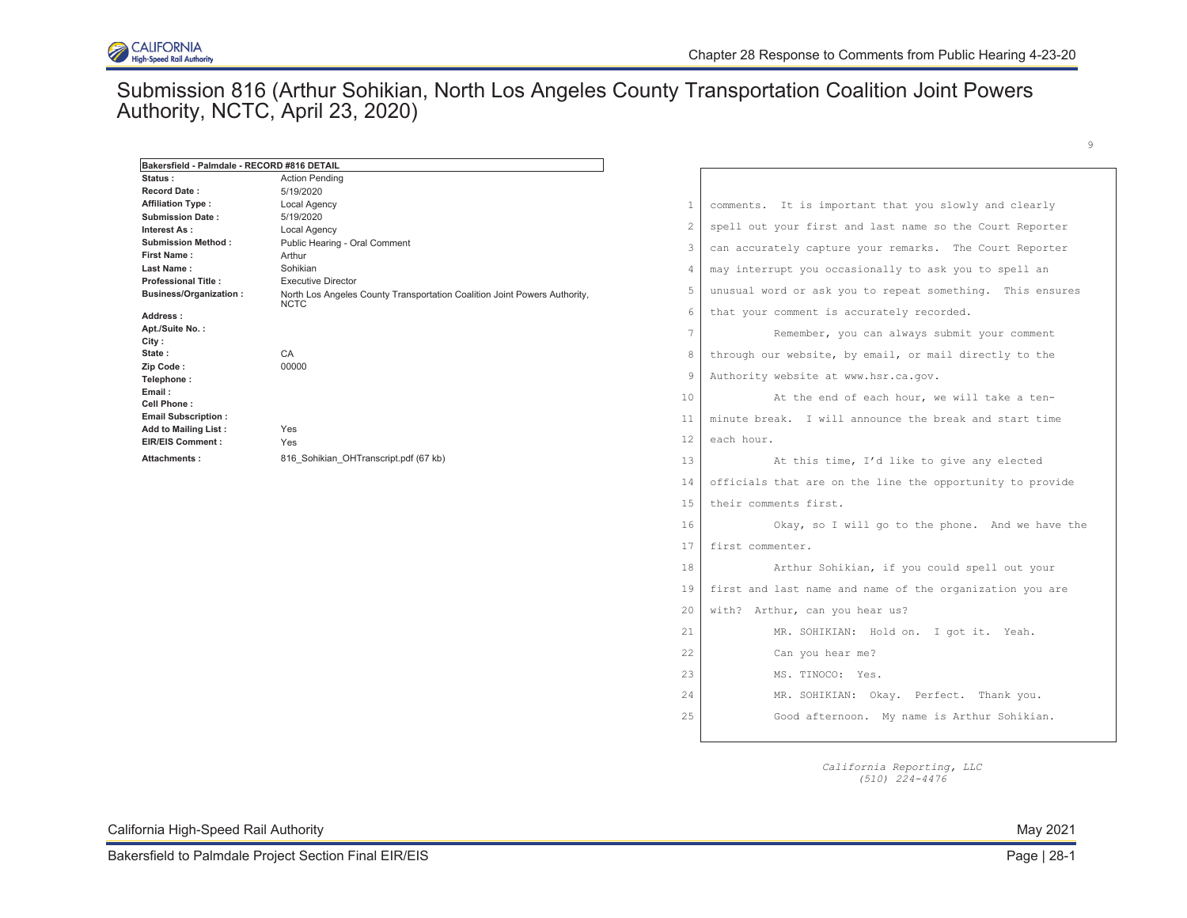### Submission 816 (Arthur Sohikian, North Los Angeles County Transportation Coalition Joint Powers Authority, NCTC, April 23, 2020)

| Bakersfield - Palmdale - RECORD #816 DETAIL         |                                                                                          |                |                                                           |
|-----------------------------------------------------|------------------------------------------------------------------------------------------|----------------|-----------------------------------------------------------|
| Status :                                            | <b>Action Pending</b>                                                                    |                |                                                           |
| <b>Record Date:</b>                                 | 5/19/2020                                                                                |                |                                                           |
| <b>Affiliation Type:</b><br><b>Submission Date:</b> | Local Agency<br>5/19/2020                                                                | 1              | comments. It is important that you slowly and clearly     |
| Interest As :                                       | Local Agency                                                                             | 2              | spell out your first and last name so the Court Reporter  |
| <b>Submission Method:</b>                           | Public Hearing - Oral Comment                                                            |                |                                                           |
| <b>First Name:</b>                                  | Arthur                                                                                   | 3              | can accurately capture your remarks. The Court Reporter   |
| <b>Last Name :</b>                                  | Sohikian                                                                                 | $\overline{4}$ | may interrupt you occasionally to ask you to spell an     |
| <b>Professional Title:</b>                          | <b>Executive Director</b>                                                                | 5              |                                                           |
| <b>Business/Organization:</b>                       | North Los Angeles County Transportation Coalition Joint Powers Authority,<br><b>NCTC</b> |                | unusual word or ask you to repeat something. This ensures |
| Address :                                           |                                                                                          | 6              | that your comment is accurately recorded.                 |
| Apt./Suite No.:                                     |                                                                                          | 7              | Remember, you can always submit your comment              |
| City :<br>State :                                   | CA                                                                                       | 8              | through our website, by email, or mail directly to the    |
| Zip Code:                                           | 00000                                                                                    |                |                                                           |
| Telephone:                                          |                                                                                          | $\overline{9}$ | Authority website at www.hsr.ca.gov.                      |
| Email :<br>Cell Phone :                             |                                                                                          | 10             | At the end of each hour, we will take a ten-              |
| <b>Email Subscription:</b>                          |                                                                                          | 11             | minute break. I will announce the break and start time    |
| Add to Mailing List:<br>EIR/EIS Comment :           | Yes<br>Yes                                                                               | 12             | each hour.                                                |
| Attachments :                                       | 816 Sohikian OHTranscript.pdf (67 kb)                                                    | 13             | At this time, I'd like to give any elected                |
|                                                     |                                                                                          | 14             | officials that are on the line the opportunity to provide |
|                                                     |                                                                                          | 15             | their comments first.                                     |
|                                                     |                                                                                          | 16             | Okay, so I will go to the phone. And we have the          |
|                                                     |                                                                                          | 17             | first commenter.                                          |
|                                                     |                                                                                          | 18             | Arthur Sohikian, if you could spell out your              |
|                                                     |                                                                                          | 19             | first and last name and name of the organization you are  |
|                                                     |                                                                                          | 20             | with? Arthur, can you hear us?                            |
|                                                     |                                                                                          | 21             | MR. SOHIKIAN: Hold on. I got it. Yeah.                    |
|                                                     |                                                                                          | 22             | Can you hear me?                                          |
|                                                     |                                                                                          | 23             | MS. TINOCO: Yes.                                          |
|                                                     |                                                                                          | 24             | MR. SOHIKIAN: Okay. Perfect. Thank you.                   |
|                                                     |                                                                                          | 25             | Good afternoon. My name is Arthur Sohikian.               |
|                                                     |                                                                                          |                |                                                           |
|                                                     |                                                                                          |                |                                                           |

*California Reporting, LLC (510) 224-4476* 

California High-Speed Rail Authority **May 2021** Nav 2021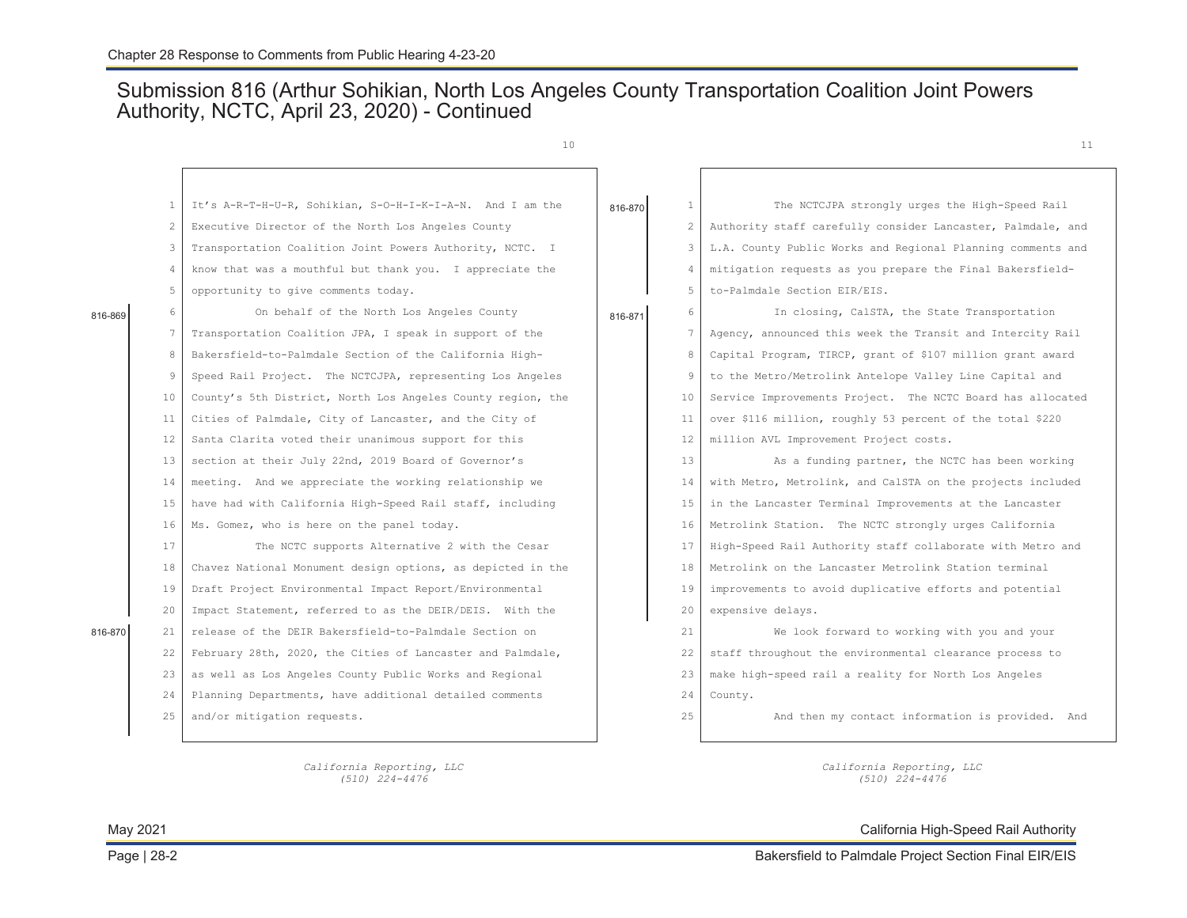### Submission 816 (Arthur Sohikian, North Los Angeles County Transportation Coalition Joint Powers Authority, NCTC, April 23, 2020) - Continued

|         |                | 10                                                          |         |                   | 11                                                          |
|---------|----------------|-------------------------------------------------------------|---------|-------------------|-------------------------------------------------------------|
|         |                |                                                             |         |                   |                                                             |
|         |                | It's A-R-T-H-U-R, Sohikian, S-O-H-I-K-I-A-N. And I am the   | 816-870 | $\mathbf{1}$      | The NCTCJPA strongly urges the High-Speed Rail              |
|         | 2              | Executive Director of the North Los Angeles County          |         | 2                 | Authority staff carefully consider Lancaster, Palmdale, and |
|         |                | Transportation Coalition Joint Powers Authority, NCTC. I    |         | 3                 | L.A. County Public Works and Regional Planning comments and |
|         | $\Delta$       | know that was a mouthful but thank you. I appreciate the    |         | $\overline{4}$    | mitigation requests as you prepare the Final Bakersfield-   |
|         | $\overline{5}$ | opportunity to give comments today.                         |         | 5                 | to-Palmdale Section EIR/EIS.                                |
| 816-869 | 6              | On behalf of the North Los Angeles County                   | 816-871 | 6                 | In closing, CalSTA, the State Transportation                |
|         | 7              | Transportation Coalition JPA, I speak in support of the     |         | 7                 | Agency, announced this week the Transit and Intercity Rail  |
|         | 8              | Bakersfield-to-Palmdale Section of the California High-     |         | 8                 | Capital Program, TIRCP, grant of \$107 million grant award  |
|         | 9              | Speed Rail Project. The NCTCJPA, representing Los Angeles   |         | 9                 | to the Metro/Metrolink Antelope Valley Line Capital and     |
|         | 10             | County's 5th District, North Los Angeles County region, the |         | 10                | Service Improvements Project. The NCTC Board has allocated  |
|         | 11             | Cities of Palmdale, City of Lancaster, and the City of      |         | 11                | over \$116 million, roughly 53 percent of the total \$220   |
|         | 12             | Santa Clarita voted their unanimous support for this        |         | $12 \overline{ }$ | million AVL Improvement Project costs.                      |
|         | 13             | section at their July 22nd, 2019 Board of Governor's        |         | 13                | As a funding partner, the NCTC has been working             |
|         | 14             | meeting. And we appreciate the working relationship we      |         | 14                | with Metro, Metrolink, and CalSTA on the projects included  |
|         | 15             | have had with California High-Speed Rail staff, including   |         | 15                | in the Lancaster Terminal Improvements at the Lancaster     |
|         | 16             | Ms. Gomez, who is here on the panel today.                  |         | 16                | Metrolink Station. The NCTC strongly urges California       |
|         | 17             | The NCTC supports Alternative 2 with the Cesar              |         | 17                | High-Speed Rail Authority staff collaborate with Metro and  |
|         | 18             | Chavez National Monument design options, as depicted in the |         | 18                | Metrolink on the Lancaster Metrolink Station terminal       |
|         | 19             | Draft Project Environmental Impact Report/Environmental     |         | 19                | improvements to avoid duplicative efforts and potential     |
|         | 20             | Impact Statement, referred to as the DEIR/DEIS. With the    |         | 20                | expensive delays.                                           |
| 816-870 | 21             | release of the DEIR Bakersfield-to-Palmdale Section on      |         | 21                | We look forward to working with you and your                |
|         | 22             | February 28th, 2020, the Cities of Lancaster and Palmdale,  |         | 22                | staff throughout the environmental clearance process to     |
|         | 23             | as well as Los Angeles County Public Works and Regional     |         | 23                | make high-speed rail a reality for North Los Angeles        |
|         | 24             | Planning Departments, have additional detailed comments     |         | 24                | County.                                                     |
|         | 25             | and/or mitigation requests.                                 |         | 25                | And then my contact information is provided. And            |
|         |                |                                                             |         |                   |                                                             |

*California Reporting, LLC California Reporting, LLC (510) 224-4476 (510) 224-4476* 

May 2021 California High-Speed Rail Authority

816-870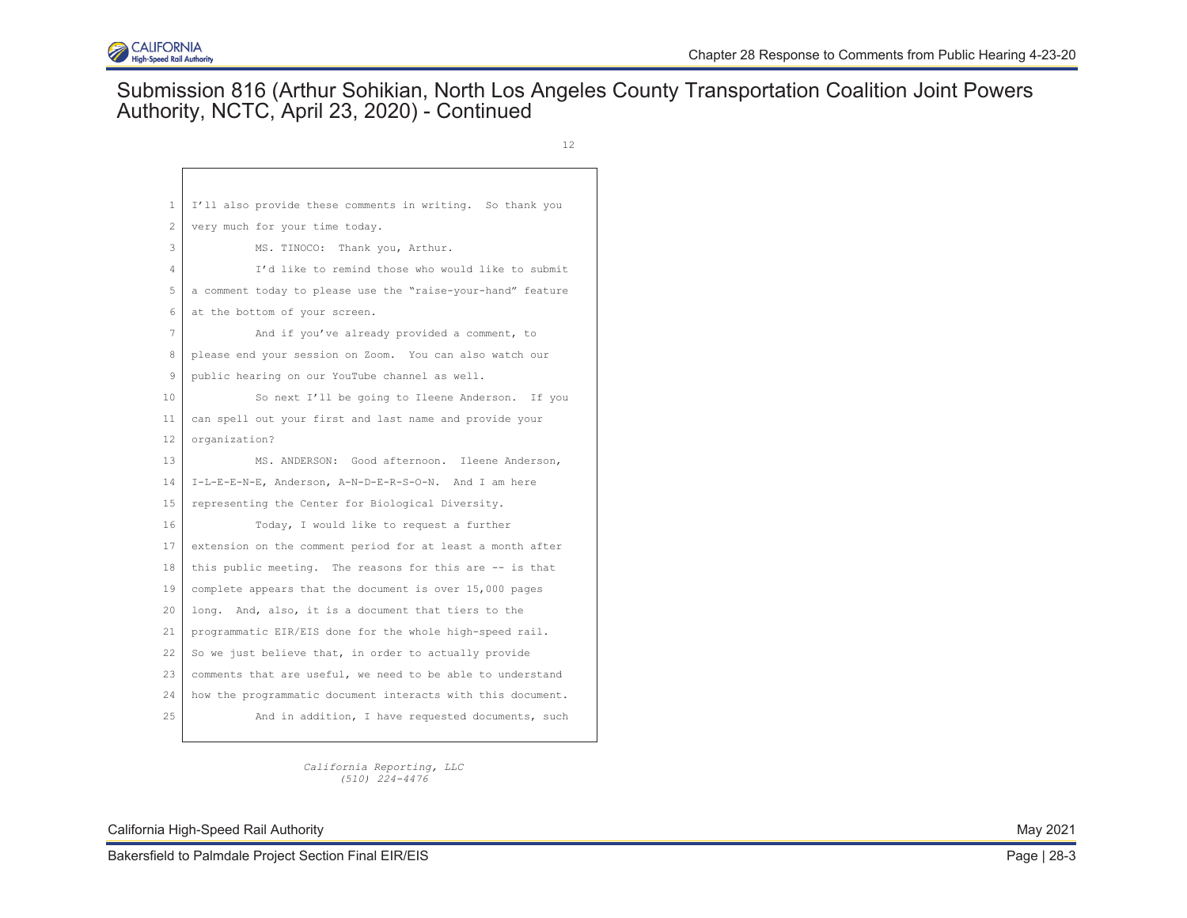

### Submission 816 (Arthur Sohikian, North Los Angeles County Transportation Coalition Joint Powers Authority, NCTC, April 23, 2020) - Continued

12

| 1  | I'll also provide these comments in writing. So thank you   |
|----|-------------------------------------------------------------|
| 2  | very much for your time today.                              |
| 3  | MS. TINOCO: Thank you, Arthur.                              |
| 4  | I'd like to remind those who would like to submit           |
| 5  | a comment today to please use the "raise-your-hand" feature |
| 6  | at the bottom of your screen.                               |
| 7  | And if you've already provided a comment, to                |
| 8  | please end your session on Zoom. You can also watch our     |
| 9  | public hearing on our YouTube channel as well.              |
| 10 | So next I'll be going to Ileene Anderson. If you            |
| 11 | can spell out your first and last name and provide your     |
| 12 | organization?                                               |
| 13 | MS. ANDERSON: Good afternoon. Ileene Anderson,              |
| 14 | I-L-E-E-N-E, Anderson, A-N-D-E-R-S-O-N. And I am here       |
| 15 | representing the Center for Biological Diversity.           |
| 16 | Today, I would like to request a further                    |
| 17 | extension on the comment period for at least a month after  |
| 18 | this public meeting. The reasons for this are -- is that    |
| 19 | complete appears that the document is over 15,000 pages     |
| 20 | long. And, also, it is a document that tiers to the         |
| 21 | programmatic EIR/EIS done for the whole high-speed rail.    |
| 22 | So we just believe that, in order to actually provide       |
| 23 | comments that are useful, we need to be able to understand  |
| 24 | how the programmatic document interacts with this document. |
| 25 | And in addition, I have requested documents, such           |
|    |                                                             |

*California Reporting, LLC (510) 224-4476* 

California High-Speed Rail Authority **May 2021** Nav 2021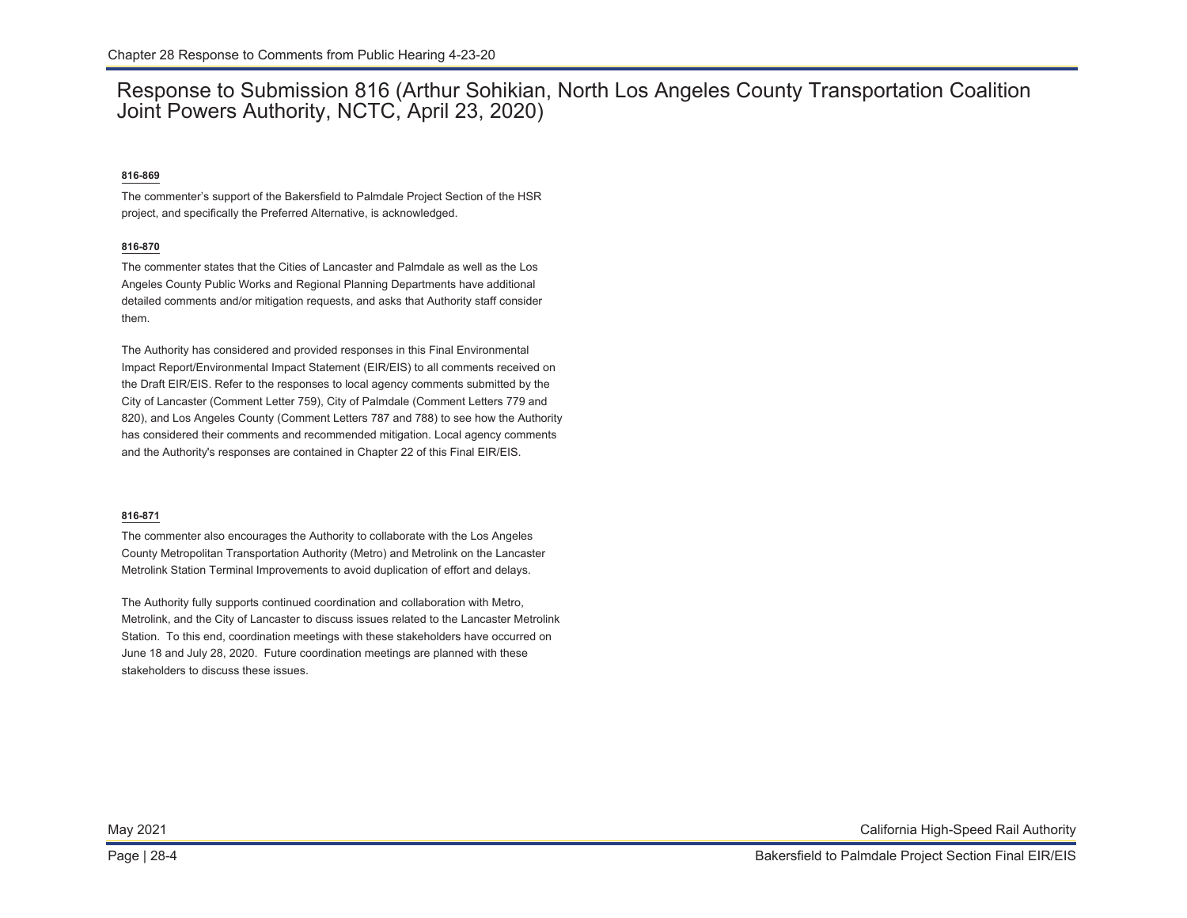### Response to Submission 816 (Arthur Sohikian, North Los Angeles County Transportation Coalition Joint Powers Authority, NCTC, April 23, 2020)

### **816-869**

The commenter's support of the Bakersfield to Palmdale Project Section of the HSR project, and specifically the Preferred Alternative, is acknowledged.

### **816-870**

The commenter states that the Cities of Lancaster and Palmdale as well as the Los Angeles County Public Works and Regional Planning Departments have additional detailed comments and/or mitigation requests, and asks that Authority staff consider them.

The Authority has considered and provided responses in this Final Environmental Impact Report/Environmental Impact Statement (EIR/EIS) to all comments received on the Draft EIR/EIS. Refer to the responses to local agency comments submitted by the City of Lancaster (Comment Letter 759), City of Palmdale (Comment Letters 779 and 820), and Los Angeles County (Comment Letters 787 and 788) to see how the Authority has considered their comments and recommended mitigation. Local agency comments and the Authority's responses are contained in Chapter 22 of this Final EIR/EIS.

#### **816-871**

The commenter also encourages the Authority to collaborate with the Los Angeles County Metropolitan Transportation Authority (Metro) and Metrolink on the Lancaster Metrolink Station Terminal Improvements to avoid duplication of effort and delays.

The Authority fully supports continued coordination and collaboration with Metro, Metrolink, and the City of Lancaster to discuss issues related to the Lancaster Metrolink Station. To this end, coordination meetings with these stakeholders have occurred on June 18 and July 28, 2020. Future coordination meetings are planned with these stakeholders to discuss these issues.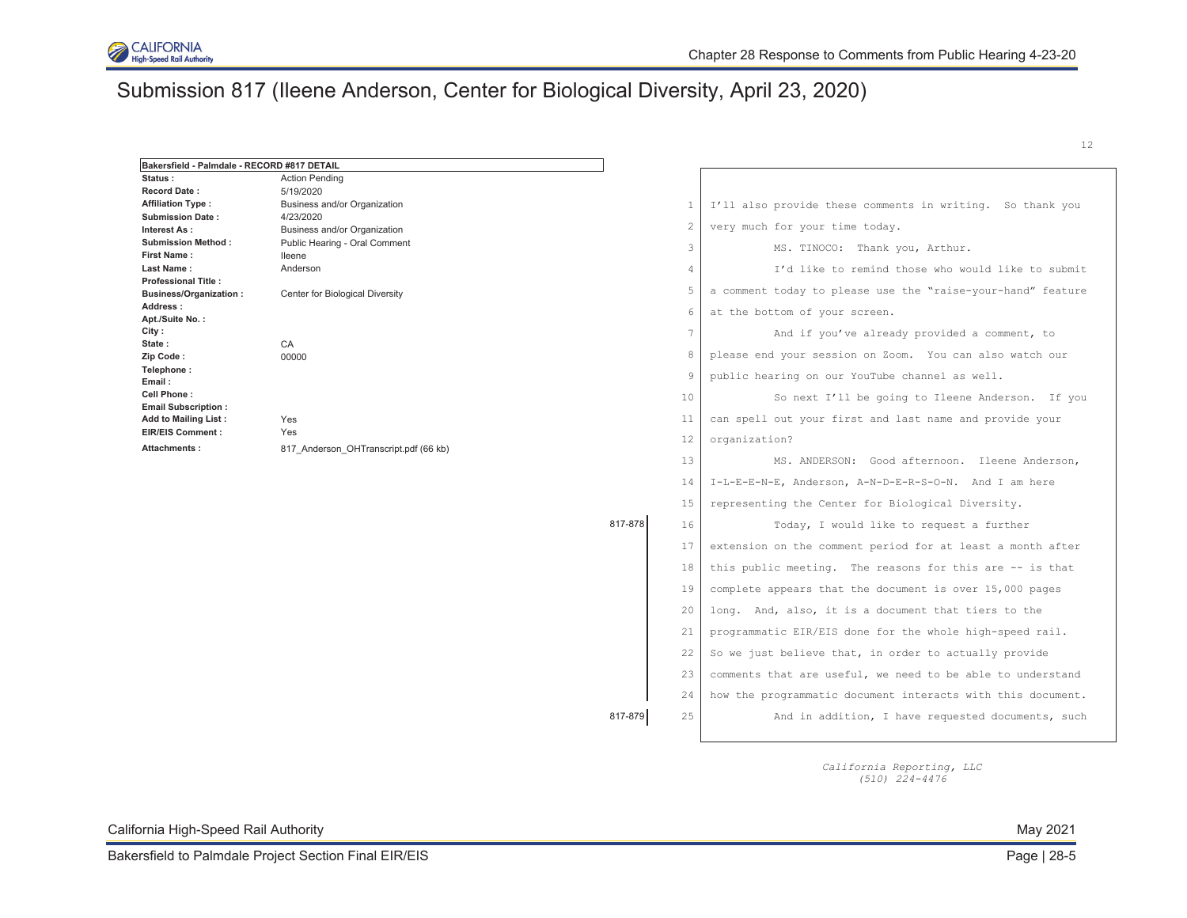

# Submission 817 (Ileene Anderson, Center for Biological Diversity, April 23, 2020)

| Bakersfield - Palmdale - RECORD #817 DETAIL |                                                               |         |                |                                                             |
|---------------------------------------------|---------------------------------------------------------------|---------|----------------|-------------------------------------------------------------|
| Status:                                     | <b>Action Pending</b>                                         |         |                |                                                             |
| <b>Record Date:</b>                         | 5/19/2020                                                     |         |                |                                                             |
| <b>Affiliation Type:</b>                    | Business and/or Organization                                  |         | $\overline{1}$ | I'll also provide these comments in writing. So thank you   |
| <b>Submission Date:</b>                     | 4/23/2020                                                     |         | 2              | very much for your time today.                              |
| Interest As:<br><b>Submission Method:</b>   | Business and/or Organization<br>Public Hearing - Oral Comment |         |                |                                                             |
| <b>First Name:</b>                          | lleene                                                        |         | 3              | MS. TINOCO: Thank you, Arthur.                              |
| Last Name:                                  | Anderson                                                      |         | 4              | I'd like to remind those who would like to submit           |
| <b>Professional Title:</b>                  |                                                               |         |                |                                                             |
| <b>Business/Organization:</b>               | Center for Biological Diversity                               |         | 5              | a comment today to please use the "raise-your-hand" feature |
| Address:                                    |                                                               |         | 6              | at the bottom of your screen.                               |
| Apt./Suite No.:<br>City :                   |                                                               |         |                |                                                             |
| State:                                      | CA                                                            |         | 7              | And if you've already provided a comment, to                |
| Zip Code:                                   | 00000                                                         |         | 8              | please end your session on Zoom. You can also watch our     |
| Telephone:<br>Email:                        |                                                               |         | 9              | public hearing on our YouTube channel as well.              |
| Cell Phone:<br><b>Email Subscription:</b>   |                                                               |         | 10             | So next I'll be going to Ileene Anderson. If you            |
| Add to Mailing List:                        | Yes                                                           |         | 11             | can spell out your first and last name and provide your     |
| <b>EIR/EIS Comment:</b><br>Attachments:     | Yes                                                           |         | 12             | organization?                                               |
|                                             | 817 Anderson OHTranscript.pdf (66 kb)                         |         | 13             | MS. ANDERSON: Good afternoon. Ileene Anderson,              |
|                                             |                                                               |         | 14             | I-L-E-E-N-E, Anderson, A-N-D-E-R-S-O-N. And I am here       |
|                                             |                                                               |         | 15             | representing the Center for Biological Diversity.           |
|                                             |                                                               | 817-878 | 16             | Today, I would like to request a further                    |
|                                             |                                                               |         | 17             | extension on the comment period for at least a month after  |
|                                             |                                                               |         | 18             | this public meeting. The reasons for this are -- is that    |
|                                             |                                                               |         | 19             | complete appears that the document is over 15,000 pages     |
|                                             |                                                               |         | 20             | long. And, also, it is a document that tiers to the         |
|                                             |                                                               |         | 21             | programmatic EIR/EIS done for the whole high-speed rail.    |
|                                             |                                                               |         | 22             | So we just believe that, in order to actually provide       |
|                                             |                                                               |         | 23             | comments that are useful, we need to be able to understand  |
|                                             |                                                               |         | 24             | how the programmatic document interacts with this document. |
|                                             |                                                               | 817-879 | 25             | And in addition, I have requested documents, such           |
|                                             |                                                               |         |                |                                                             |

*California Reporting, LLC (510) 224-4476* 

California High-Speed Rail Authority May 2021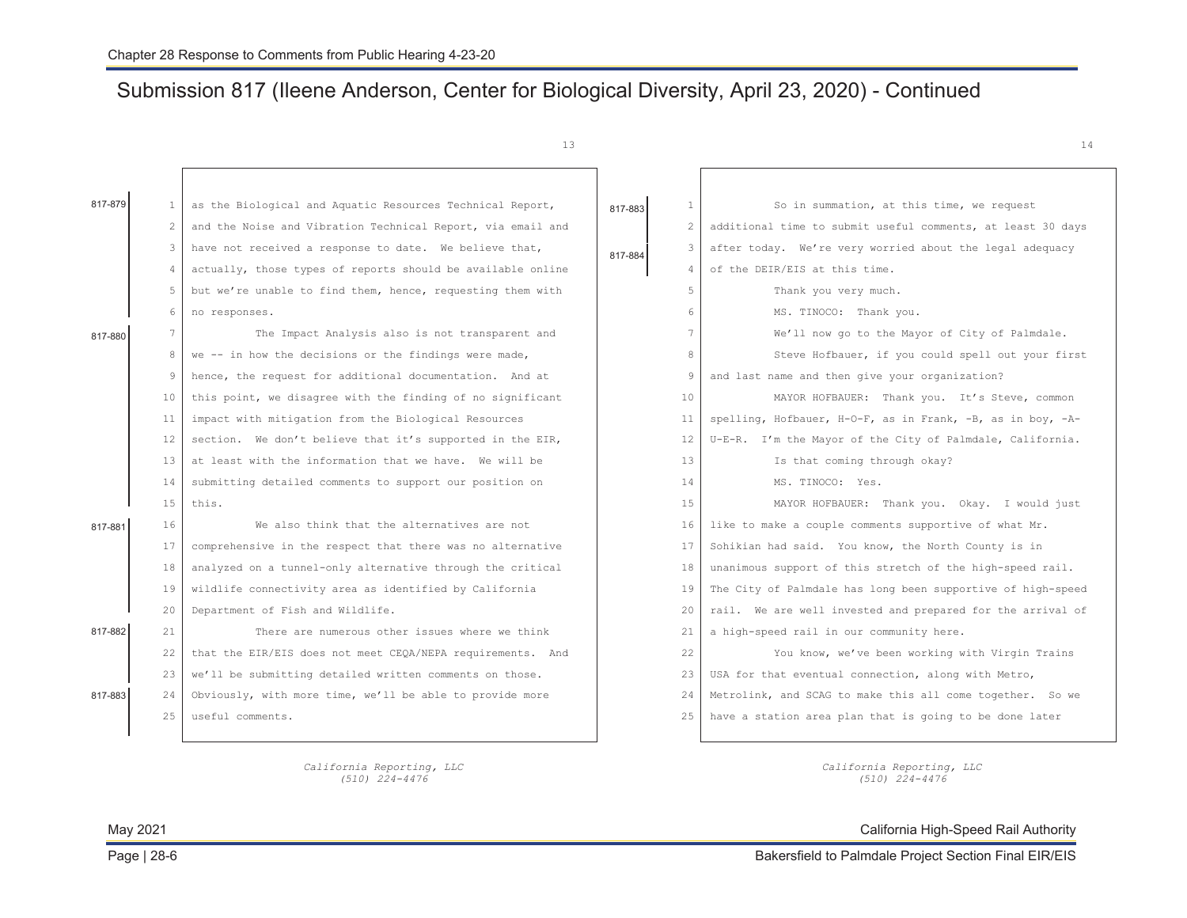# Submission 817 (Ileene Anderson, Center for Biological Diversity, April 23, 2020) - Continued

 $13$  13

| 817-879 | 1              | as the Biological and Aquatic Resources Technical Report,   | 817-883 | $\mathbf{1}$      | So in summation, at this time, we request                        |
|---------|----------------|-------------------------------------------------------------|---------|-------------------|------------------------------------------------------------------|
|         | 2              | and the Noise and Vibration Technical Report, via email and |         | $\mathbf{2}$      | additional time to submit useful comments, at least 30 days      |
|         | 3              | have not received a response to date. We believe that,      | 817-884 | 3                 | after today. We're very worried about the legal adequacy         |
|         | $\overline{4}$ | actually, those types of reports should be available online |         | $\overline{4}$    | of the DEIR/EIS at this time.                                    |
|         | 5              | but we're unable to find them, hence, requesting them with  |         | 5                 | Thank you very much.                                             |
|         | 6              | no responses.                                               |         | 6                 | MS. TINOCO: Thank you.                                           |
| 817-880 | 7              | The Impact Analysis also is not transparent and             |         | $7\overline{ }$   | We'll now go to the Mayor of City of Palmdale.                   |
|         | 8              | we -- in how the decisions or the findings were made,       |         | 8                 | Steve Hofbauer, if you could spell out your first                |
|         | 9              | hence, the request for additional documentation. And at     |         | 9                 | and last name and then give your organization?                   |
|         | 10             | this point, we disagree with the finding of no significant  |         | 10                | MAYOR HOFBAUER: Thank you. It's Steve, common                    |
|         | 11             | impact with mitigation from the Biological Resources        |         | 11                | spelling, Hofbauer, H-O-F, as in Frank, $-B$ , as in boy, $-A$ - |
|         | 12             | section. We don't believe that it's supported in the EIR,   |         | $12 \overline{ }$ | U-E-R. I'm the Mayor of the City of Palmdale, California.        |
|         | 13             | at least with the information that we have. We will be      |         | 13                | Is that coming through okay?                                     |
|         | 14             | submitting detailed comments to support our position on     |         | 14                | MS. TINOCO: Yes.                                                 |
|         | 15             | this.                                                       |         | 15                | MAYOR HOFBAUER: Thank you. Okay. I would just                    |
| 817-881 | 16             | We also think that the alternatives are not                 |         | 16                | like to make a couple comments supportive of what Mr.            |
|         | 17             | comprehensive in the respect that there was no alternative  |         | 17                | Sohikian had said. You know, the North County is in              |
|         | 18             | analyzed on a tunnel-only alternative through the critical  |         | 18                | unanimous support of this stretch of the high-speed rail.        |
|         | 19             | wildlife connectivity area as identified by California      |         | 19                | The City of Palmdale has long been supportive of high-speed      |
|         | 20             | Department of Fish and Wildlife.                            |         | 20                | rail. We are well invested and prepared for the arrival of       |
| 817-882 | 21             | There are numerous other issues where we think              |         | 21                | a high-speed rail in our community here.                         |
|         | 22             | that the EIR/EIS does not meet CEQA/NEPA requirements. And  |         | 22                | You know, we've been working with Virgin Trains                  |
|         | 23             | we'll be submitting detailed written comments on those.     |         | 23                | USA for that eventual connection, along with Metro,              |
| 817-883 | 24             | Obviously, with more time, we'll be able to provide more    |         | 24                | Metrolink, and SCAG to make this all come together. So we        |
|         | 2.5            | useful comments.                                            |         | 25                | have a station area plan that is going to be done later          |
|         |                |                                                             |         |                   |                                                                  |

*California Reporting, LLC California Reporting, LLC* 

*(510) 224-4476 (510) 224-4476*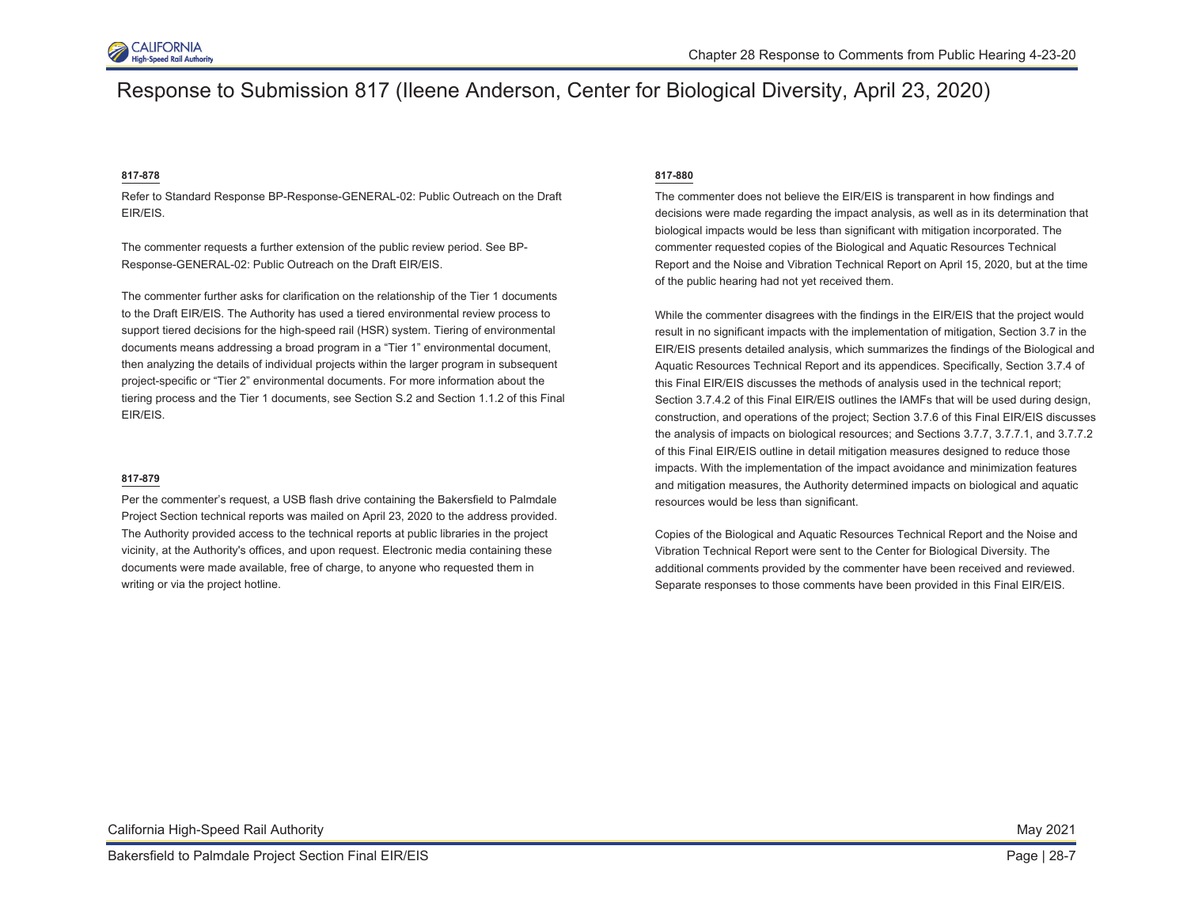

### Response to Submission 817 (Ileene Anderson, Center for Biological Diversity, April 23, 2020)

#### **817-878**

Refer to Standard Response BP-Response-GENERAL-02: Public Outreach on the Draft EIR/EIS.

The commenter requests a further extension of the public review period. See BP-Response-GENERAL-02: Public Outreach on the Draft EIR/EIS.

The commenter further asks for clarification on the relationship of the Tier 1 documents to the Draft EIR/EIS. The Authority has used a tiered environmental review process to support tiered decisions for the high-speed rail (HSR) system. Tiering of environmental documents means addressing a broad program in a "Tier 1" environmental document, then analyzing the details of individual projects within the larger program in subsequent project-specific or "Tier 2" environmental documents. For more information about the tiering process and the Tier 1 documents, see Section S.2 and Section 1.1.2 of this Final EIR/EIS.

#### **817-879**

Per the commenter's request, a USB flash drive containing the Bakersfield to Palmdale Project Section technical reports was mailed on April 23, 2020 to the address provided. The Authority provided access to the technical reports at public libraries in the project vicinity, at the Authority's offices, and upon request. Electronic media containing these documents were made available, free of charge, to anyone who requested them in writing or via the project hotline.

#### **817-880**

The commenter does not believe the EIR/EIS is transparent in how findings and decisions were made regarding the impact analysis, as well as in its determination that biological impacts would be less than significant with mitigation incorporated. The commenter requested copies of the Biological and Aquatic Resources Technical Report and the Noise and Vibration Technical Report on April 15, 2020, but at the time of the public hearing had not yet received them.

While the commenter disagrees with the findings in the EIR/EIS that the project would result in no significant impacts with the implementation of mitigation, Section 3.7 in the EIR/EIS presents detailed analysis, which summarizes the findings of the Biological and Aquatic Resources Technical Report and its appendices. Specifically, Section 3.7.4 of this Final EIR/EIS discusses the methods of analysis used in the technical report; Section 3.7.4.2 of this Final EIR/EIS outlines the IAMFs that will be used during design, construction, and operations of the project; Section 3.7.6 of this Final EIR/EIS discusses the analysis of impacts on biological resources; and Sections 3.7.7, 3.7.7.1, and 3.7.7.2 of this Final EIR/EIS outline in detail mitigation measures designed to reduce those impacts. With the implementation of the impact avoidance and minimization features and mitigation measures, the Authority determined impacts on biological and aquatic resources would be less than significant.

Copies of the Biological and Aquatic Resources Technical Report and the Noise and Vibration Technical Report were sent to the Center for Biological Diversity. The additional comments provided by the commenter have been received and reviewed. Separate responses to those comments have been provided in this Final EIR/EIS.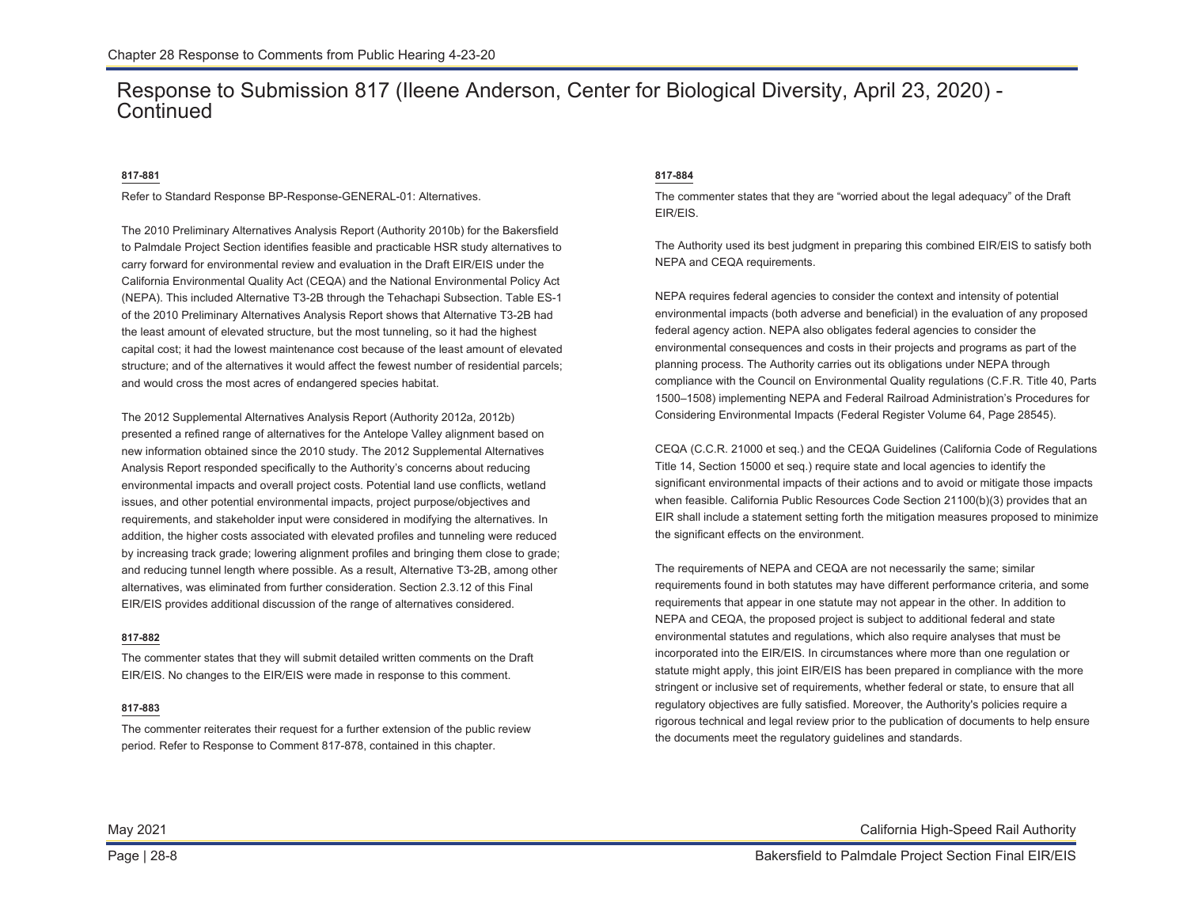### Response to Submission 817 (Ileene Anderson, Center for Biological Diversity, April 23, 2020) - **Continued**

### **817-881**

Refer to Standard Response BP-Response-GENERAL-01: Alternatives.

The 2010 Preliminary Alternatives Analysis Report (Authority 2010b) for the Bakersfield to Palmdale Project Section identifies feasible and practicable HSR study alternatives to carry forward for environmental review and evaluation in the Draft EIR/EIS under the California Environmental Quality Act (CEQA) and the National Environmental Policy Act (NEPA). This included Alternative T3-2B through the Tehachapi Subsection. Table ES-1 of the 2010 Preliminary Alternatives Analysis Report shows that Alternative T3-2B had the least amount of elevated structure, but the most tunneling, so it had the highest capital cost; it had the lowest maintenance cost because of the least amount of elevated structure; and of the alternatives it would affect the fewest number of residential parcels; and would cross the most acres of endangered species habitat.

The 2012 Supplemental Alternatives Analysis Report (Authority 2012a, 2012b) presented a refined range of alternatives for the Antelope Valley alignment based on new information obtained since the 2010 study. The 2012 Supplemental Alternatives Analysis Report responded specifically to the Authority's concerns about reducing environmental impacts and overall project costs. Potential land use conflicts, wetland issues, and other potential environmental impacts, project purpose/objectives and requirements, and stakeholder input were considered in modifying the alternatives. In addition, the higher costs associated with elevated profiles and tunneling were reduced by increasing track grade; lowering alignment profiles and bringing them close to grade; and reducing tunnel length where possible. As a result, Alternative T3-2B, among other alternatives, was eliminated from further consideration. Section 2.3.12 of this Final EIR/EIS provides additional discussion of the range of alternatives considered.

#### **817-882**

The commenter states that they will submit detailed written comments on the Draft EIR/EIS. No changes to the EIR/EIS were made in response to this comment.

#### **817-883**

The commenter reiterates their request for a further extension of the public review period. Refer to Response to Comment 817-878, contained in this chapter.

### **817-884**

The commenter states that they are "worried about the legal adequacy" of the Draft EIR/EIS.

The Authority used its best judgment in preparing this combined EIR/EIS to satisfy both NEPA and CEQA requirements.

NEPA requires federal agencies to consider the context and intensity of potential environmental impacts (both adverse and beneficial) in the evaluation of any proposed federal agency action. NEPA also obligates federal agencies to consider the environmental consequences and costs in their projects and programs as part of the planning process. The Authority carries out its obligations under NEPA through compliance with the Council on Environmental Quality regulations (C.F.R. Title 40, Parts 1500–1508) implementing NEPA and Federal Railroad Administration's Procedures for Considering Environmental Impacts (Federal Register Volume 64, Page 28545).

CEQA (C.C.R. 21000 et seq.) and the CEQA Guidelines (California Code of Regulations Title 14, Section 15000 et seq.) require state and local agencies to identify the significant environmental impacts of their actions and to avoid or mitigate those impacts when feasible. California Public Resources Code Section 21100(b)(3) provides that an EIR shall include a statement setting forth the mitigation measures proposed to minimize the significant effects on the environment.

The requirements of NEPA and CEQA are not necessarily the same; similar requirements found in both statutes may have different performance criteria, and some requirements that appear in one statute may not appear in the other. In addition to NEPA and CEQA, the proposed project is subject to additional federal and state environmental statutes and regulations, which also require analyses that must be incorporated into the EIR/EIS. In circumstances where more than one regulation or statute might apply, this joint EIR/EIS has been prepared in compliance with the more stringent or inclusive set of requirements, whether federal or state, to ensure that all regulatory objectives are fully satisfied. Moreover, the Authority's policies require a rigorous technical and legal review prior to the publication of documents to help ensure the documents meet the regulatory guidelines and standards.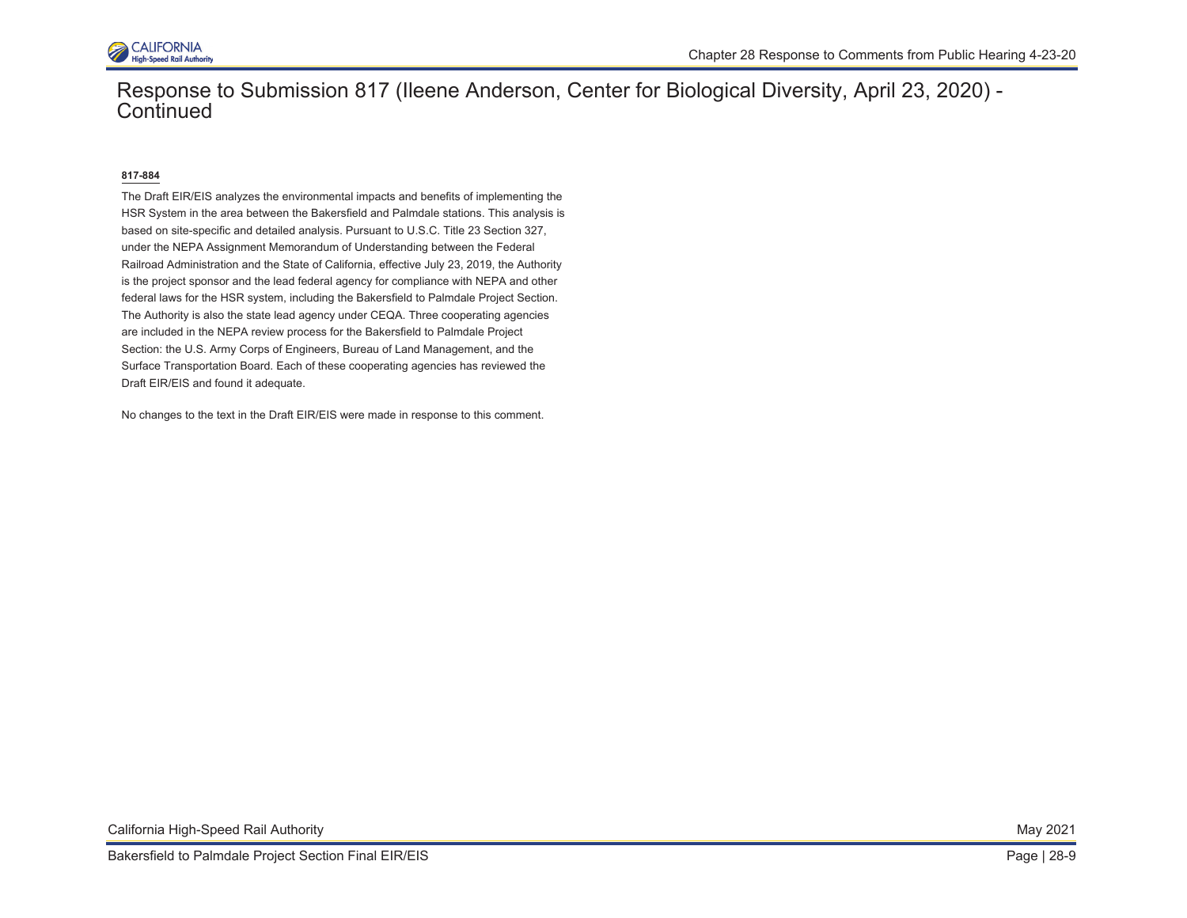

### Response to Submission 817 (Ileene Anderson, Center for Biological Diversity, April 23, 2020) - **Continued**

### **817-884**

The Draft EIR/EIS analyzes the environmental impacts and benefits of implementing the HSR System in the area between the Bakersfield and Palmdale stations. This analysis is based on site-specific and detailed analysis. Pursuant to U.S.C. Title 23 Section 327, under the NEPA Assignment Memorandum of Understanding between the Federal Railroad Administration and the State of California, effective July 23, 2019, the Authority is the project sponsor and the lead federal agency for compliance with NEPA and other federal laws for the HSR system, including the Bakersfield to Palmdale Project Section. The Authority is also the state lead agency under CEQA. Three cooperating agencies are included in the NEPA review process for the Bakersfield to Palmdale Project Section: the U.S. Army Corps of Engineers, Bureau of Land Management, and the Surface Transportation Board. Each of these cooperating agencies has reviewed the Draft EIR/EIS and found it adequate.

No changes to the text in the Draft EIR/EIS were made in response to this comment.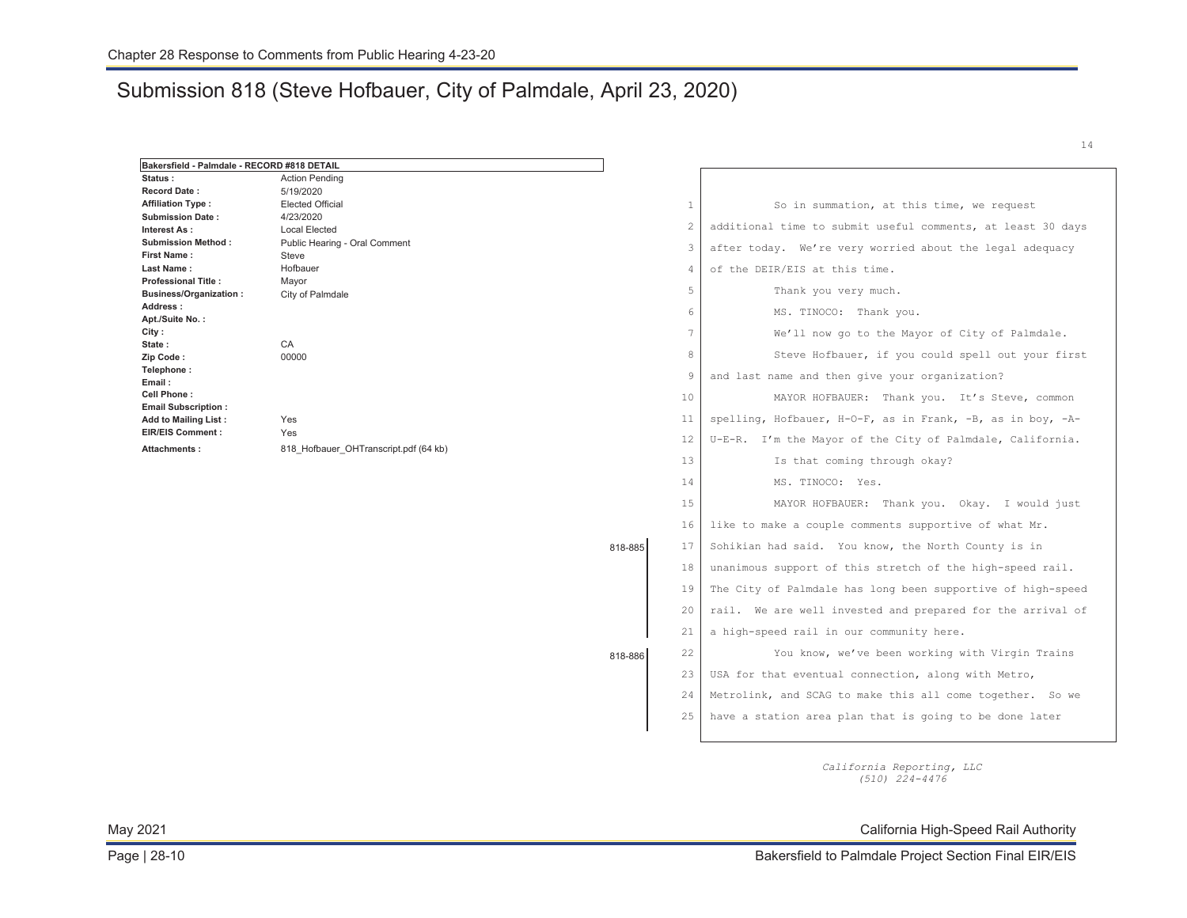### Submission 818 (Steve Hofbauer, City of Palmdale, April 23, 2020)

| Bakersfield - Palmdale - RECORD #818 DETAIL |                                        |         |                |                                                             |
|---------------------------------------------|----------------------------------------|---------|----------------|-------------------------------------------------------------|
| Status:                                     | <b>Action Pending</b>                  |         |                |                                                             |
| <b>Record Date:</b>                         | 5/19/2020                              |         |                |                                                             |
| <b>Affiliation Type:</b>                    | <b>Elected Official</b>                |         | $\mathbf{1}$   | So in summation, at this time, we request                   |
| <b>Submission Date:</b>                     | 4/23/2020                              |         | $\overline{c}$ | additional time to submit useful comments, at least 30 days |
| Interest As:<br><b>Submission Method:</b>   | <b>Local Elected</b>                   |         |                |                                                             |
| <b>First Name:</b>                          | Public Hearing - Oral Comment<br>Steve |         | 3              | after today. We're very worried about the legal adequacy    |
| Last Name:                                  | Hofbauer                               |         | $\overline{4}$ | of the DEIR/EIS at this time.                               |
| <b>Professional Title:</b>                  | Mayor                                  |         |                |                                                             |
| <b>Business/Organization:</b>               | City of Palmdale                       |         | 5              | Thank you very much.                                        |
| Address:                                    |                                        |         | 6              | MS. TINOCO: Thank you.                                      |
| Apt./Suite No.:                             |                                        |         |                |                                                             |
| City :                                      |                                        |         | 7              | We'll now go to the Mayor of City of Palmdale.              |
| State:                                      | CA                                     |         | 8              | Steve Hofbauer, if you could spell out your first           |
| Zip Code:                                   | 00000                                  |         |                |                                                             |
| Telephone:<br>Email:                        |                                        |         | 9              | and last name and then give your organization?              |
| Cell Phone:                                 |                                        |         | 10             | MAYOR HOFBAUER: Thank you. It's Steve, common               |
| <b>Email Subscription:</b>                  |                                        |         |                |                                                             |
| Add to Mailing List:                        | Yes                                    |         | 11             | spelling, Hofbauer, H-O-F, as in Frank, -B, as in boy, -A-  |
| <b>EIR/EIS Comment:</b>                     | Yes                                    |         | 12             | U-E-R. I'm the Mayor of the City of Palmdale, California.   |
| Attachments:                                | 818 Hofbauer OHTranscript.pdf (64 kb)  |         |                |                                                             |
|                                             |                                        |         | 13             | Is that coming through okay?                                |
|                                             |                                        |         | 14             | MS. TINOCO: Yes.                                            |
|                                             |                                        |         | 15             | MAYOR HOFBAUER: Thank you. Okay. I would just               |
|                                             |                                        |         | 16             | like to make a couple comments supportive of what Mr.       |
|                                             |                                        | 818-885 | 17             | Sohikian had said. You know, the North County is in         |
|                                             |                                        |         | 18             | unanimous support of this stretch of the high-speed rail.   |
|                                             |                                        |         | 19             | The City of Palmdale has long been supportive of high-speed |
|                                             |                                        |         | 20             | rail. We are well invested and prepared for the arrival of  |
|                                             |                                        |         | 21             | a high-speed rail in our community here.                    |
|                                             |                                        | 818-886 | 22             | You know, we've been working with Virgin Trains             |
|                                             |                                        |         | 23             | USA for that eventual connection, along with Metro,         |
|                                             |                                        |         | 24             | Metrolink, and SCAG to make this all come together. So we   |
|                                             |                                        |         | 25             | have a station area plan that is going to be done later     |
|                                             |                                        |         |                |                                                             |

*California Reporting, LLC (510) 224-4476* 

May 2021 California High-Speed Rail Authority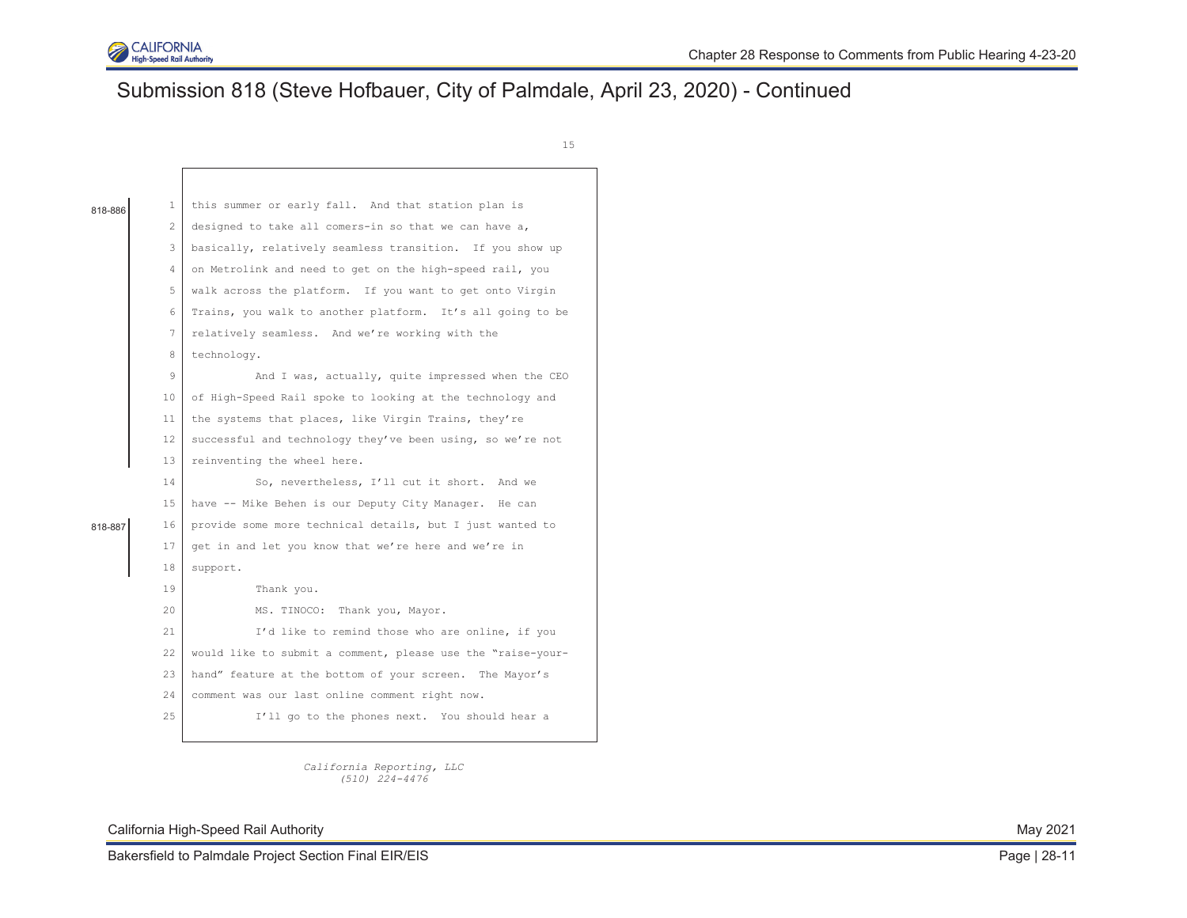

# Submission 818 (Steve Hofbauer, City of Palmdale, April 23, 2020) - Continued

15

| 818-886 | 1                                                               | this summer or early fall. And that station plan is         |  |  |  |  |  |  |
|---------|-----------------------------------------------------------------|-------------------------------------------------------------|--|--|--|--|--|--|
|         | 2                                                               | designed to take all comers-in so that we can have a,       |  |  |  |  |  |  |
|         | 3                                                               | basically, relatively seamless transition. If you show up   |  |  |  |  |  |  |
|         | 4                                                               | on Metrolink and need to get on the high-speed rail, you    |  |  |  |  |  |  |
|         | 5                                                               | walk across the platform. If you want to get onto Virgin    |  |  |  |  |  |  |
|         | Trains, you walk to another platform. It's all going to be<br>6 |                                                             |  |  |  |  |  |  |
|         | 7                                                               | relatively seamless. And we're working with the             |  |  |  |  |  |  |
|         | 8                                                               | technology.                                                 |  |  |  |  |  |  |
|         | 9                                                               | And I was, actually, quite impressed when the CEO           |  |  |  |  |  |  |
|         | 10                                                              | of High-Speed Rail spoke to looking at the technology and   |  |  |  |  |  |  |
|         | 11                                                              | the systems that places, like Virgin Trains, they're        |  |  |  |  |  |  |
|         | 12                                                              | successful and technology they've been using, so we're not  |  |  |  |  |  |  |
|         | 13                                                              | reinventing the wheel here.                                 |  |  |  |  |  |  |
|         | 14                                                              | So, nevertheless, I'll cut it short. And we                 |  |  |  |  |  |  |
|         | 15                                                              | have -- Mike Behen is our Deputy City Manager. He can       |  |  |  |  |  |  |
| 818-887 | 16                                                              | provide some more technical details, but I just wanted to   |  |  |  |  |  |  |
|         | 17                                                              | get in and let you know that we're here and we're in        |  |  |  |  |  |  |
|         | 18                                                              | support.                                                    |  |  |  |  |  |  |
|         | 19                                                              | Thank you.                                                  |  |  |  |  |  |  |
|         | $20 -$                                                          | MS. TINOCO: Thank you, Mayor.                               |  |  |  |  |  |  |
|         | 21                                                              | I'd like to remind those who are online, if you             |  |  |  |  |  |  |
|         | 22                                                              | would like to submit a comment, please use the "raise-your- |  |  |  |  |  |  |
|         | 23                                                              | hand" feature at the bottom of your screen. The Mayor's     |  |  |  |  |  |  |
|         | 24                                                              | comment was our last online comment right now.              |  |  |  |  |  |  |
|         | 2.5                                                             | I'll go to the phones next. You should hear a               |  |  |  |  |  |  |
|         |                                                                 |                                                             |  |  |  |  |  |  |

*California Reporting, LLC (510) 224-4476* 

California High-Speed Rail Authority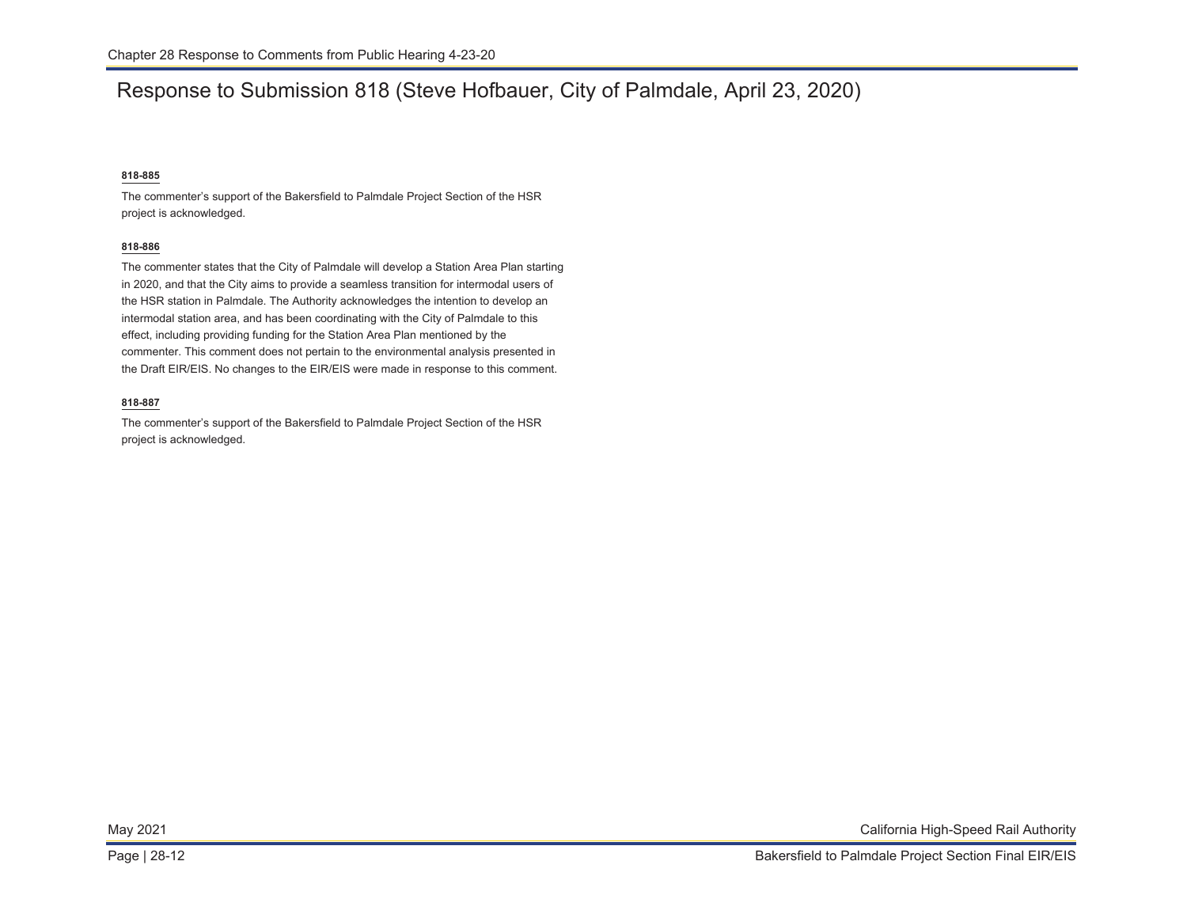### Response to Submission 818 (Steve Hofbauer, City of Palmdale, April 23, 2020)

### **818-885**

The commenter's support of the Bakersfield to Palmdale Project Section of the HSR project is acknowledged.

### **818-886**

The commenter states that the City of Palmdale will develop a Station Area Plan starting in 2020, and that the City aims to provide a seamless transition for intermodal users of the HSR station in Palmdale. The Authority acknowledges the intention to develop an intermodal station area, and has been coordinating with the City of Palmdale to this effect, including providing funding for the Station Area Plan mentioned by the commenter. This comment does not pertain to the environmental analysis presented in the Draft EIR/EIS. No changes to the EIR/EIS were made in response to this comment.

#### **818-887**

The commenter's support of the Bakersfield to Palmdale Project Section of the HSR project is acknowledged.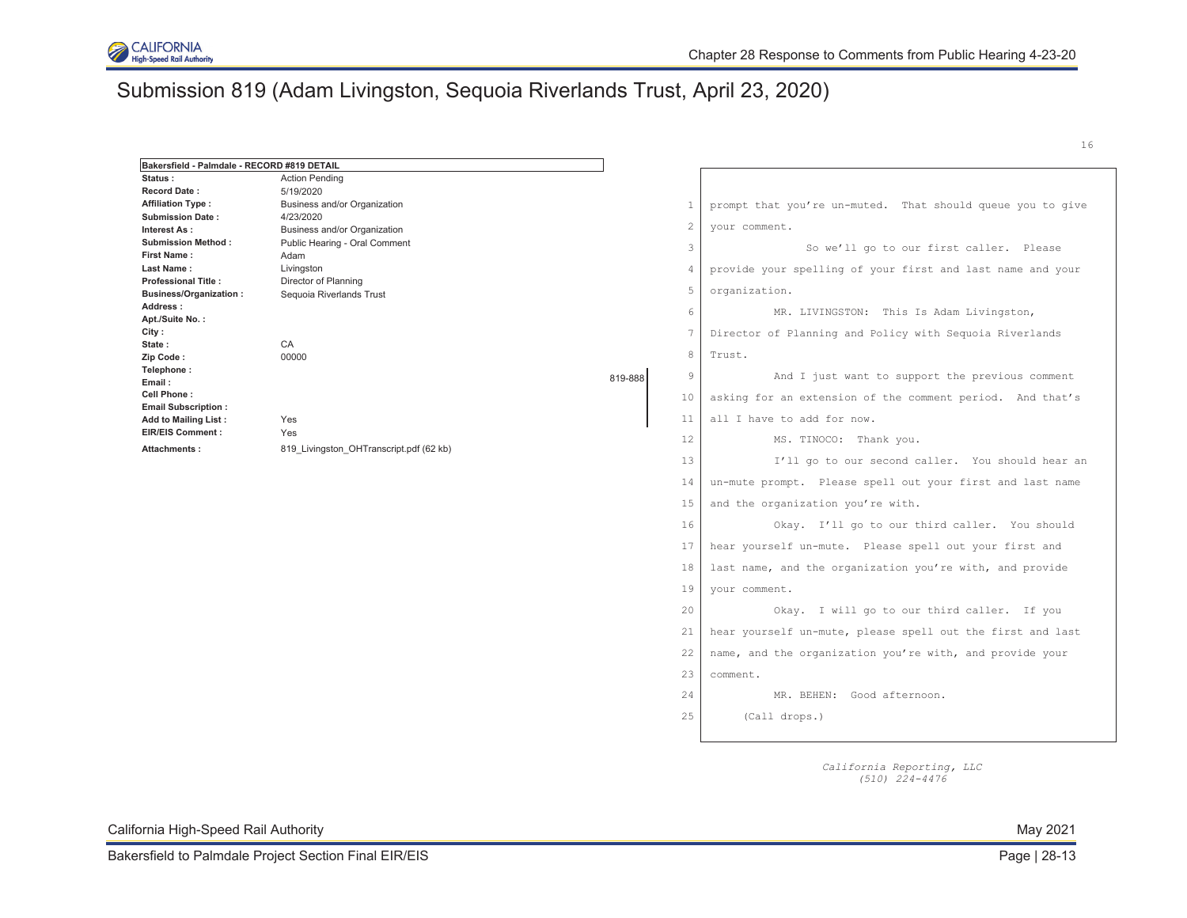

# Submission 819 (Adam Livingston, Sequoia Riverlands Trust, April 23, 2020)

| Bakersfield - Palmdale - RECORD #819 DETAIL            |                                                |         |                 |                                                            |
|--------------------------------------------------------|------------------------------------------------|---------|-----------------|------------------------------------------------------------|
| Status:                                                | <b>Action Pending</b>                          |         |                 |                                                            |
| <b>Record Date:</b>                                    | 5/19/2020                                      |         |                 |                                                            |
| <b>Affiliation Type:</b>                               | Business and/or Organization                   |         | $\mathbf{1}$    | prompt that you're un-muted. That should queue you to give |
| <b>Submission Date:</b>                                | 4/23/2020                                      |         | $\mathbf{2}$    | your comment.                                              |
| Interest As:                                           | Business and/or Organization                   |         |                 |                                                            |
| <b>Submission Method:</b>                              | Public Hearing - Oral Comment                  |         | 3               | So we'll go to our first caller. Please                    |
| First Name:                                            | Adam                                           |         |                 |                                                            |
| Last Name:<br><b>Professional Title:</b>               | Livingston                                     |         | $\overline{4}$  | provide your spelling of your first and last name and your |
| <b>Business/Organization:</b>                          | Director of Planning                           |         | 5               | organization.                                              |
| Address:                                               | Sequoia Riverlands Trust                       |         |                 |                                                            |
| Apt./Suite No.:                                        |                                                |         | 6               | MR. LIVINGSTON: This Is Adam Livingston,                   |
| City :                                                 |                                                |         | $7\phantom{.0}$ | Director of Planning and Policy with Sequoia Riverlands    |
| State:                                                 | CA                                             |         |                 |                                                            |
| Zip Code:                                              | 00000                                          |         | 8               | Trust.                                                     |
| Telephone:                                             |                                                |         | $\overline{9}$  |                                                            |
| Email:                                                 |                                                | 819-888 |                 | And I just want to support the previous comment            |
| Cell Phone:                                            |                                                |         | 10              | asking for an extension of the comment period. And that's  |
| <b>Email Subscription:</b>                             |                                                |         |                 |                                                            |
| <b>Add to Mailing List:</b><br><b>EIR/EIS Comment:</b> | Yes                                            |         | 11              | all I have to add for now.                                 |
| Attachments:                                           | Yes<br>819 Livingston OHTranscript.pdf (62 kb) |         | 12              | MS. TINOCO: Thank you.                                     |
|                                                        |                                                |         | 13              | I'll go to our second caller. You should hear an           |
|                                                        |                                                |         | 14              | un-mute prompt. Please spell out your first and last name  |
|                                                        |                                                |         | 15              | and the organization you're with.                          |
|                                                        |                                                |         | 16              | Okay. I'll go to our third caller. You should              |
|                                                        |                                                |         | 17              | hear yourself un-mute. Please spell out your first and     |
|                                                        |                                                |         | 18              | last name, and the organization you're with, and provide   |
|                                                        |                                                |         | 19              | your comment.                                              |
|                                                        |                                                |         | 20              | Okay. I will go to our third caller. If you                |
|                                                        |                                                |         | 21              | hear yourself un-mute, please spell out the first and last |
|                                                        |                                                |         | 22              | name, and the organization you're with, and provide your   |
|                                                        |                                                |         | 23              | comment.                                                   |
|                                                        |                                                |         | 24              | MR. BEHEN: Good afternoon.                                 |
|                                                        |                                                |         | 25              | (Call drops.)                                              |
|                                                        |                                                |         |                 |                                                            |
|                                                        |                                                |         |                 |                                                            |

*California Reporting, LLC (510) 224-4476*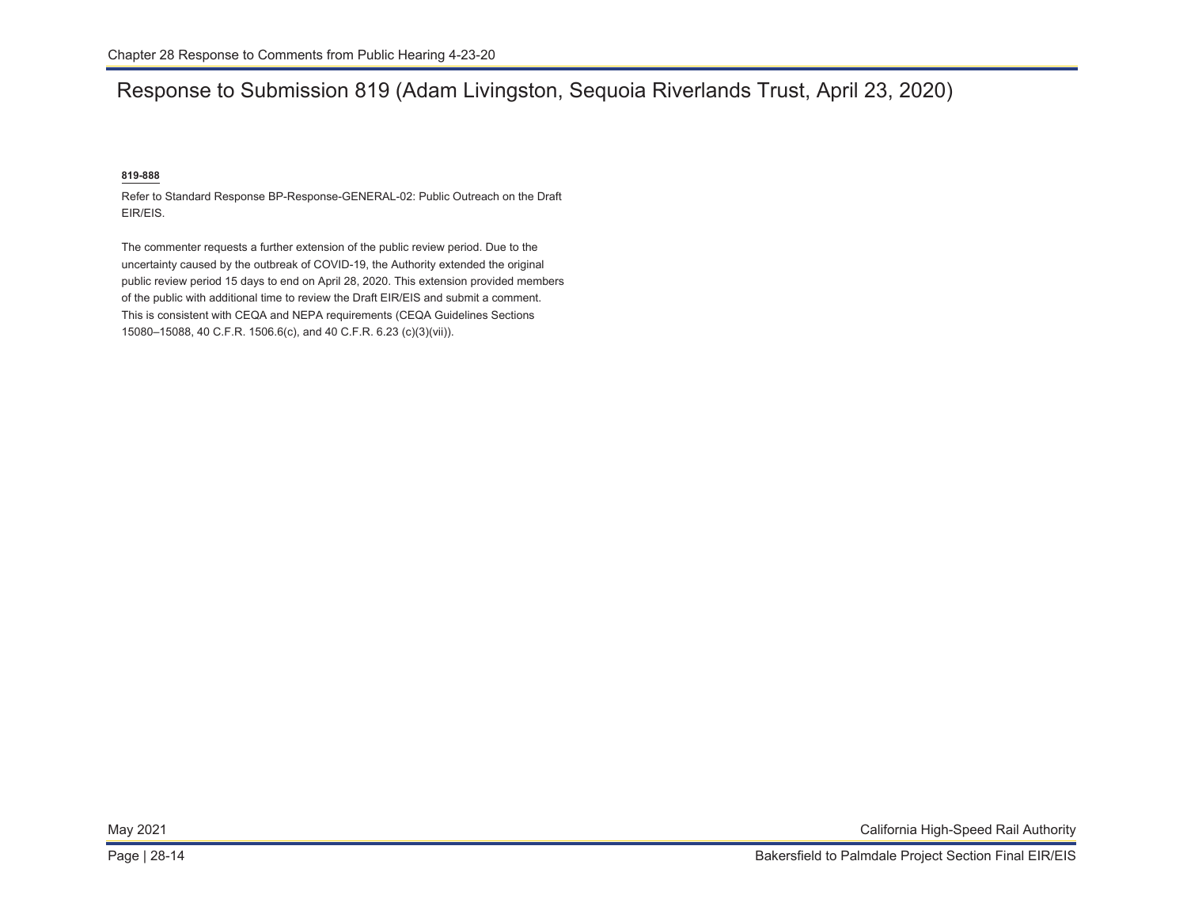# Response to Submission 819 (Adam Livingston, Sequoia Riverlands Trust, April 23, 2020)

### **819-888**

Refer to Standard Response BP-Response-GENERAL-02: Public Outreach on the Draft EIR/EIS.

The commenter requests a further extension of the public review period. Due to the uncertainty caused by the outbreak of COVID-19, the Authority extended the original public review period 15 days to end on April 28, 2020. This extension provided members of the public with additional time to review the Draft EIR/EIS and submit a comment. This is consistent with CEQA and NEPA requirements (CEQA Guidelines Sections 15080–15088, 40 C.F.R. 1506.6(c), and 40 C.F.R. 6.23 (c)(3)(vii)).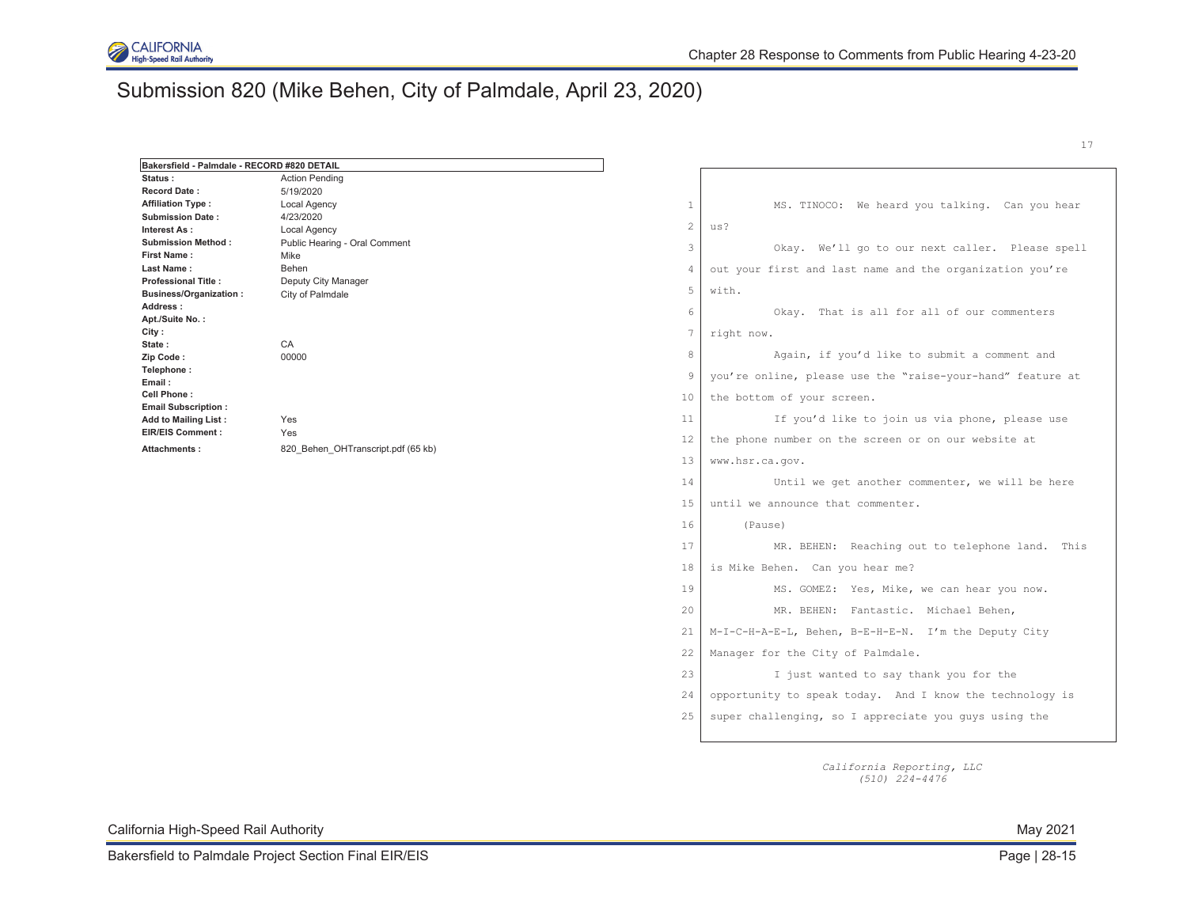

# Submission 820 (Mike Behen, City of Palmdale, April 23, 2020)

| Bakersfield - Palmdale - RECORD #820 DETAIL |                                               |                |                                                            |
|---------------------------------------------|-----------------------------------------------|----------------|------------------------------------------------------------|
| Status:                                     | <b>Action Pending</b>                         |                |                                                            |
| <b>Record Date:</b>                         | 5/19/2020                                     |                |                                                            |
| <b>Affiliation Type:</b>                    | Local Agency                                  | $\mathbf{1}$   | MS. TINOCO: We heard you talking. Can you hear             |
| <b>Submission Date:</b>                     | 4/23/2020                                     | $\mathbf{2}$   | us?                                                        |
| Interest As:<br><b>Submission Method:</b>   | Local Agency<br>Public Hearing - Oral Comment |                |                                                            |
| <b>First Name:</b>                          | Mike                                          | 3              | Okay. We'll go to our next caller. Please spell            |
| Last Name:                                  | Behen                                         | $\overline{4}$ | out your first and last name and the organization you're   |
| <b>Professional Title:</b>                  | Deputy City Manager                           |                |                                                            |
| <b>Business/Organization:</b>               | City of Palmdale                              | 5              | with.                                                      |
| Address:                                    |                                               | 6              | Okay. That is all for all of our commenters                |
| Apt./Suite No.:                             |                                               |                |                                                            |
| City:<br>State:                             | CA                                            | 7              | right now.                                                 |
| Zip Code:                                   | 00000                                         | 8              | Again, if you'd like to submit a comment and               |
| Telephone:<br>Email:                        | Yes                                           | -9             | you're online, please use the "raise-your-hand" feature at |
| Cell Phone:<br><b>Email Subscription:</b>   |                                               | 10             | the bottom of your screen.                                 |
| <b>Add to Mailing List:</b>                 |                                               | 11             | If you'd like to join us via phone, please use             |
| <b>EIR/EIS Comment:</b><br>Attachments:     | Yes<br>820 Behen OHTranscript.pdf (65 kb)     | 12             | the phone number on the screen or on our website at        |
|                                             |                                               | 13             | www.hsr.ca.gov.                                            |
|                                             |                                               | 14             | Until we get another commenter, we will be here            |
|                                             |                                               | 15             | until we announce that commenter.                          |
|                                             |                                               | 16             | (Pause)                                                    |
|                                             |                                               | 17             | MR. BEHEN: Reaching out to telephone land. This            |
|                                             |                                               | 18             | is Mike Behen. Can you hear me?                            |
|                                             |                                               | 19             | MS. GOMEZ: Yes, Mike, we can hear you now.                 |
|                                             |                                               | 20             | MR. BEHEN: Fantastic. Michael Behen,                       |
|                                             |                                               | 21             | M-I-C-H-A-E-L, Behen, B-E-H-E-N. I'm the Deputy City       |
|                                             |                                               | 22             | Manager for the City of Palmdale.                          |
|                                             |                                               | 23             | I just wanted to say thank you for the                     |
|                                             |                                               | 24             | opportunity to speak today. And I know the technology is   |
|                                             |                                               | 25             | super challenging, so I appreciate you guys using the      |
|                                             |                                               |                |                                                            |

*California Reporting, LLC (510) 224-4476* 

California High-Speed Rail Authority May 2021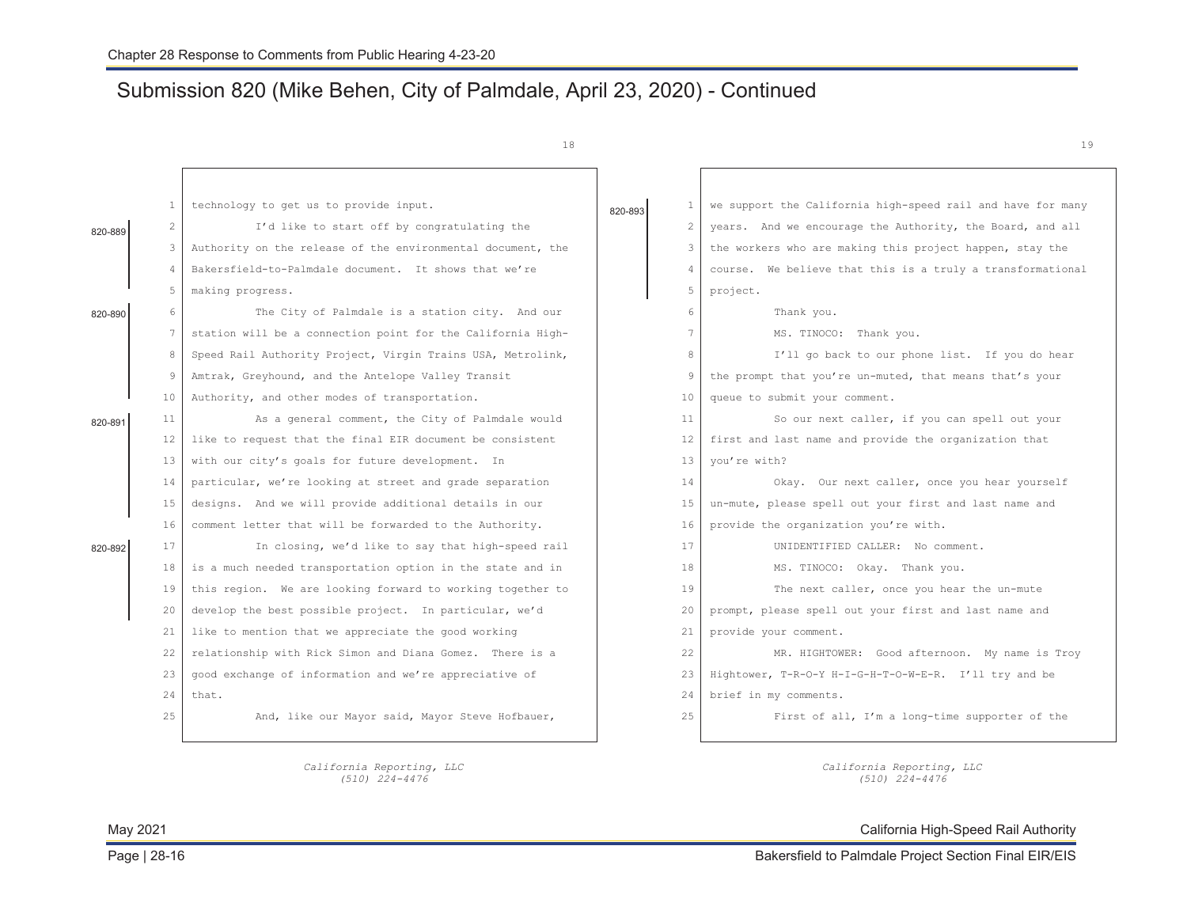# Submission 820 (Mike Behen, City of Palmdale, April 23, 2020) - Continued

*California Reporting, LLC (510) 224-4476* 

18

|         | 1              | technology to get us to provide input.                      | 820-893 | $\mathbf{1}$    | we support the California high-speed rail and have for many |
|---------|----------------|-------------------------------------------------------------|---------|-----------------|-------------------------------------------------------------|
| 820-889 | 2              | I'd like to start off by congratulating the                 |         | $\overline{2}$  | years. And we encourage the Authority, the Board, and all   |
|         | 3              | Authority on the release of the environmental document, the |         | 3               | the workers who are making this project happen, stay the    |
|         | $\overline{4}$ | Bakersfield-to-Palmdale document. It shows that we're       |         | 4               | course. We believe that this is a truly a transformational  |
|         | 5              | making progress.                                            |         | 5               | project.                                                    |
| 820-890 | 6              | The City of Palmdale is a station city. And our             |         | 6               | Thank you.                                                  |
|         | 7              | station will be a connection point for the California High- |         | $\overline{7}$  | MS. TINOCO: Thank you.                                      |
|         | 8              | Speed Rail Authority Project, Virgin Trains USA, Metrolink, |         | 8               | I'll go back to our phone list. If you do hear              |
|         | 9              | Amtrak, Greyhound, and the Antelope Valley Transit          |         | 9               | the prompt that you're un-muted, that means that's your     |
|         | 10             | Authority, and other modes of transportation.               |         | 10              | queue to submit your comment.                               |
| 820-891 | 11             | As a general comment, the City of Palmdale would            |         | 11              | So our next caller, if you can spell out your               |
|         | 12             | like to request that the final EIR document be consistent   |         | 12 <sub>2</sub> | first and last name and provide the organization that       |
|         | 13             | with our city's goals for future development. In            |         | 13              | you're with?                                                |
|         | 14             | particular, we're looking at street and grade separation    |         | 14              | Okay. Our next caller, once you hear yourself               |
|         | 15             | designs. And we will provide additional details in our      |         | 15              | un-mute, please spell out your first and last name and      |
|         | 16             | comment letter that will be forwarded to the Authority.     |         | 16              | provide the organization you're with.                       |
| 820-892 | 17             | In closing, we'd like to say that high-speed rail           |         | 17              | UNIDENTIFIED CALLER: No comment.                            |
|         | 18             | is a much needed transportation option in the state and in  |         | 18              | MS. TINOCO: Okay. Thank you.                                |
|         | 19             | this region. We are looking forward to working together to  |         | 19              | The next caller, once you hear the un-mute                  |
|         | 20             | develop the best possible project. In particular, we'd      |         | 20              | prompt, please spell out your first and last name and       |
|         | 21             | like to mention that we appreciate the good working         |         | 21              | provide your comment.                                       |
|         | 22             | relationship with Rick Simon and Diana Gomez. There is a    |         | 22              | MR. HIGHTOWER: Good afternoon. My name is Troy              |
|         | 23             | good exchange of information and we're appreciative of      |         | 23              | Hightower, T-R-O-Y H-I-G-H-T-O-W-E-R. I'll try and be       |
|         | 24             | that.                                                       |         | 24              | brief in my comments.                                       |
|         | 25             | And, like our Mayor said, Mayor Steve Hofbauer,             |         | 25              | First of all, I'm a long-time supporter of the              |
|         |                |                                                             |         |                 |                                                             |

*California Reporting, LLC (510) 224-4476* 

May 2021 California High-Speed Rail Authority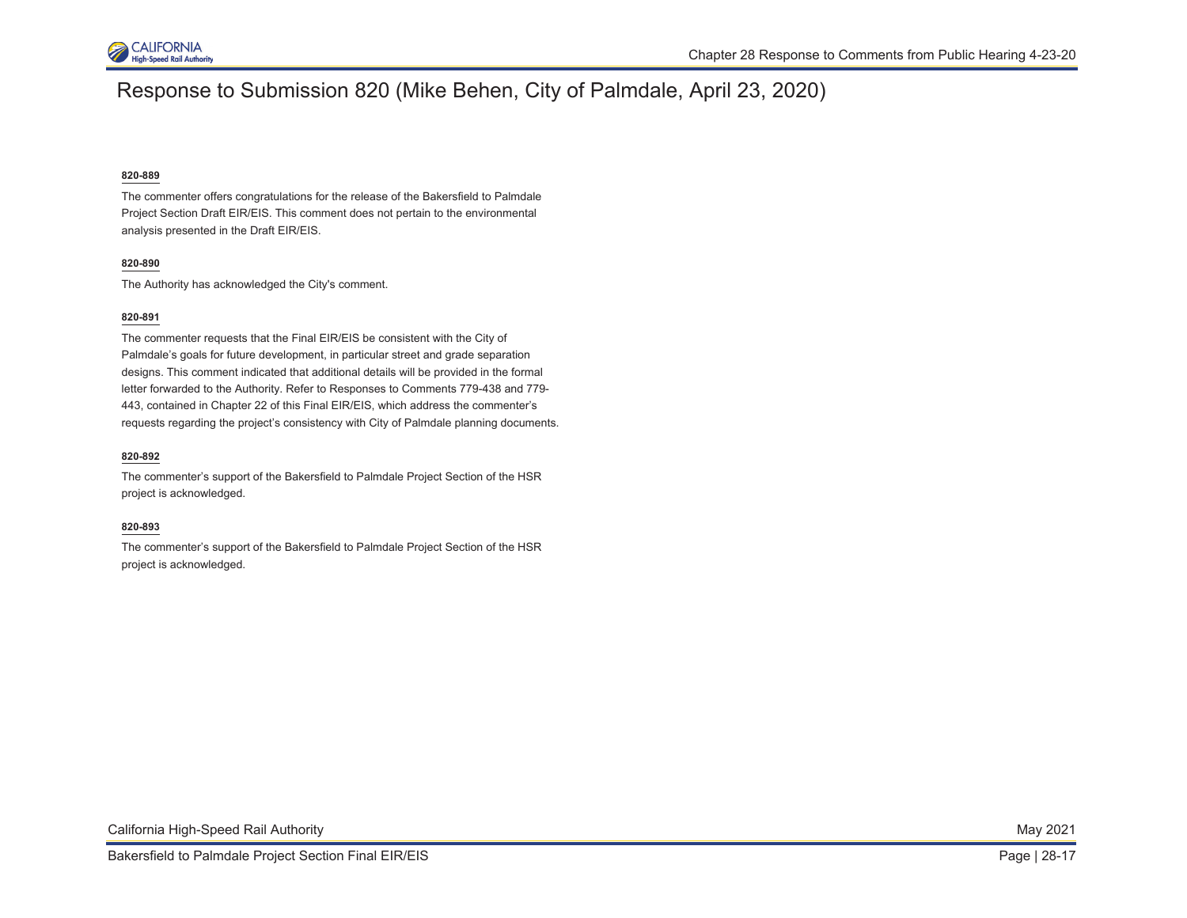

### Response to Submission 820 (Mike Behen, City of Palmdale, April 23, 2020)

#### **820-889**

The commenter offers congratulations for the release of the Bakersfield to Palmdale Project Section Draft EIR/EIS. This comment does not pertain to the environmental analysis presented in the Draft EIR/EIS.

### **820-890**

The Authority has acknowledged the City's comment.

### **820-891**

The commenter requests that the Final EIR/EIS be consistent with the City of Palmdale's goals for future development, in particular street and grade separation designs. This comment indicated that additional details will be provided in the formal letter forwarded to the Authority. Refer to Responses to Comments 779-438 and 779- 443, contained in Chapter 22 of this Final EIR/EIS, which address the commenter's requests regarding the project's consistency with City of Palmdale planning documents.

### **820-892**

The commenter's support of the Bakersfield to Palmdale Project Section of the HSR project is acknowledged.

#### **820-893**

The commenter's support of the Bakersfield to Palmdale Project Section of the HSR project is acknowledged.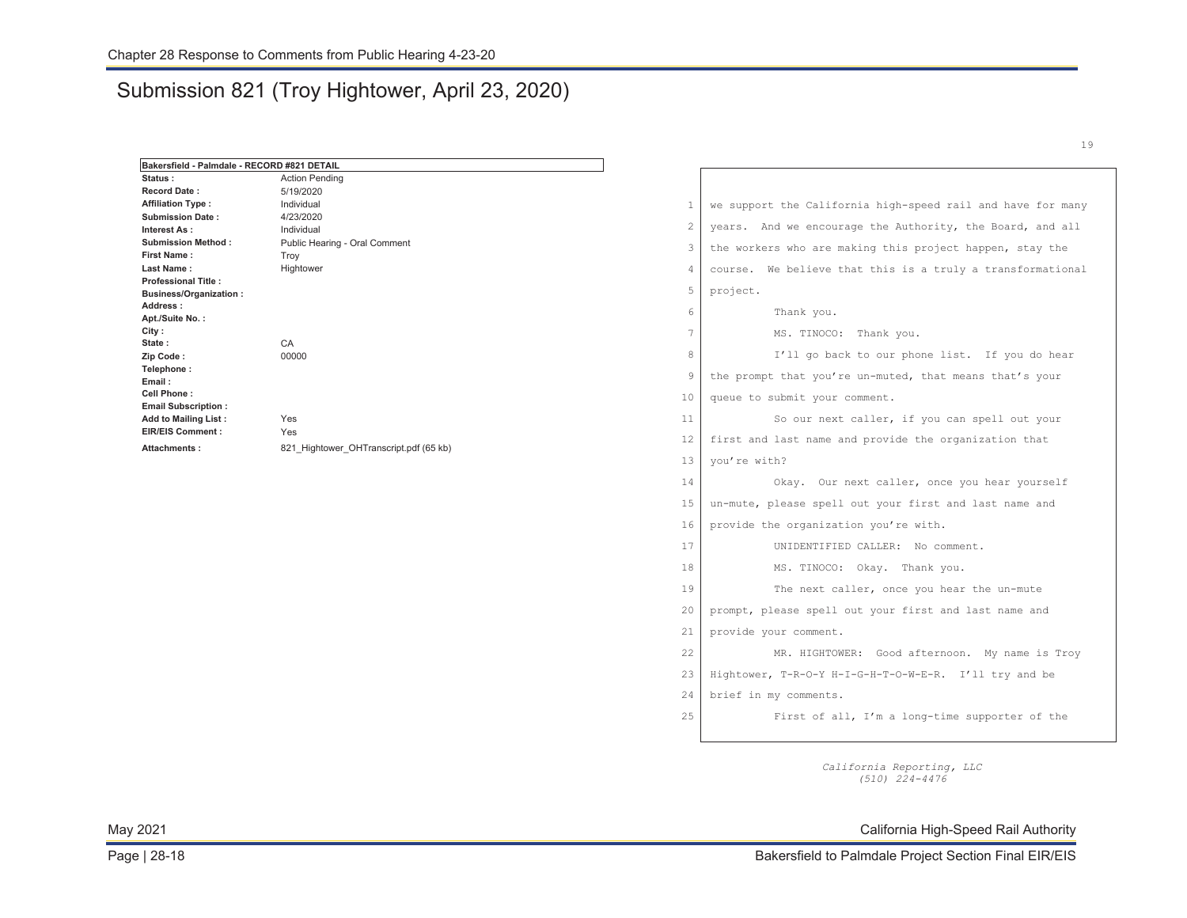### Submission 821 (Troy Hightower, April 23, 2020)

| Bakersfield - Palmdale - RECORD #821 DETAIL        |                                        |                |                                                             |
|----------------------------------------------------|----------------------------------------|----------------|-------------------------------------------------------------|
| Status:                                            | <b>Action Pending</b>                  |                |                                                             |
| <b>Record Date:</b>                                | 5/19/2020                              |                |                                                             |
| <b>Affiliation Type:</b>                           | Individual                             | $\mathbf{1}$   | we support the California high-speed rail and have for many |
| <b>Submission Date:</b>                            | 4/23/2020                              | $\overline{2}$ | years. And we encourage the Authority, the Board, and all   |
| Interest As:                                       | Individual                             |                |                                                             |
| <b>Submission Method:</b>                          | Public Hearing - Oral Comment          | 3              | the workers who are making this project happen, stay the    |
| <b>First Name:</b><br>Last Name:                   | Troy                                   |                |                                                             |
| <b>Professional Title:</b>                         | Hightower                              | $\overline{4}$ | course. We believe that this is a truly a transformational  |
| <b>Business/Organization:</b>                      |                                        | 5              | project.                                                    |
| Address:                                           |                                        |                |                                                             |
| Apt./Suite No.:                                    |                                        | 6              | Thank you.                                                  |
| City:                                              |                                        | 7              | MS. TINOCO: Thank you.                                      |
| State:                                             | CA                                     |                |                                                             |
| Zip Code:                                          | 00000                                  | 8              | I'll go back to our phone list. If you do hear              |
| Telephone:<br>Email:                               |                                        | 9              | the prompt that you're un-muted, that means that's your     |
| <b>Cell Phone:</b>                                 |                                        | 10             | queue to submit your comment.                               |
| <b>Email Subscription:</b><br>Add to Mailing List: | Yes                                    | 11             | So our next caller, if you can spell out your               |
| <b>EIR/EIS Comment:</b>                            | Yes                                    | 12             | first and last name and provide the organization that       |
| Attachments:                                       | 821 Hightower OHTranscript.pdf (65 kb) | 13             | you're with?                                                |
|                                                    |                                        | 14             | Okay. Our next caller, once you hear yourself               |
|                                                    |                                        | 15             | un-mute, please spell out your first and last name and      |
|                                                    |                                        |                |                                                             |
|                                                    |                                        | 16             | provide the organization you're with.                       |
|                                                    |                                        | 17             | UNIDENTIFIED CALLER: No comment.                            |
|                                                    |                                        | 18             | MS. TINOCO: Okay. Thank you.                                |
|                                                    |                                        | 19             | The next caller, once you hear the un-mute                  |
|                                                    |                                        | 20             | prompt, please spell out your first and last name and       |
|                                                    |                                        | 21             | provide your comment.                                       |
|                                                    |                                        | 22             | MR. HIGHTOWER: Good afternoon. My name is Troy              |
|                                                    |                                        | 23             | Hightower, T-R-O-Y H-I-G-H-T-O-W-E-R. I'll try and be       |
|                                                    |                                        | 24             | brief in my comments.                                       |
|                                                    |                                        | 25             | First of all, I'm a long-time supporter of the              |

*California Reporting, LLC (510) 224-4476* 

May 2021 California High-Speed Rail Authority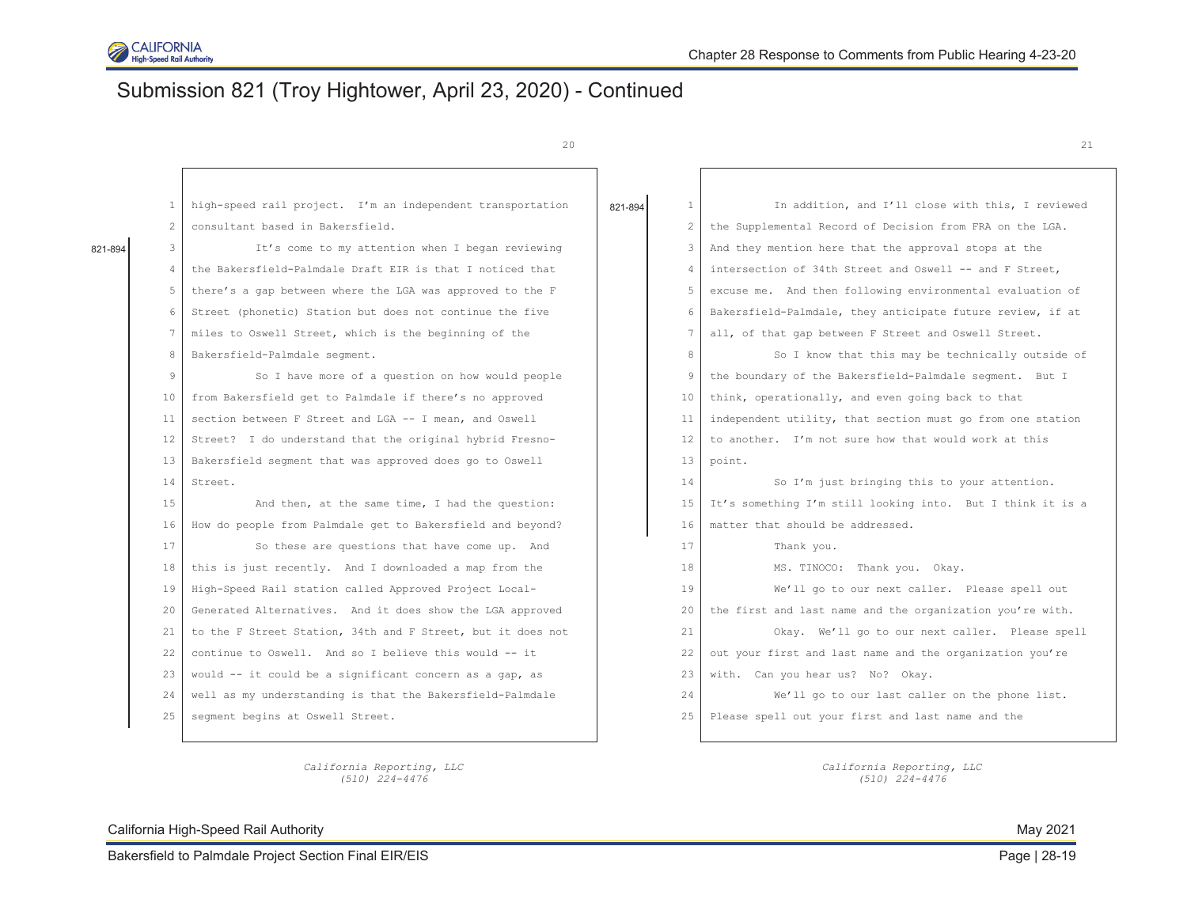

# Submission 821 (Troy Hightower, April 23, 2020) - Continued

20  $\hspace{1.5cm}$  21

|         | 1  | high-speed rail project. I'm an independent transportation  | 821-894 | $\mathbf{1}$ | In addition, and I'll close with this, I reviewed          |
|---------|----|-------------------------------------------------------------|---------|--------------|------------------------------------------------------------|
|         |    | consultant based in Bakersfield.                            |         | $2^{\circ}$  | the Supplemental Record of Decision from FRA on the LGA.   |
| 821-894 | 3  | It's come to my attention when I began reviewing            |         | 3            | And they mention here that the approval stops at the       |
|         |    | the Bakersfield-Palmdale Draft EIR is that I noticed that   |         | 4            | intersection of 34th Street and Oswell -- and F Street,    |
|         | 5  | there's a gap between where the LGA was approved to the F   |         | $5 -$        | excuse me. And then following environmental evaluation of  |
|         | 6  | Street (phonetic) Station but does not continue the five    |         | 6            | Bakersfield-Palmdale, they anticipate future review, if at |
|         |    | miles to Oswell Street, which is the beginning of the       |         | $\tau$       | all, of that gap between F Street and Oswell Street.       |
|         | 8  | Bakersfield-Palmdale segment.                               |         | 8            | So I know that this may be technically outside of          |
|         | 9  | So I have more of a question on how would people            |         | 9            | the boundary of the Bakersfield-Palmdale seqment. But I    |
|         | 10 | from Bakersfield get to Palmdale if there's no approved     |         | 10           | think, operationally, and even going back to that          |
|         | 11 | section between F Street and LGA -- I mean, and Oswell      |         | 11           | independent utility, that section must go from one station |
|         | 12 | Street? I do understand that the original hybrid Fresno-    |         | 12           | to another. I'm not sure how that would work at this       |
|         | 13 | Bakersfield segment that was approved does go to Oswell     |         | 13           | point.                                                     |
|         | 14 | Street.                                                     |         | 14           | So I'm just bringing this to your attention.               |
|         | 15 | And then, at the same time, I had the question:             |         | 15           | It's something I'm still looking into. But I think it is a |
|         | 16 | How do people from Palmdale get to Bakersfield and beyond?  |         | 16           | matter that should be addressed.                           |
|         | 17 | So these are questions that have come up. And               |         | 17           | Thank you.                                                 |
|         | 18 | this is just recently. And I downloaded a map from the      |         | 18           | MS. TINOCO: Thank you. Okay.                               |
|         | 19 | High-Speed Rail station called Approved Project Local-      |         | 19           | We'll go to our next caller. Please spell out              |
|         | 20 | Generated Alternatives. And it does show the LGA approved   |         | 20           | the first and last name and the organization you're with.  |
|         | 21 | to the F Street Station, 34th and F Street, but it does not |         | 21           | Okay. We'll go to our next caller. Please spell            |
|         | 22 | continue to Oswell. And so I believe this would -- it       |         | 22           | out your first and last name and the organization you're   |
|         | 23 | would -- it could be a significant concern as a gap, as     |         | 23           | with. Can you hear us? No? Okay.                           |
|         | 24 | well as my understanding is that the Bakersfield-Palmdale   |         | 24           | We'll go to our last caller on the phone list.             |
|         | 25 | segment begins at Oswell Street.                            |         | 2.5          | Please spell out your first and last name and the          |
|         |    |                                                             |         |              |                                                            |

*California Reporting, LLC California Reporting, LLC (510) 224-4476 (510) 224-4476* 

California High-Speed Rail Authority **May 2021** Nav 2021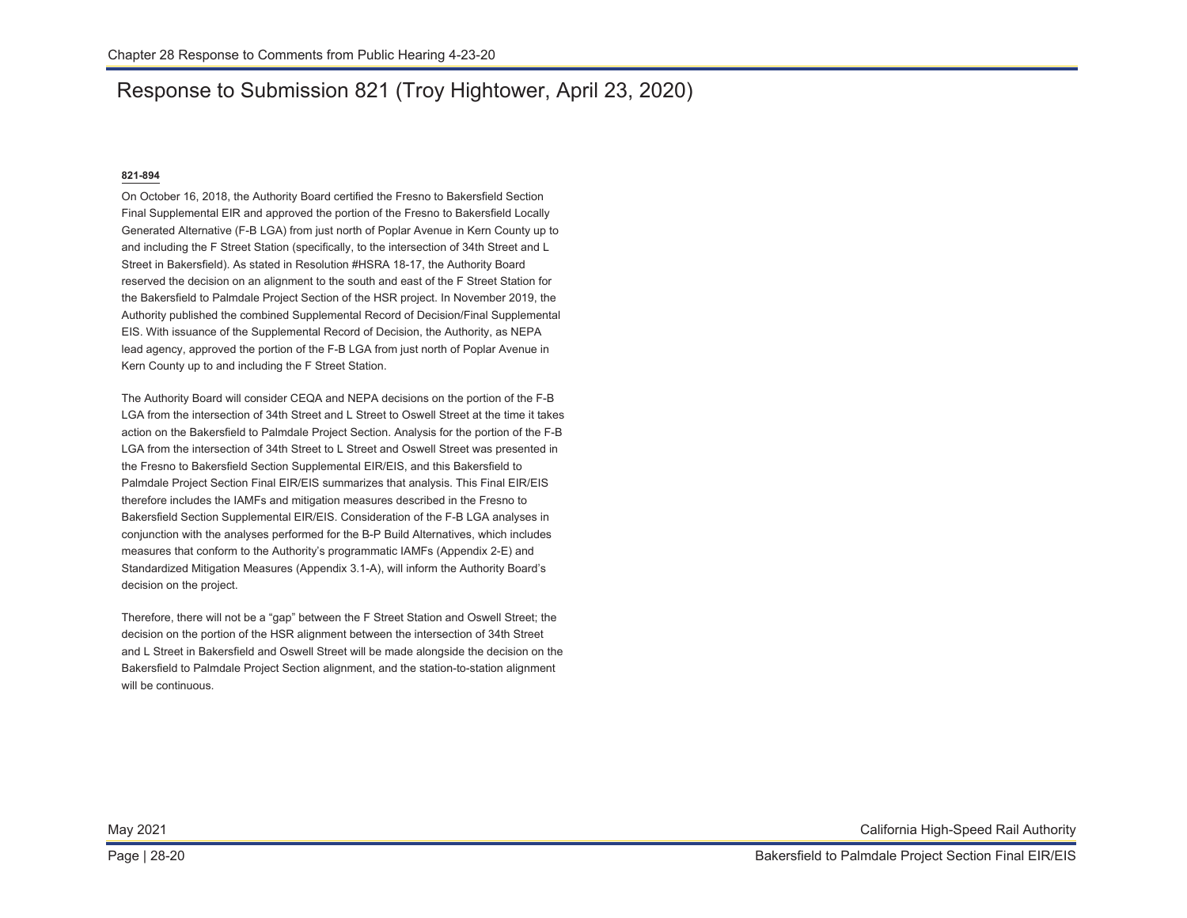# Response to Submission 821 (Troy Hightower, April 23, 2020)

### **821-894**

On October 16, 2018, the Authority Board certified the Fresno to Bakersfield Section Final Supplemental EIR and approved the portion of the Fresno to Bakersfield Locally Generated Alternative (F-B LGA) from just north of Poplar Avenue in Kern County up to and including the F Street Station (specifically, to the intersection of 34th Street and L Street in Bakersfield). As stated in Resolution #HSRA 18-17, the Authority Board reserved the decision on an alignment to the south and east of the F Street Station for the Bakersfield to Palmdale Project Section of the HSR project. In November 2019, the Authority published the combined Supplemental Record of Decision/Final Supplemental EIS. With issuance of the Supplemental Record of Decision, the Authority, as NEPA lead agency, approved the portion of the F-B LGA from just north of Poplar Avenue in Kern County up to and including the F Street Station.

The Authority Board will consider CEQA and NEPA decisions on the portion of the F-B LGA from the intersection of 34th Street and L Street to Oswell Street at the time it takes action on the Bakersfield to Palmdale Project Section. Analysis for the portion of the F-B LGA from the intersection of 34th Street to L Street and Oswell Street was presented in the Fresno to Bakersfield Section Supplemental EIR/EIS, and this Bakersfield to Palmdale Project Section Final EIR/EIS summarizes that analysis. This Final EIR/EIS therefore includes the IAMFs and mitigation measures described in the Fresno to Bakersfield Section Supplemental EIR/EIS. Consideration of the F-B LGA analyses in conjunction with the analyses performed for the B-P Build Alternatives, which includes measures that conform to the Authority's programmatic IAMFs (Appendix 2-E) and Standardized Mitigation Measures (Appendix 3.1-A), will inform the Authority Board's decision on the project.

Therefore, there will not be a "gap" between the F Street Station and Oswell Street; the decision on the portion of the HSR alignment between the intersection of 34th Street and L Street in Bakersfield and Oswell Street will be made alongside the decision on the Bakersfield to Palmdale Project Section alignment, and the station-to-station alignment will be continuous.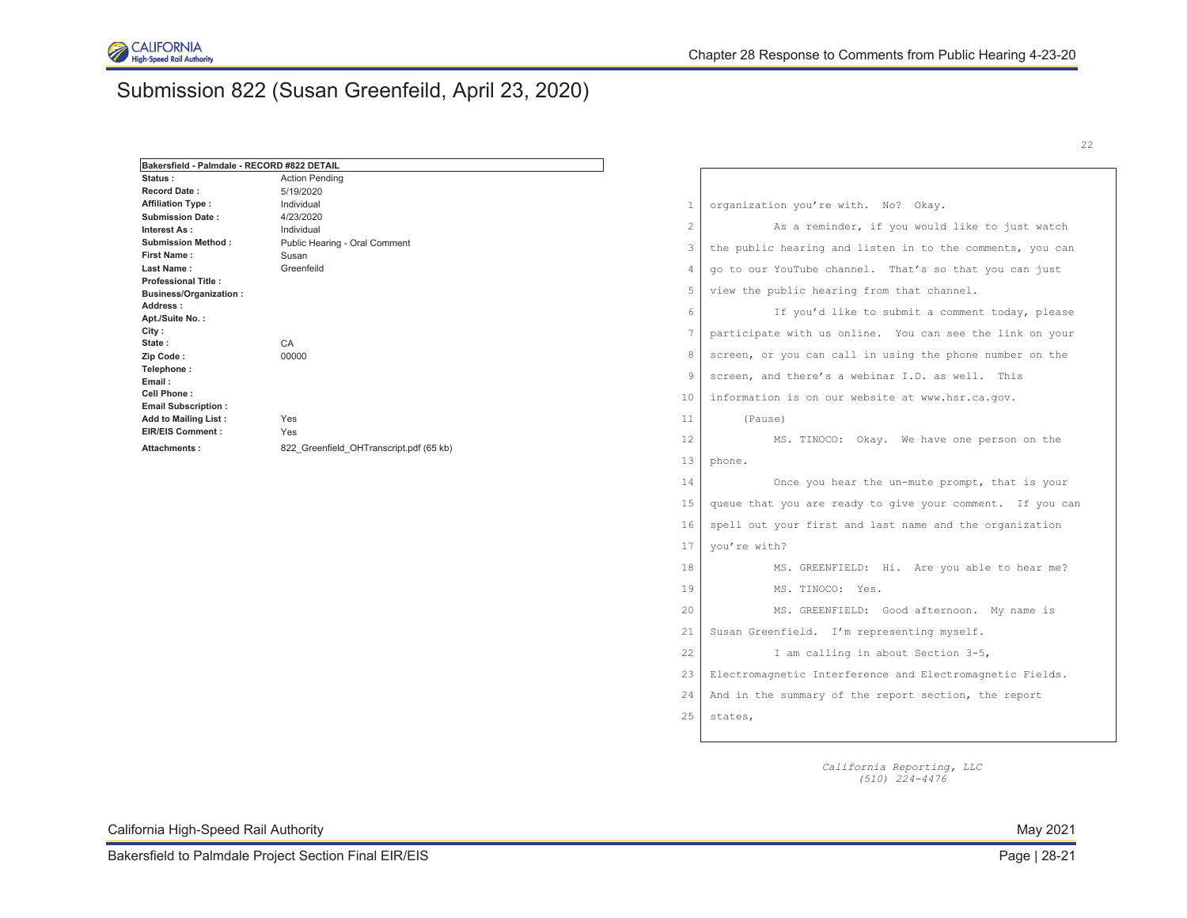

# Submission 822 (Susan Greenfeild, April 23, 2020)

| Bakersfield - Palmdale - RECORD #822 DETAIL            |                                                      |                |                                                           |
|--------------------------------------------------------|------------------------------------------------------|----------------|-----------------------------------------------------------|
| Status:                                                | <b>Action Pending</b>                                |                |                                                           |
| <b>Record Date:</b>                                    | 5/19/2020                                            |                |                                                           |
| <b>Affiliation Type:</b>                               | Individual                                           | 1              | organization you're with. No? Okay.                       |
| <b>Submission Date:</b>                                | 4/23/2020                                            |                |                                                           |
| Interest As:                                           | Individual                                           | $\overline{c}$ | As a reminder, if you would like to just watch            |
| <b>Submission Method:</b>                              | Public Hearing - Oral Comment<br>Susan<br>Greenfeild | 3              | the public hearing and listen in to the comments, you can |
| <b>First Name:</b><br>Last Name:                       |                                                      | $\overline{4}$ |                                                           |
| <b>Professional Title:</b>                             |                                                      |                | go to our YouTube channel. That's so that you can just    |
| <b>Business/Organization:</b>                          |                                                      | 5              | view the public hearing from that channel.                |
| Address:                                               |                                                      | 6              | If you'd like to submit a comment today, please           |
| Apt./Suite No.:                                        |                                                      |                |                                                           |
| City :                                                 |                                                      | 7              | participate with us online. You can see the link on your  |
| State:<br>Zip Code:                                    | CA<br>00000                                          | 8              | screen, or you can call in using the phone number on the  |
| Telephone:                                             |                                                      |                |                                                           |
| Email:                                                 |                                                      | 9              | screen, and there's a webinar I.D. as well. This          |
| Cell Phone:                                            |                                                      | 10             | information is on our website at www.hsr.ca.gov.          |
| <b>Email Subscription:</b>                             |                                                      |                |                                                           |
| <b>Add to Mailing List:</b><br><b>EIR/EIS Comment:</b> | Yes<br>Yes                                           | 11             | (Pause)                                                   |
| Attachments:                                           | 822 Greenfield OHTranscript.pdf (65 kb)              | 12             | MS. TINOCO: Okay. We have one person on the               |
|                                                        |                                                      | 13             | phone.                                                    |
|                                                        |                                                      | 14             | Once you hear the un-mute prompt, that is your            |
|                                                        |                                                      | 15             | queue that you are ready to give your comment. If you can |
|                                                        |                                                      | 16             | spell out your first and last name and the organization   |
|                                                        |                                                      | 17             | you're with?                                              |
|                                                        |                                                      | 18             | MS. GREENFIELD: Hi. Are you able to hear me?              |
|                                                        |                                                      | 19             | MS. TINOCO: Yes.                                          |
|                                                        |                                                      | 20             | MS. GREENFIELD: Good afternoon. My name is                |
|                                                        |                                                      | 21             | Susan Greenfield. I'm representing myself.                |
|                                                        |                                                      | 22             | I am calling in about Section 3-5,                        |
|                                                        |                                                      | 23             | Electromagnetic Interference and Electromagnetic Fields.  |
|                                                        |                                                      | 24             | And in the summary of the report section, the report      |
|                                                        |                                                      | 25             | states,                                                   |
|                                                        |                                                      |                |                                                           |

*California Reporting, LLC (510) 224-4476* 

California High-Speed Rail Authority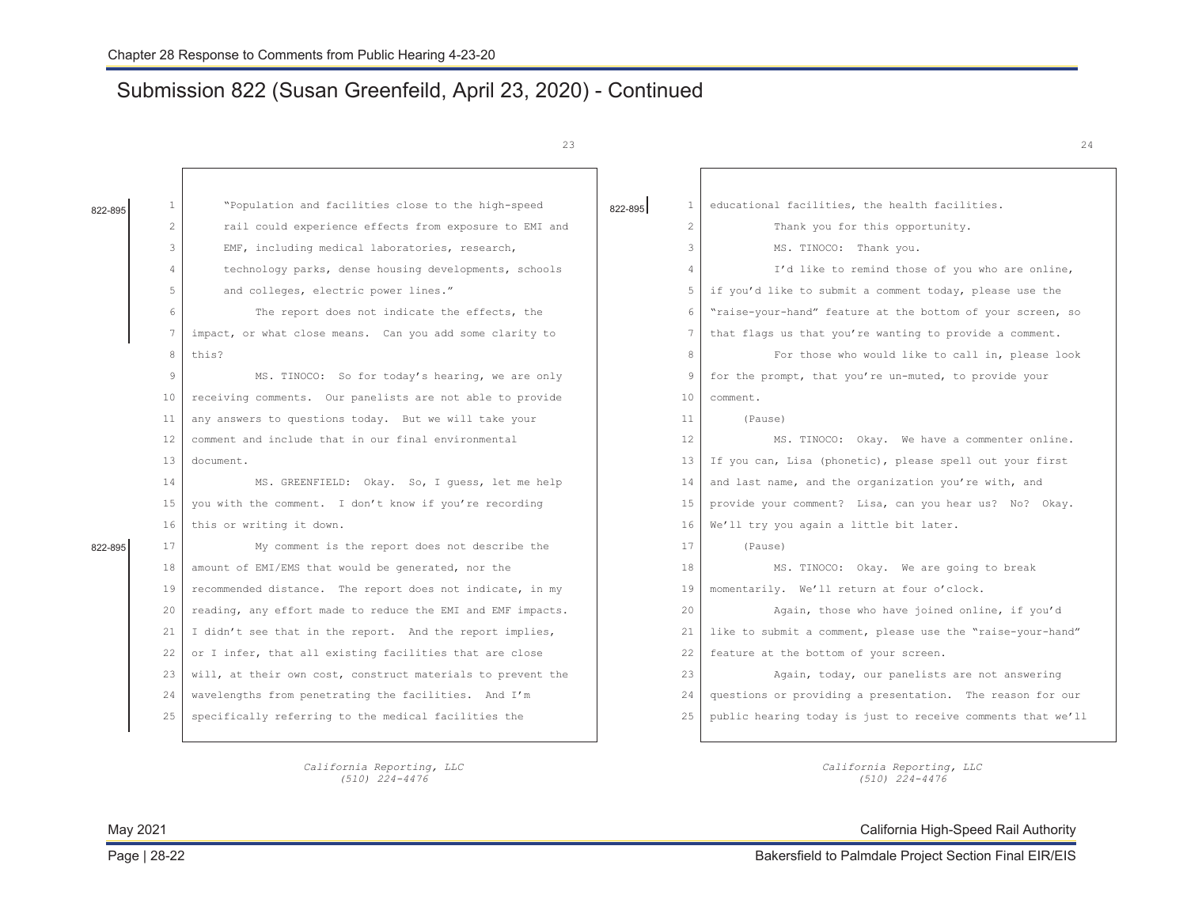# Submission 822 (Susan Greenfeild, April 23, 2020) - Continued

*California Reporting, LLC (510) 224-4476* 

23

| 822-895 | $\mathbf{1}$          | "Population and facilities close to the high-speed          | $\mathbf{1}$<br>822-895 | educational facilities, the health facilities.              |
|---------|-----------------------|-------------------------------------------------------------|-------------------------|-------------------------------------------------------------|
|         | $\mathbf{2}^{\prime}$ | rail could experience effects from exposure to EMI and      | $\overline{2}$          | Thank you for this opportunity.                             |
|         | 3                     | EMF, including medical laboratories, research,              | 3                       | MS. TINOCO: Thank you.                                      |
|         | $\overline{4}$        | technology parks, dense housing developments, schools       | $\overline{4}$          | I'd like to remind those of you who are online,             |
|         | 5                     | and colleges, electric power lines."                        | 5                       | if you'd like to submit a comment today, please use the     |
|         | 6                     | The report does not indicate the effects, the               | 6                       | "raise-your-hand" feature at the bottom of your screen, so  |
|         | $7\overline{ }$       | impact, or what close means. Can you add some clarity to    | 7                       | that flags us that you're wanting to provide a comment.     |
|         | 8                     | this?                                                       | 8                       | For those who would like to call in, please look            |
|         | 9                     | MS. TINOCO: So for today's hearing, we are only             | 9                       | for the prompt, that you're un-muted, to provide your       |
|         | 10                    | receiving comments. Our panelists are not able to provide   | 10 <sup>°</sup>         | comment.                                                    |
|         | 11                    | any answers to questions today. But we will take your       | 11                      | (Pause)                                                     |
|         | $12 \overline{ }$     | comment and include that in our final environmental         | $12 \overline{ }$       | MS. TINOCO: Okay. We have a commenter online.               |
|         | 13                    | document.                                                   | 13                      | If you can, Lisa (phonetic), please spell out your first    |
|         | 14                    | MS. GREENFIELD: Okay. So, I quess, let me help              | 14                      | and last name, and the organization you're with, and        |
|         | 15                    | you with the comment. I don't know if you're recording      | 15                      | provide your comment? Lisa, can you hear us? No? Okay.      |
|         | 16                    | this or writing it down.                                    | 16                      | We'll try you again a little bit later.                     |
| 822-895 | 17                    | My comment is the report does not describe the              | 17                      | (Pause)                                                     |
|         | 18                    | amount of EMI/EMS that would be generated, nor the          | 18                      | MS. TINOCO: Okay. We are going to break                     |
|         | 19                    | recommended distance. The report does not indicate, in my   | 19                      | momentarily. We'll return at four o'clock.                  |
|         | 20                    | reading, any effort made to reduce the EMI and EMF impacts. | 20                      | Again, those who have joined online, if you'd               |
|         | 21                    | I didn't see that in the report. And the report implies,    | 21                      | like to submit a comment, please use the "raise-your-hand"  |
|         | 22                    | or I infer, that all existing facilities that are close     | 22                      | feature at the bottom of your screen.                       |
|         | 23                    | will, at their own cost, construct materials to prevent the | 23                      | Again, today, our panelists are not answering               |
|         | 24                    | wavelengths from penetrating the facilities. And I'm        | 24                      | questions or providing a presentation. The reason for our   |
|         | 25                    | specifically referring to the medical facilities the        | 25                      | public hearing today is just to receive comments that we'll |
|         |                       |                                                             |                         |                                                             |

*California Reporting, LLC (510) 224-4476* 

May 2021 California High-Speed Rail Authority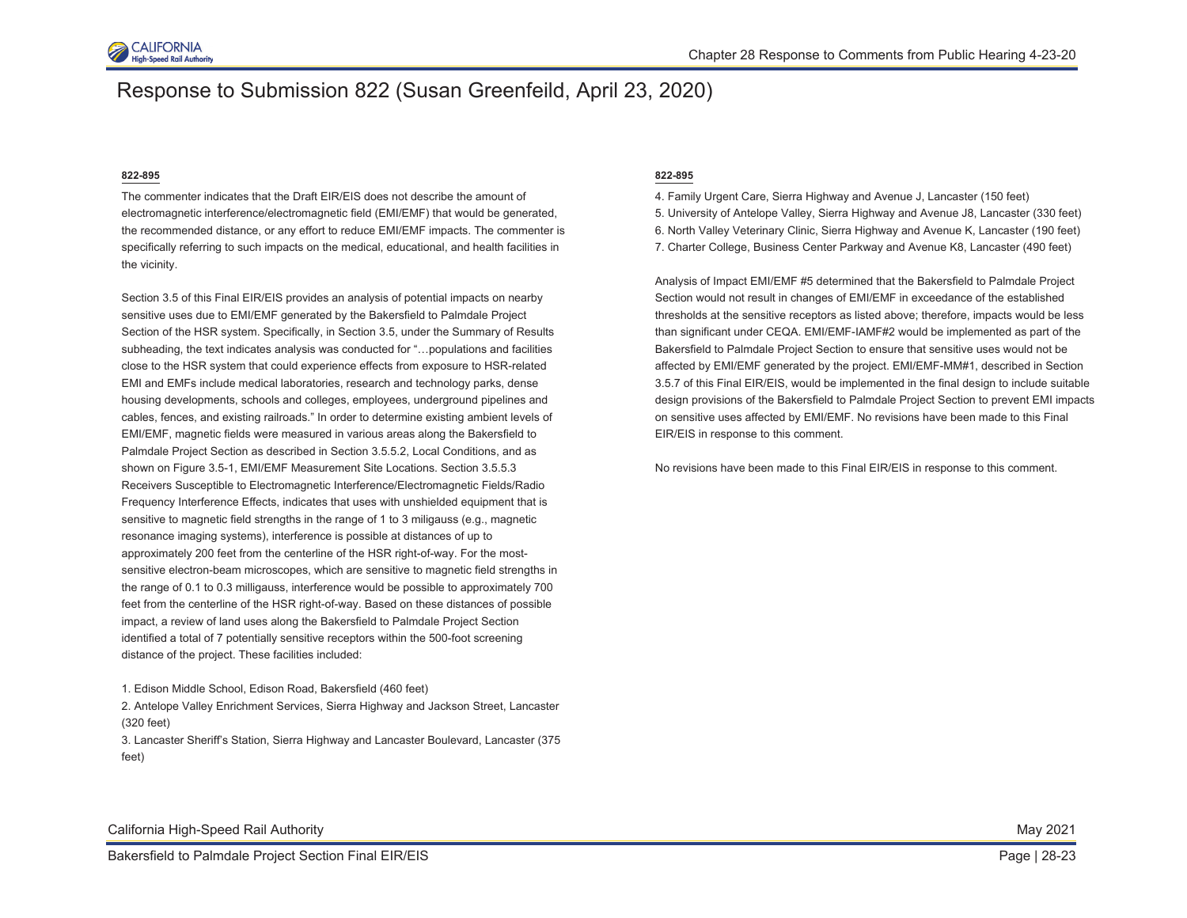

### Response to Submission 822 (Susan Greenfeild, April 23, 2020)

#### **822-895**

The commenter indicates that the Draft EIR/EIS does not describe the amount of electromagnetic interference/electromagnetic field (EMI/EMF) that would be generated, the recommended distance, or any effort to reduce EMI/EMF impacts. The commenter is specifically referring to such impacts on the medical, educational, and health facilities in the vicinity.

Section 3.5 of this Final EIR/EIS provides an analysis of potential impacts on nearby sensitive uses due to EMI/EMF generated by the Bakersfield to Palmdale Project Section of the HSR system. Specifically, in Section 3.5, under the Summary of Results subheading, the text indicates analysis was conducted for "…populations and facilities close to the HSR system that could experience effects from exposure to HSR-related EMI and EMFs include medical laboratories, research and technology parks, dense housing developments, schools and colleges, employees, underground pipelines and cables, fences, and existing railroads." In order to determine existing ambient levels of EMI/EMF, magnetic fields were measured in various areas along the Bakersfield to Palmdale Project Section as described in Section 3.5.5.2, Local Conditions, and as shown on Figure 3.5-1, EMI/EMF Measurement Site Locations. Section 3.5.5.3 Receivers Susceptible to Electromagnetic Interference/Electromagnetic Fields/Radio Frequency Interference Effects, indicates that uses with unshielded equipment that is sensitive to magnetic field strengths in the range of 1 to 3 miligauss (e.g., magnetic resonance imaging systems), interference is possible at distances of up to approximately 200 feet from the centerline of the HSR right-of-way. For the mostsensitive electron-beam microscopes, which are sensitive to magnetic field strengths in the range of 0.1 to 0.3 milligauss, interference would be possible to approximately 700 feet from the centerline of the HSR right-of-way. Based on these distances of possible impact, a review of land uses along the Bakersfield to Palmdale Project Section identified a total of 7 potentially sensitive receptors within the 500-foot screening distance of the project. These facilities included:

#### **822-895**

- 4. Family Urgent Care, Sierra Highway and Avenue J, Lancaster (150 feet)
- 5. University of Antelope Valley, Sierra Highway and Avenue J8, Lancaster (330 feet)
- 6. North Valley Veterinary Clinic, Sierra Highway and Avenue K, Lancaster (190 feet)
- 7. Charter College, Business Center Parkway and Avenue K8, Lancaster (490 feet)

Analysis of Impact EMI/EMF #5 determined that the Bakersfield to Palmdale Project Section would not result in changes of EMI/EMF in exceedance of the established thresholds at the sensitive receptors as listed above; therefore, impacts would be less than significant under CEQA. EMI/EMF-IAMF#2 would be implemented as part of the Bakersfield to Palmdale Project Section to ensure that sensitive uses would not be affected by EMI/EMF generated by the project. EMI/EMF-MM#1, described in Section 3.5.7 of this Final EIR/EIS, would be implemented in the final design to include suitable design provisions of the Bakersfield to Palmdale Project Section to prevent EMI impacts on sensitive uses affected by EMI/EMF. No revisions have been made to this Final EIR/EIS in response to this comment.

No revisions have been made to this Final EIR/EIS in response to this comment.

<sup>1.</sup> Edison Middle School, Edison Road, Bakersfield (460 feet)

<sup>2.</sup> Antelope Valley Enrichment Services, Sierra Highway and Jackson Street, Lancaster (320 feet)

<sup>3.</sup> Lancaster Sheriff's Station, Sierra Highway and Lancaster Boulevard, Lancaster (375 feet)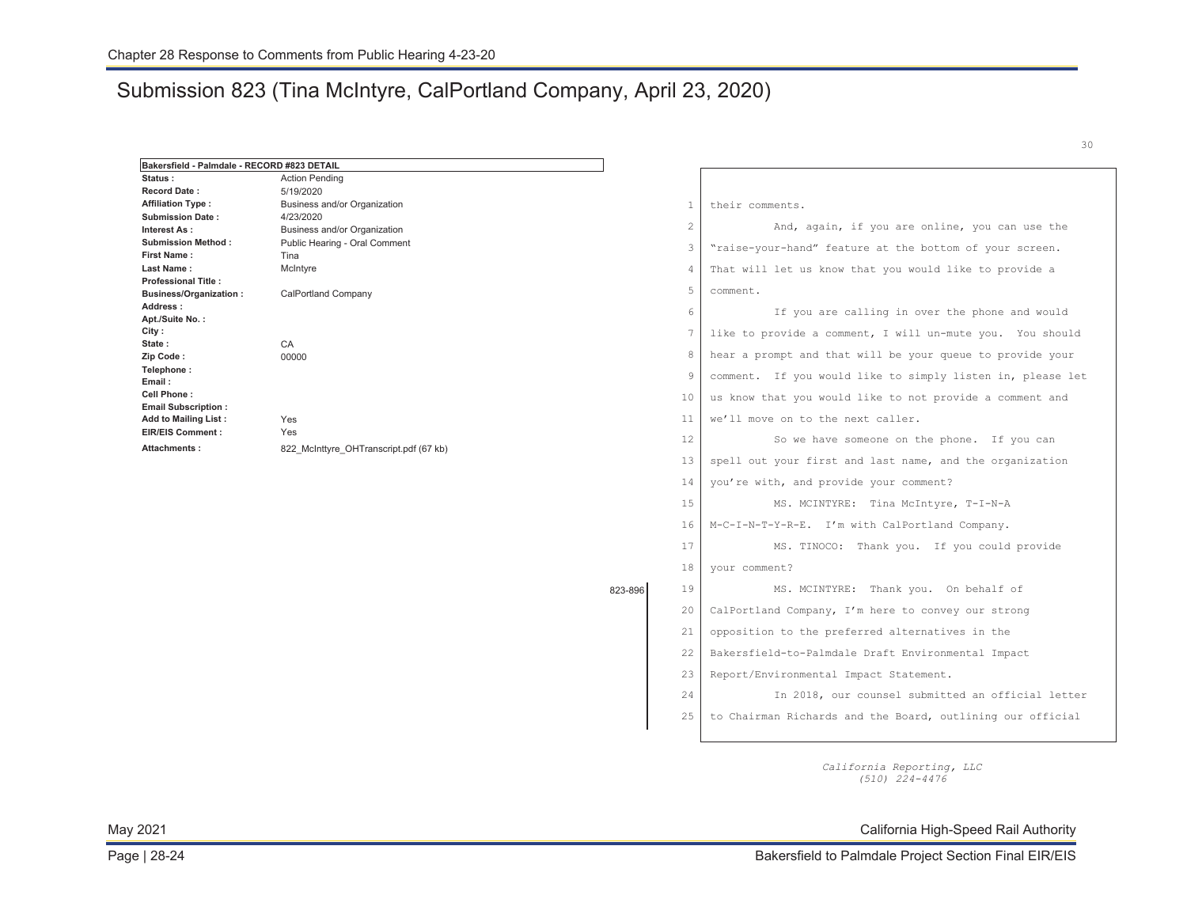# Submission 823 (Tina McIntyre, CalPortland Company, April 23, 2020)

| Bakersfield - Palmdale - RECORD #823 DETAIL    |                                        |         |                |                                                            |
|------------------------------------------------|----------------------------------------|---------|----------------|------------------------------------------------------------|
| Status:                                        | <b>Action Pending</b>                  |         |                |                                                            |
| <b>Record Date:</b>                            | 5/19/2020                              |         |                |                                                            |
| <b>Affiliation Type:</b>                       | Business and/or Organization           |         | $\mathbf{1}$   | their comments.                                            |
| <b>Submission Date:</b>                        | 4/23/2020                              |         | $\overline{c}$ | And, again, if you are online, you can use the             |
| Interest As:<br><b>Submission Method:</b>      | Business and/or Organization           |         |                |                                                            |
| <b>First Name:</b>                             | Public Hearing - Oral Comment<br>Tina  |         | 3              | "raise-your-hand" feature at the bottom of your screen.    |
| <b>Last Name:</b>                              | McIntyre                               |         | $\overline{4}$ | That will let us know that you would like to provide a     |
| <b>Professional Title:</b>                     |                                        |         |                |                                                            |
| <b>Business/Organization:</b>                  | <b>CalPortland Company</b>             |         | 5              | comment.                                                   |
| Address:                                       |                                        |         | 6              | If you are calling in over the phone and would             |
| Apt./Suite No.:                                |                                        |         |                |                                                            |
| City:<br>State:                                | CA                                     |         | 7              | like to provide a comment, I will un-mute you. You should  |
| Zip Code:                                      | 00000                                  |         | 8              | hear a prompt and that will be your queue to provide your  |
| Telephone:<br>Email:                           |                                        |         | 9              | comment. If you would like to simply listen in, please let |
| Cell Phone:                                    |                                        |         | 10             | us know that you would like to not provide a comment and   |
| <b>Email Subscription:</b>                     |                                        |         |                |                                                            |
| <b>Add to Mailing List:</b>                    | Yes<br>Yes                             |         | 11             | we'll move on to the next caller.                          |
| <b>EIR/EIS Comment:</b><br><b>Attachments:</b> | 822 McInttyre OHTranscript.pdf (67 kb) |         | 12             | So we have someone on the phone. If you can                |
|                                                |                                        |         | 13             | spell out your first and last name, and the organization   |
|                                                |                                        |         | 14             | you're with, and provide your comment?                     |
|                                                |                                        |         | 15             | MS. MCINTYRE: Tina McIntyre, T-I-N-A                       |
|                                                |                                        |         | 16             | M-C-I-N-T-Y-R-E. I'm with CalPortland Company.             |
|                                                |                                        |         | 17             | MS. TINOCO: Thank you. If you could provide                |
|                                                |                                        |         | 18             | your comment?                                              |
|                                                |                                        | 823-896 | 19             | MS. MCINTYRE: Thank you. On behalf of                      |
|                                                |                                        |         | 20             | CalPortland Company, I'm here to convey our strong         |
|                                                |                                        |         | 21             | opposition to the preferred alternatives in the            |
|                                                |                                        |         | 22             | Bakersfield-to-Palmdale Draft Environmental Impact         |
|                                                |                                        |         | 2.3            | Report/Environmental Impact Statement.                     |
|                                                |                                        |         | 24             | In 2018, our counsel submitted an official letter          |
|                                                |                                        |         | 25             | to Chairman Richards and the Board, outlining our official |
|                                                |                                        |         |                |                                                            |

*California Reporting, LLC (510) 224-4476* 

May 2021 California High-Speed Rail Authority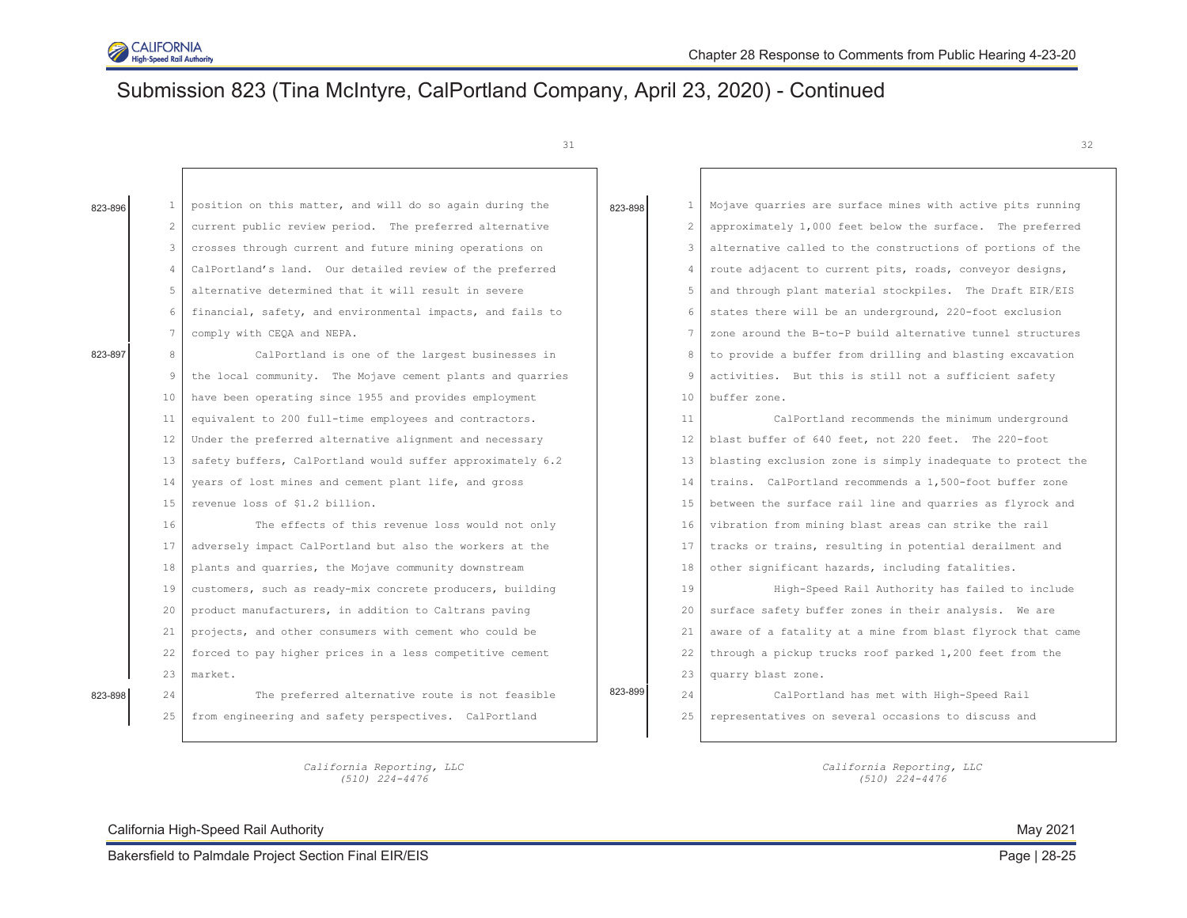

# Submission 823 (Tina McIntyre, CalPortland Company, April 23, 2020) - Continued

31

| 823-896 | 1  | position on this matter, and will do so again during the   | 823-898 | $\mathbf{1}$   | Mojave quarries are surface mines with active pits running  |
|---------|----|------------------------------------------------------------|---------|----------------|-------------------------------------------------------------|
|         | 2  | current public review period. The preferred alternative    |         | $\overline{2}$ | approximately 1,000 feet below the surface. The preferred   |
|         | 3  | crosses through current and future mining operations on    |         | 3              | alternative called to the constructions of portions of the  |
|         | 4  | CalPortland's land. Our detailed review of the preferred   |         | 4              | route adjacent to current pits, roads, conveyor designs,    |
|         | 5  | alternative determined that it will result in severe       |         | 5              | and through plant material stockpiles. The Draft EIR/EIS    |
|         | 6  | financial, safety, and environmental impacts, and fails to |         | 6              | states there will be an underground, 220-foot exclusion     |
|         | 7  | comply with CEQA and NEPA.                                 |         | 7              | zone around the B-to-P build alternative tunnel structures  |
| 823-897 | 8  | CalPortland is one of the largest businesses in            |         | 8              | to provide a buffer from drilling and blasting excavation   |
|         | 9  | the local community. The Mojave cement plants and quarries |         | 9              | activities. But this is still not a sufficient safety       |
|         | 10 | have been operating since 1955 and provides employment     |         | 10             | buffer zone.                                                |
|         | 11 | equivalent to 200 full-time employees and contractors.     |         | 11             | CalPortland recommends the minimum underground              |
|         | 12 | Under the preferred alternative alignment and necessary    |         | 12             | blast buffer of 640 feet, not 220 feet. The 220-foot        |
|         | 13 | safety buffers, CalPortland would suffer approximately 6.2 |         | 13             | blasting exclusion zone is simply inadequate to protect the |
|         | 14 | years of lost mines and cement plant life, and gross       |         | 14             | trains. CalPortland recommends a 1,500-foot buffer zone     |
|         | 15 | revenue loss of \$1.2 billion.                             |         | 15             | between the surface rail line and quarries as flyrock and   |
|         | 16 | The effects of this revenue loss would not only            |         | 16             | vibration from mining blast areas can strike the rail       |
|         | 17 | adversely impact CalPortland but also the workers at the   |         | 17             | tracks or trains, resulting in potential derailment and     |
|         | 18 | plants and quarries, the Mojave community downstream       |         | 18             | other significant hazards, including fatalities.            |
|         | 19 | customers, such as ready-mix concrete producers, building  |         | 19             | High-Speed Rail Authority has failed to include             |
|         | 20 | product manufacturers, in addition to Caltrans paving      |         | 20             | surface safety buffer zones in their analysis. We are       |
|         | 21 | projects, and other consumers with cement who could be     |         | 21             | aware of a fatality at a mine from blast flyrock that came  |
|         | 22 | forced to pay higher prices in a less competitive cement   |         | 22             | through a pickup trucks roof parked 1,200 feet from the     |
|         | 23 | market.                                                    |         | 23             | quarry blast zone.                                          |
| 823-898 | 24 | The preferred alternative route is not feasible            | 823-899 | 2.4            | CalPortland has met with High-Speed Rail                    |
|         | 25 | from engineering and safety perspectives. CalPortland      |         | 25             | representatives on several occasions to discuss and         |
|         |    |                                                            |         |                |                                                             |

*California Reporting, LLC (510) 224-4476* 

California High-Speed Rail Authority **May 2021** Nav 2021

*California Reporting, LLC (510) 224-4476*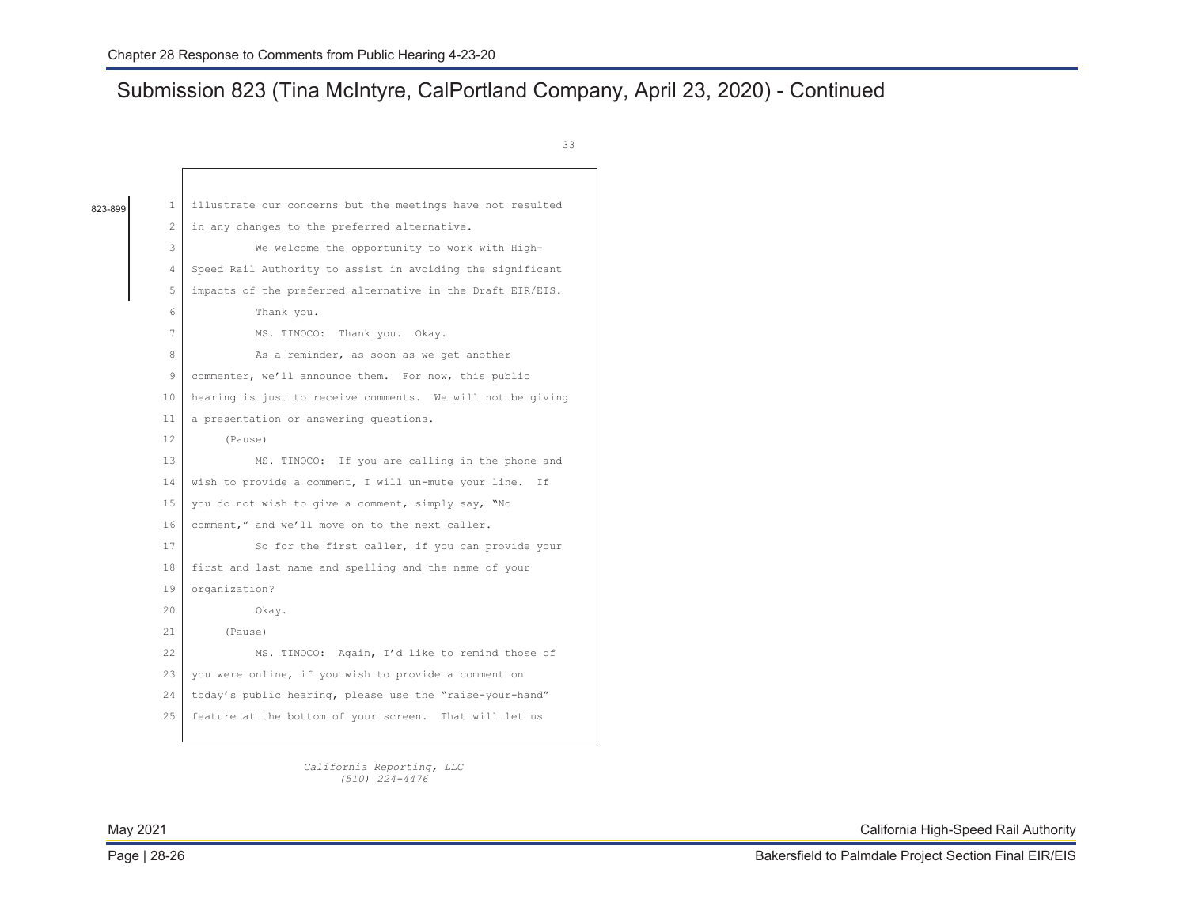г

# Submission 823 (Tina McIntyre, CalPortland Company, April 23, 2020) - Continued

33

| 823-899 | $\mathbf{1}$ | illustrate our concerns but the meetings have not resulted |
|---------|--------------|------------------------------------------------------------|
|         | 2            | in any changes to the preferred alternative.               |
|         | 3            | We welcome the opportunity to work with High-              |
|         | 4            | Speed Rail Authority to assist in avoiding the significant |
|         | 5            | impacts of the preferred alternative in the Draft EIR/EIS. |
|         | 6            | Thank you.                                                 |
|         | 7            | MS. TINOCO: Thank you. Okay.                               |
|         | 8            | As a reminder, as soon as we get another                   |
|         | 9            | commenter, we'll announce them. For now, this public       |
|         | 10           | hearing is just to receive comments. We will not be giving |
|         | 11           | a presentation or answering questions.                     |
|         | 12.          | (Pause)                                                    |
|         | 13           | MS. TINOCO: If you are calling in the phone and            |
|         | 14           | wish to provide a comment, I will un-mute your line. If    |
|         | 15           | you do not wish to give a comment, simply say, "No         |
|         | 16           | comment," and we'll move on to the next caller.            |
|         | 17           | So for the first caller, if you can provide your           |
|         | 18           | first and last name and spelling and the name of your      |
|         | 19           | organization?                                              |
|         | $20 -$       | Okay.                                                      |
|         | $21 -$       | (Pause)                                                    |
|         | 22           | MS. TINOCO: Again, I'd like to remind those of             |
|         | 2.3          | you were online, if you wish to provide a comment on       |
|         | 2.4          | today's public hearing, please use the "raise-your-hand"   |
|         | 25           | feature at the bottom of your screen. That will let us     |
|         |              |                                                            |

*California Reporting, LLC (510) 224-4476*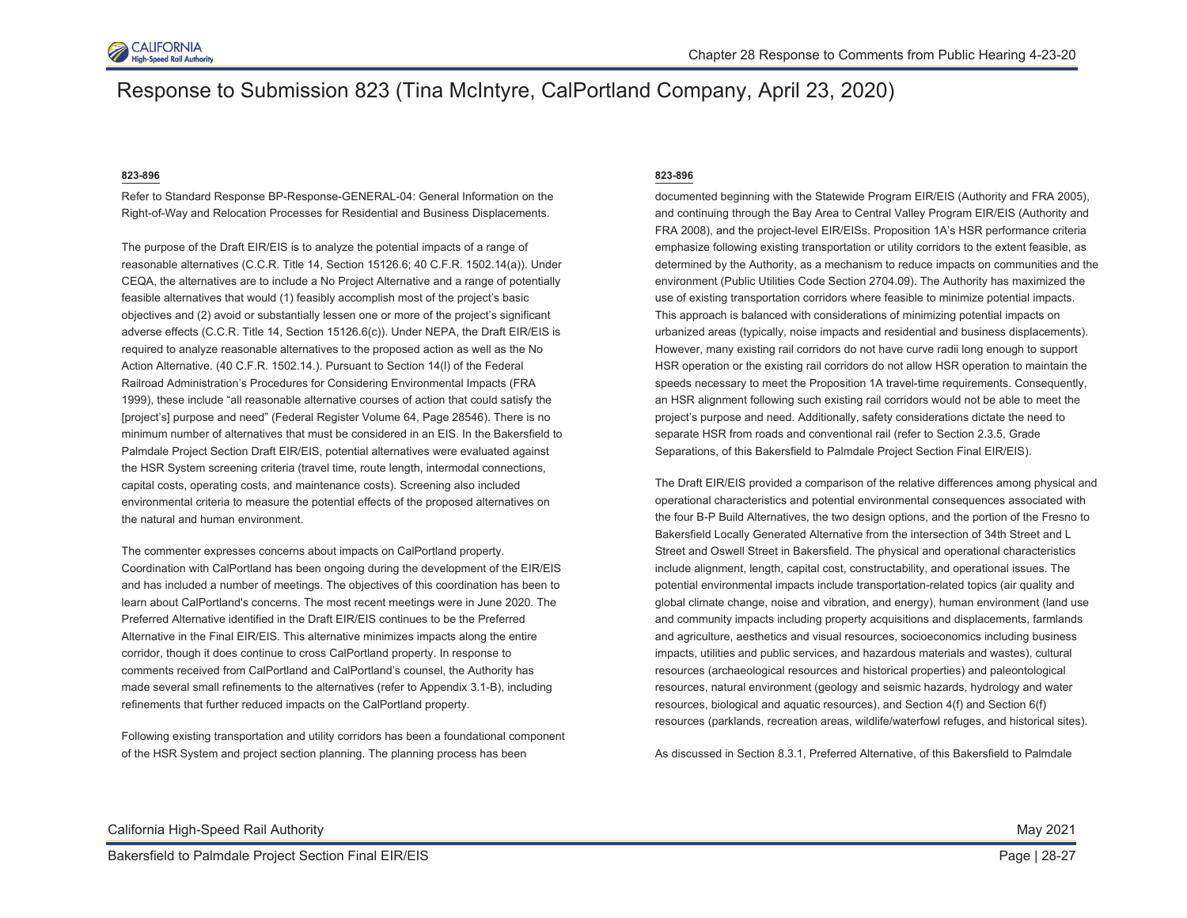

### Response to Submission 823 (Tina McIntyre, CalPortland Company, April 23, 2020)

#### **823-896**

Refer to Standard Response BP-Response-GENERAL-04: General Information on the Right-of-Way and Relocation Processes for Residential and Business Displacements.

The purpose of the Draft EIR/EIS is to analyze the potential impacts of a range of reasonable alternatives (C.C.R. Title 14, Section 15126.6; 40 C.F.R. 1502.14(a)). Under CEQA, the alternatives are to include a No Project Alternative and a range of potentially feasible alternatives that would (1) feasibly accomplish most of the project's basic objectives and (2) avoid or substantially lessen one or more of the project's significant adverse effects (C.C.R. Title 14, Section 15126.6(c)). Under NEPA, the Draft EIR/EIS is required to analyze reasonable alternatives to the proposed action as well as the No Action Alternative. (40 C.F.R. 1502.14.). Pursuant to Section 14(l) of the Federal Railroad Administration's Procedures for Considering Environmental Impacts (FRA 1999), these include "all reasonable alternative courses of action that could satisfy the [project's] purpose and need" (Federal Register Volume 64, Page 28546). There is no minimum number of alternatives that must be considered in an EIS. In the Bakersfield to Palmdale Project Section Draft EIR/EIS, potential alternatives were evaluated against the HSR System screening criteria (travel time, route length, intermodal connections, capital costs, operating costs, and maintenance costs). Screening also included environmental criteria to measure the potential effects of the proposed alternatives on the natural and human environment.

The commenter expresses concerns about impacts on CalPortland property. Coordination with CalPortland has been ongoing during the development of the EIR/EIS and has included a number of meetings. The objectives of this coordination has been to learn about CalPortland's concerns. The most recent meetings were in June 2020. The Preferred Alternative identified in the Draft EIR/EIS continues to be the Preferred Alternative in the Final EIR/EIS. This alternative minimizes impacts along the entire corridor, though it does continue to cross CalPortland property. In response to comments received from CalPortland and CalPortland's counsel, the Authority has made several small refinements to the alternatives (refer to Appendix 3.1-B), including refinements that further reduced impacts on the CalPortland property.

Following existing transportation and utility corridors has been a foundational component of the HSR System and project section planning. The planning process has been

#### **823-896**

documented beginning with the Statewide Program EIR/EIS (Authority and FRA 2005), and continuing through the Bay Area to Central Valley Program EIR/EIS (Authority and FRA 2008), and the project-level EIR/EISs. Proposition 1A's HSR performance criteria emphasize following existing transportation or utility corridors to the extent feasible, as determined by the Authority, as a mechanism to reduce impacts on communities and the environment (Public Utilities Code Section 2704.09). The Authority has maximized the use of existing transportation corridors where feasible to minimize potential impacts. This approach is balanced with considerations of minimizing potential impacts on urbanized areas (typically, noise impacts and residential and business displacements). However, many existing rail corridors do not have curve radii long enough to support HSR operation or the existing rail corridors do not allow HSR operation to maintain the speeds necessary to meet the Proposition 1A travel-time requirements. Consequently, an HSR alignment following such existing rail corridors would not be able to meet the project's purpose and need. Additionally, safety considerations dictate the need to separate HSR from roads and conventional rail (refer to Section 2.3.5, Grade Separations, of this Bakersfield to Palmdale Project Section Final EIR/EIS).

The Draft EIR/EIS provided a comparison of the relative differences among physical and operational characteristics and potential environmental consequences associated with the four B-P Build Alternatives, the two design options, and the portion of the Fresno to Bakersfield Locally Generated Alternative from the intersection of 34th Street and L Street and Oswell Street in Bakersfield. The physical and operational characteristics include alignment, length, capital cost, constructability, and operational issues. The potential environmental impacts include transportation-related topics (air quality and global climate change, noise and vibration, and energy), human environment (land use and community impacts including property acquisitions and displacements, farmlands and agriculture, aesthetics and visual resources, socioeconomics including business impacts, utilities and public services, and hazardous materials and wastes), cultural resources (archaeological resources and historical properties) and paleontological resources, natural environment (geology and seismic hazards, hydrology and water resources, biological and aquatic resources), and Section 4(f) and Section 6(f) resources (parklands, recreation areas, wildlife/waterfowl refuges, and historical sites).

As discussed in Section 8.3.1, Preferred Alternative, of this Bakersfield to Palmdale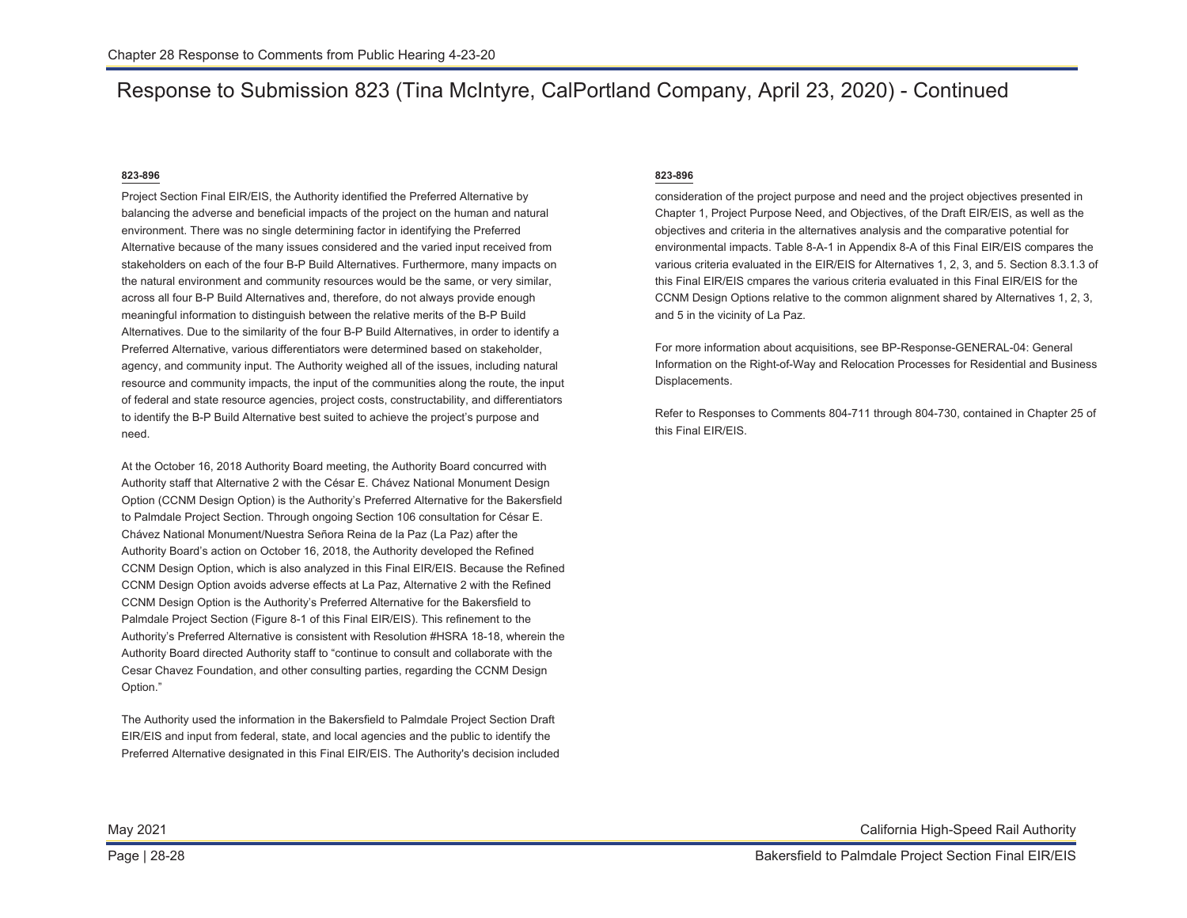### Response to Submission 823 (Tina McIntyre, CalPortland Company, April 23, 2020) - Continued

### **823-896**

Project Section Final EIR/EIS, the Authority identified the Preferred Alternative by balancing the adverse and beneficial impacts of the project on the human and natural environment. There was no single determining factor in identifying the Preferred Alternative because of the many issues considered and the varied input received from stakeholders on each of the four B-P Build Alternatives. Furthermore, many impacts on the natural environment and community resources would be the same, or very similar, across all four B-P Build Alternatives and, therefore, do not always provide enough meaningful information to distinguish between the relative merits of the B-P Build Alternatives. Due to the similarity of the four B-P Build Alternatives, in order to identify a Preferred Alternative, various differentiators were determined based on stakeholder, agency, and community input. The Authority weighed all of the issues, including natural resource and community impacts, the input of the communities along the route, the input of federal and state resource agencies, project costs, constructability, and differentiators to identify the B-P Build Alternative best suited to achieve the project's purpose and need.

At the October 16, 2018 Authority Board meeting, the Authority Board concurred with Authority staff that Alternative 2 with the César E. Chávez National Monument Design Option (CCNM Design Option) is the Authority's Preferred Alternative for the Bakersfield to Palmdale Project Section. Through ongoing Section 106 consultation for César E. Chávez National Monument/Nuestra Señora Reina de la Paz (La Paz) after the Authority Board's action on October 16, 2018, the Authority developed the Refined CCNM Design Option, which is also analyzed in this Final EIR/EIS. Because the Refined CCNM Design Option avoids adverse effects at La Paz, Alternative 2 with the Refined CCNM Design Option is the Authority's Preferred Alternative for the Bakersfield to Palmdale Project Section (Figure 8-1 of this Final EIR/EIS). This refinement to the Authority's Preferred Alternative is consistent with Resolution #HSRA 18-18, wherein the Authority Board directed Authority staff to "continue to consult and collaborate with the Cesar Chavez Foundation, and other consulting parties, regarding the CCNM Design Option."

The Authority used the information in the Bakersfield to Palmdale Project Section Draft EIR/EIS and input from federal, state, and local agencies and the public to identify the Preferred Alternative designated in this Final EIR/EIS. The Authority's decision included

### **823-896**

consideration of the project purpose and need and the project objectives presented in Chapter 1, Project Purpose Need, and Objectives, of the Draft EIR/EIS, as well as the objectives and criteria in the alternatives analysis and the comparative potential for environmental impacts. Table 8-A-1 in Appendix 8-A of this Final EIR/EIS compares the various criteria evaluated in the EIR/EIS for Alternatives 1, 2, 3, and 5. Section 8.3.1.3 of this Final EIR/EIS cmpares the various criteria evaluated in this Final EIR/EIS for the CCNM Design Options relative to the common alignment shared by Alternatives 1, 2, 3, and 5 in the vicinity of La Paz.

For more information about acquisitions, see BP-Response-GENERAL-04: General Information on the Right-of-Way and Relocation Processes for Residential and Business Displacements.

Refer to Responses to Comments 804-711 through 804-730, contained in Chapter 25 of this Final EIR/EIS.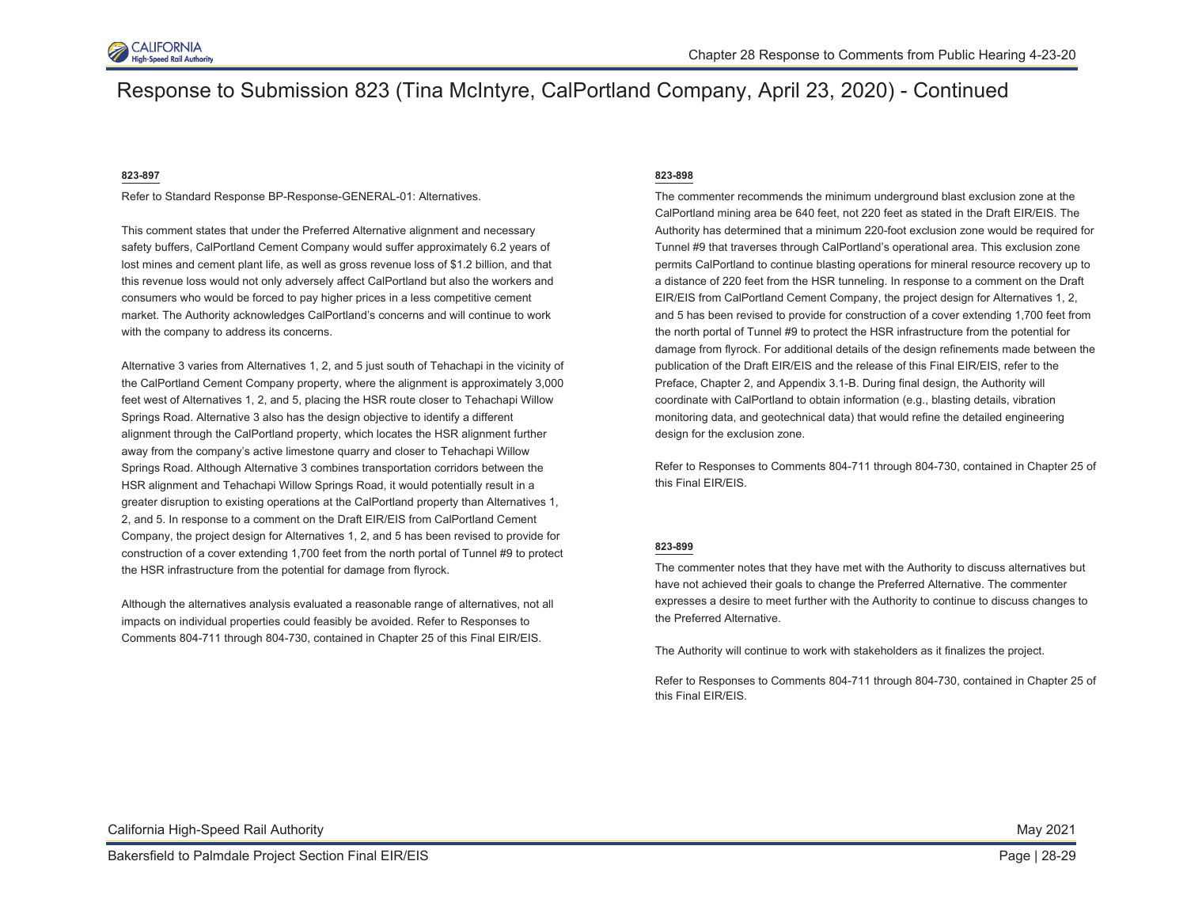

### Response to Submission 823 (Tina McIntyre, CalPortland Company, April 23, 2020) - Continued

#### **823-897**

Refer to Standard Response BP-Response-GENERAL-01: Alternatives.

This comment states that under the Preferred Alternative alignment and necessary safety buffers, CalPortland Cement Company would suffer approximately 6.2 years of lost mines and cement plant life, as well as gross revenue loss of \$1.2 billion, and that this revenue loss would not only adversely affect CalPortland but also the workers and consumers who would be forced to pay higher prices in a less competitive cement market. The Authority acknowledges CalPortland's concerns and will continue to work with the company to address its concerns.

Alternative 3 varies from Alternatives 1, 2, and 5 just south of Tehachapi in the vicinity of the CalPortland Cement Company property, where the alignment is approximately 3,000 feet west of Alternatives 1, 2, and 5, placing the HSR route closer to Tehachapi Willow Springs Road. Alternative 3 also has the design objective to identify a different alignment through the CalPortland property, which locates the HSR alignment further away from the company's active limestone quarry and closer to Tehachapi Willow Springs Road. Although Alternative 3 combines transportation corridors between the HSR alignment and Tehachapi Willow Springs Road, it would potentially result in a greater disruption to existing operations at the CalPortland property than Alternatives 1, 2, and 5. In response to a comment on the Draft EIR/EIS from CalPortland Cement Company, the project design for Alternatives 1, 2, and 5 has been revised to provide for construction of a cover extending 1,700 feet from the north portal of Tunnel #9 to protect the HSR infrastructure from the potential for damage from flyrock.

Although the alternatives analysis evaluated a reasonable range of alternatives, not all impacts on individual properties could feasibly be avoided. Refer to Responses to Comments 804-711 through 804-730, contained in Chapter 25 of this Final EIR/EIS.

#### **823-898**

The commenter recommends the minimum underground blast exclusion zone at the CalPortland mining area be 640 feet, not 220 feet as stated in the Draft EIR/EIS. The Authority has determined that a minimum 220-foot exclusion zone would be required for Tunnel #9 that traverses through CalPortland's operational area. This exclusion zone permits CalPortland to continue blasting operations for mineral resource recovery up to a distance of 220 feet from the HSR tunneling. In response to a comment on the Draft EIR/EIS from CalPortland Cement Company, the project design for Alternatives 1, 2, and 5 has been revised to provide for construction of a cover extending 1,700 feet from the north portal of Tunnel #9 to protect the HSR infrastructure from the potential for damage from flyrock. For additional details of the design refinements made between the publication of the Draft EIR/EIS and the release of this Final EIR/EIS, refer to the Preface, Chapter 2, and Appendix 3.1-B. During final design, the Authority will coordinate with CalPortland to obtain information (e.g., blasting details, vibration monitoring data, and geotechnical data) that would refine the detailed engineering design for the exclusion zone.

Refer to Responses to Comments 804-711 through 804-730, contained in Chapter 25 of this Final EIR/EIS.

#### **823-899**

The commenter notes that they have met with the Authority to discuss alternatives but have not achieved their goals to change the Preferred Alternative. The commenter expresses a desire to meet further with the Authority to continue to discuss changes to the Preferred Alternative.

The Authority will continue to work with stakeholders as it finalizes the project.

Refer to Responses to Comments 804-711 through 804-730, contained in Chapter 25 of this Final EIR/EIS.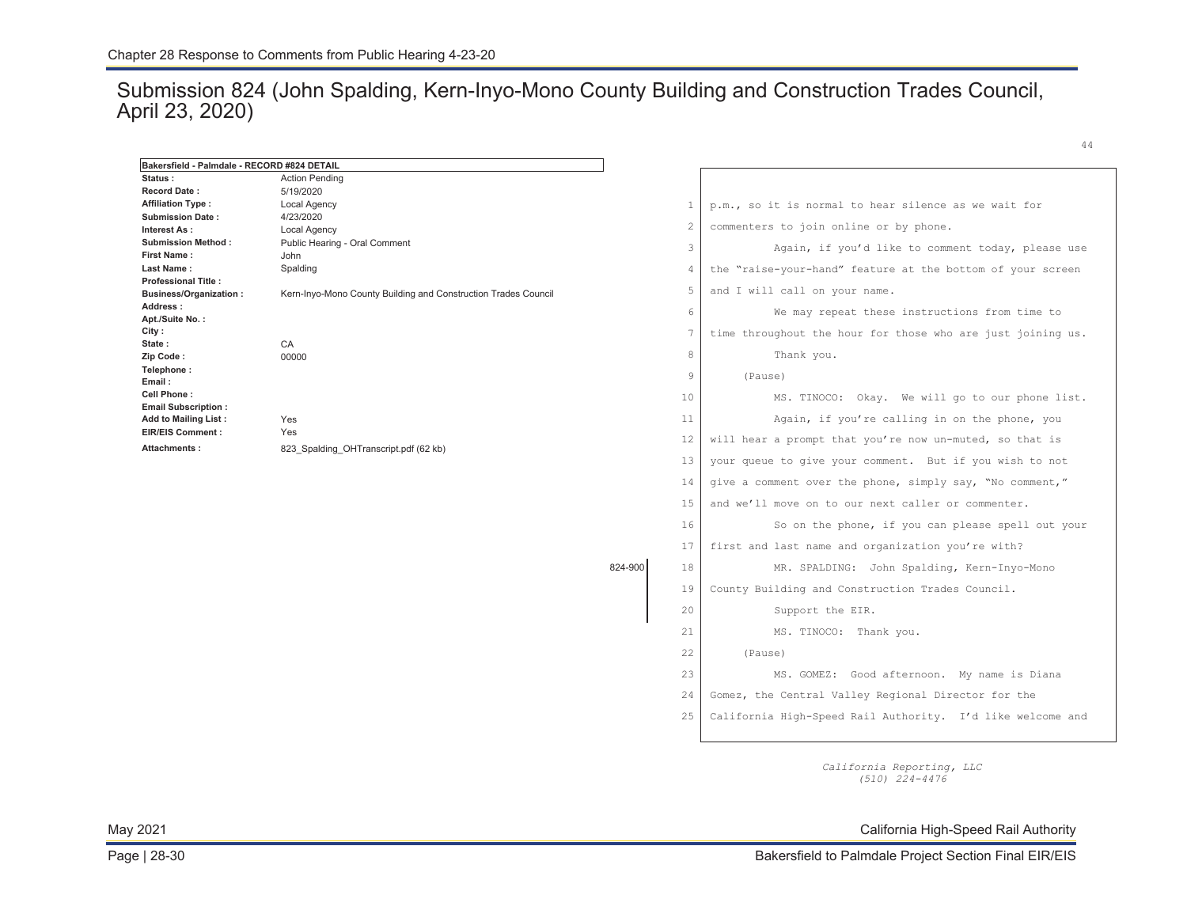### Submission 824 (John Spalding, Kern-Inyo-Mono County Building and Construction Trades Council, April 23, 2020)

824-900

| Bakersfield - Palmdale - RECORD #824 DETAIL |                                                                |
|---------------------------------------------|----------------------------------------------------------------|
| Status:                                     | <b>Action Pending</b>                                          |
| <b>Record Date:</b>                         | 5/19/2020                                                      |
| <b>Affiliation Type:</b>                    | Local Agency                                                   |
| <b>Submission Date:</b>                     | 4/23/2020                                                      |
| Interest As:                                | Local Agency                                                   |
| <b>Submission Method:</b>                   | Public Hearing - Oral Comment                                  |
| <b>First Name:</b>                          | John                                                           |
| Last Name:                                  | Spalding                                                       |
| <b>Professional Title:</b>                  |                                                                |
| <b>Business/Organization:</b>               | Kern-Inyo-Mono County Building and Construction Trades Council |
| Address:                                    |                                                                |
| Apt./Suite No.:                             |                                                                |
| City:                                       |                                                                |
| State:                                      | CA                                                             |
| Zip Code:                                   | 00000                                                          |
| Telephone:                                  |                                                                |
| Email:                                      |                                                                |
| Cell Phone:                                 |                                                                |
| <b>Email Subscription:</b>                  |                                                                |
| <b>Add to Mailing List:</b>                 | Yes                                                            |
| <b>EIR/EIS Comment:</b>                     | Yes                                                            |
| Attachments:                                | 823 Spalding OHTranscript.pdf (62 kb)                          |
|                                             |                                                                |
|                                             |                                                                |
|                                             |                                                                |
|                                             |                                                                |
|                                             |                                                                |
|                                             |                                                                |

| 1              | p.m., so it is normal to hear silence as we wait for        |
|----------------|-------------------------------------------------------------|
| $\overline{c}$ | commenters to join online or by phone.                      |
| 3              | Again, if you'd like to comment today, please use           |
| 4              | the "raise-your-hand" feature at the bottom of your screen  |
| 5              | and I will call on your name.                               |
| 6              | We may repeat these instructions from time to               |
| 7              | time throughout the hour for those who are just joining us. |
| 8              | Thank you.                                                  |
| 9              | (Pause)                                                     |
| 10             | MS. TINOCO: Okay. We will go to our phone list.             |
| 11             | Again, if you're calling in on the phone, you               |
| 12             | will hear a prompt that you're now un-muted, so that is     |
| 13             | your queue to give your comment. But if you wish to not     |
| 14             | give a comment over the phone, simply say, "No comment,"    |
| 1.5            | and we'll move on to our next caller or commenter.          |
| 16             | So on the phone, if you can please spell out your           |
| 17             | first and last name and organization you're with?           |
| 18             | MR. SPALDING: John Spalding, Kern-Inyo-Mono                 |
| 19             | County Building and Construction Trades Council.            |
| 20             | Support the EIR.                                            |
| 21             | MS. TINOCO: Thank you.                                      |
| 22             | (Pause)                                                     |
| 23             | MS. GOMEZ: Good afternoon. My name is Diana                 |
| 24             | Gomez, the Central Valley Regional Director for the         |
| 25             | California High-Speed Rail Authority. I'd like welcome and  |

*California Reporting, LLC (510) 224-4476* 

May 2021 California High-Speed Rail Authority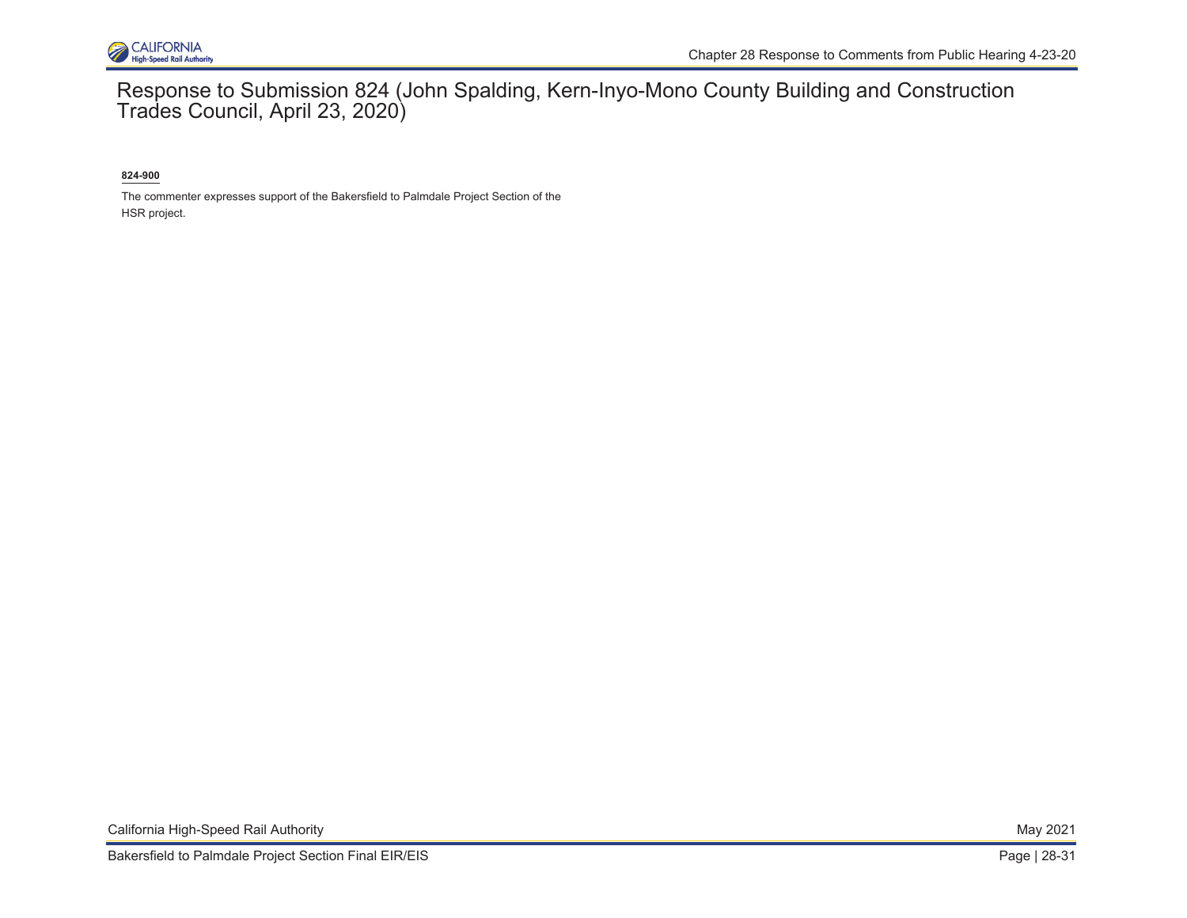

Response to Submission 824 (John Spalding, Kern-Inyo-Mono County Building and Construction Trades Council, April 23, 2020)

**824-900** 

The commenter expresses support of the Bakersfield to Palmdale Project Section of the HSR project.

California High-Speed Rail Authority May 2021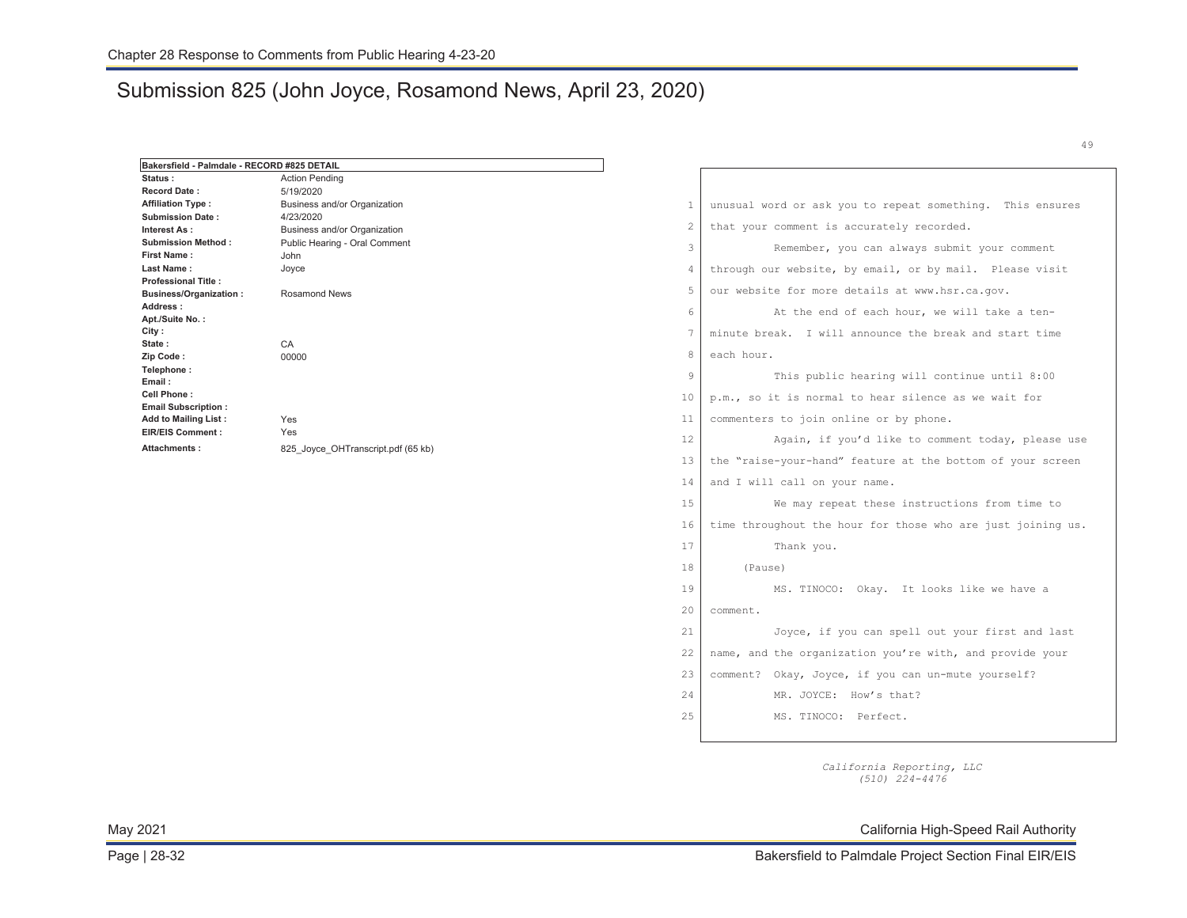### Submission 825 (John Joyce, Rosamond News, April 23, 2020)

| Bakersfield - Palmdale - RECORD #825 DETAIL |                                    |
|---------------------------------------------|------------------------------------|
| Status:                                     | <b>Action Pending</b>              |
| <b>Record Date:</b>                         | 5/19/2020                          |
| <b>Affiliation Type:</b>                    | Business and/or Organization       |
| <b>Submission Date:</b>                     | 4/23/2020                          |
| Interest As:                                | Business and/or Organization       |
| <b>Submission Method:</b>                   | Public Hearing - Oral Comment      |
| <b>First Name:</b>                          | John                               |
| Last Name:                                  | Joyce                              |
| <b>Professional Title:</b>                  |                                    |
| <b>Business/Organization:</b>               | <b>Rosamond News</b>               |
| Address:                                    |                                    |
| Apt./Suite No.:                             |                                    |
| City:                                       |                                    |
| State:                                      | CA                                 |
| Zip Code:                                   | 00000                              |
| Telephone:                                  |                                    |
| Email:                                      |                                    |
| Cell Phone:                                 |                                    |
| <b>Email Subscription:</b>                  |                                    |
| <b>Add to Mailing List:</b>                 | Yes                                |
| <b>EIR/EIS Comment:</b>                     | Yes                                |
| Attachments:                                | 825 Joyce OHTranscript.pdf (65 kb) |
|                                             |                                    |
|                                             |                                    |
|                                             |                                    |
|                                             |                                    |
|                                             |                                    |
|                                             |                                    |

1 | unusual word or ask you to repeat something. This ensures 2 that your comment is accurately recorded. 3 Remember, you can always submit your comment through our website, by email, or by mail. Please visit our website for more details at [www.hsr.ca.gov.](http://www.hsr.ca.gov) 4 5 6 At the end of each hour, we will take a tenminute break. I will announce the break and start time each hour. 7 8 9 This public hearing will continue until 8:00 p.m., so it is normal to hear silence as we wait for commenters to join online or by phone. 10 11 12 Again, if you'd like to comment today, please use the "raise-your-hand" feature at the bottom of your screen and I will call on your name. 13 14 15 We may repeat these instructions from time to 16 time throughout the hour for those who are just joining us. 17 Thank you. 18 (Pause) 19 MS. TINOCO: Okay. It looks like we have a 20 comment. 21 Joyce, if you can spell out your first and last name, and the organization you're with, and provide your comment? Okay, Joyce, if you can un-mute yourself? 22 23 24 MR. JOYCE: How's that? 25 MS. TINOCO: Perfect.

> *California Reporting, LLC (510) 224-4476*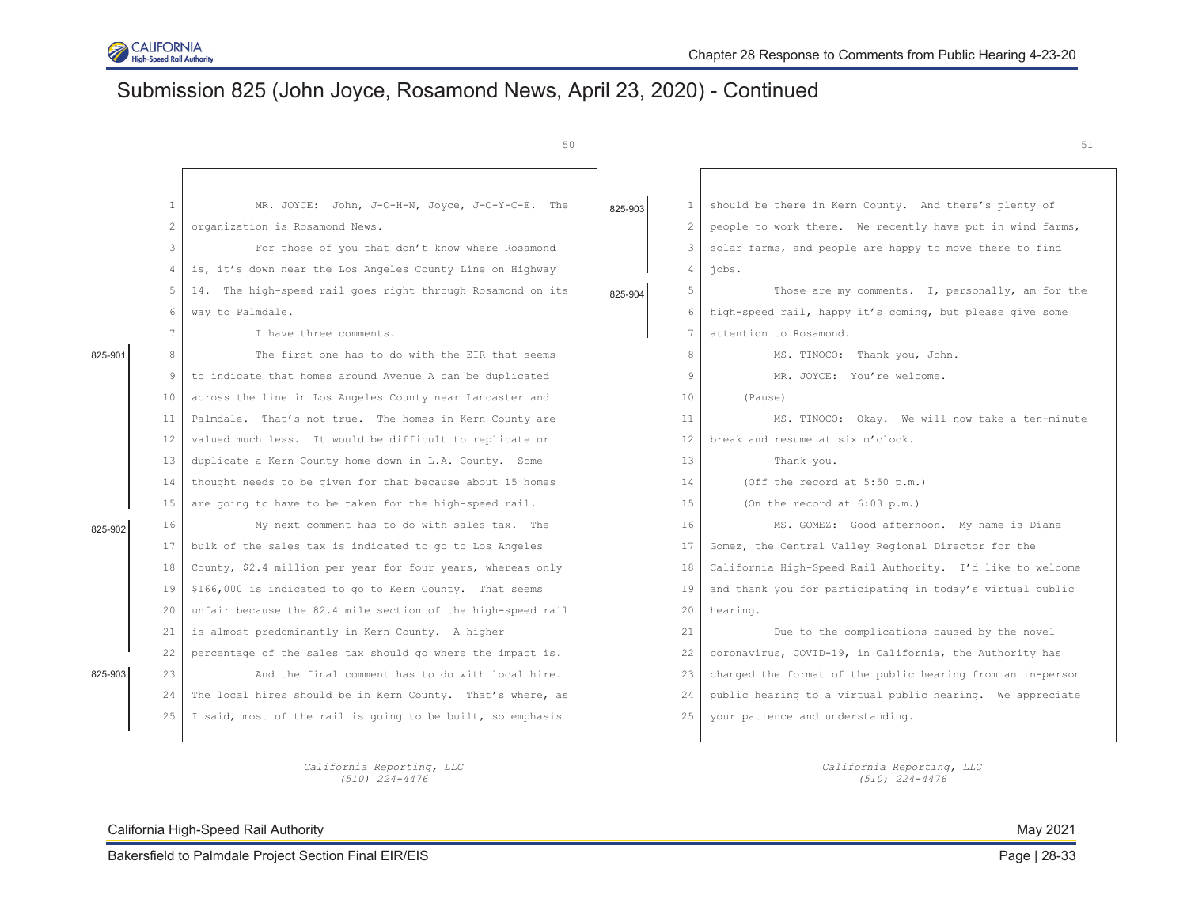

# Submission 825 (John Joyce, Rosamond News, April 23, 2020) - Continued

| ۰.<br>. . | ۹<br>× |  |
|-----------|--------|--|

|         |                | 50                                                          |         |                 | 51                                                         |
|---------|----------------|-------------------------------------------------------------|---------|-----------------|------------------------------------------------------------|
|         |                |                                                             |         |                 |                                                            |
|         | $\mathbf{1}$   | MR. JOYCE: John, J-O-H-N, Joyce, J-O-Y-C-E. The             | 825-903 | $\mathbf{1}$    | should be there in Kern County. And there's plenty of      |
|         | $\overline{2}$ | organization is Rosamond News.                              |         | $\mathbf{2}$    | people to work there. We recently have put in wind farms,  |
|         | 3              | For those of you that don't know where Rosamond             |         | 3               | solar farms, and people are happy to move there to find    |
|         | 4              | is, it's down near the Los Angeles County Line on Highway   |         | $\overline{4}$  | iobs.                                                      |
|         | 5              | 14. The high-speed rail goes right through Rosamond on its  | 825-904 | 5               | Those are my comments. I, personally, am for the           |
|         | 6              | way to Palmdale.                                            |         | 6               | high-speed rail, happy it's coming, but please give some   |
|         | 7              | I have three comments.                                      |         | $7\phantom{.0}$ | attention to Rosamond.                                     |
| 825-901 | 8              | The first one has to do with the EIR that seems             |         | 8               | MS. TINOCO: Thank you, John.                               |
|         | 9              | to indicate that homes around Avenue A can be duplicated    |         | 9               | MR. JOYCE: You're welcome.                                 |
|         | 10             | across the line in Los Angeles County near Lancaster and    |         | 10              | (Pause)                                                    |
|         | 11             | Palmdale. That's not true. The homes in Kern County are     |         | 11              | MS. TINOCO: Okay. We will now take a ten-minute            |
|         | 12             | valued much less. It would be difficult to replicate or     |         | 12              | break and resume at six o'clock.                           |
|         | 13             | duplicate a Kern County home down in L.A. County. Some      |         | 13              | Thank you.                                                 |
|         | 14             | thought needs to be given for that because about 15 homes   |         | 14              | (Off the record at $5:50$ p.m.)                            |
|         | 15             | are going to have to be taken for the high-speed rail.      |         | 15              | (On the record at $6:03$ p.m.)                             |
| 825-902 | 16             | My next comment has to do with sales tax. The               |         | 16              | MS. GOMEZ: Good afternoon. My name is Diana                |
|         | 17             | bulk of the sales tax is indicated to go to Los Angeles     |         | 17              | Gomez, the Central Valley Regional Director for the        |
|         | 18             | County, \$2.4 million per year for four years, whereas only |         | 18              | California High-Speed Rail Authority. I'd like to welcome  |
|         | 19             | \$166,000 is indicated to go to Kern County. That seems     |         | 19              | and thank you for participating in today's virtual public  |
|         | 20             | unfair because the 82.4 mile section of the high-speed rail |         | 20              | hearing.                                                   |
|         | 2.1            | is almost predominantly in Kern County. A higher            |         | 21              | Due to the complications caused by the novel               |
|         | 22             | percentage of the sales tax should go where the impact is.  |         | 22              | coronavirus, COVID-19, in California, the Authority has    |
| 825-903 | 23             | And the final comment has to do with local hire.            |         | 23              | changed the format of the public hearing from an in-person |
|         | 24             | The local hires should be in Kern County. That's where, as  |         | 24              | public hearing to a virtual public hearing. We appreciate  |
|         | 25             | I said, most of the rail is going to be built, so emphasis  |         | 25              | your patience and understanding.                           |
|         |                |                                                             |         |                 |                                                            |

*California Reporting, LLC California Reporting, LLC (510) 224-4476 (510) 224-4476*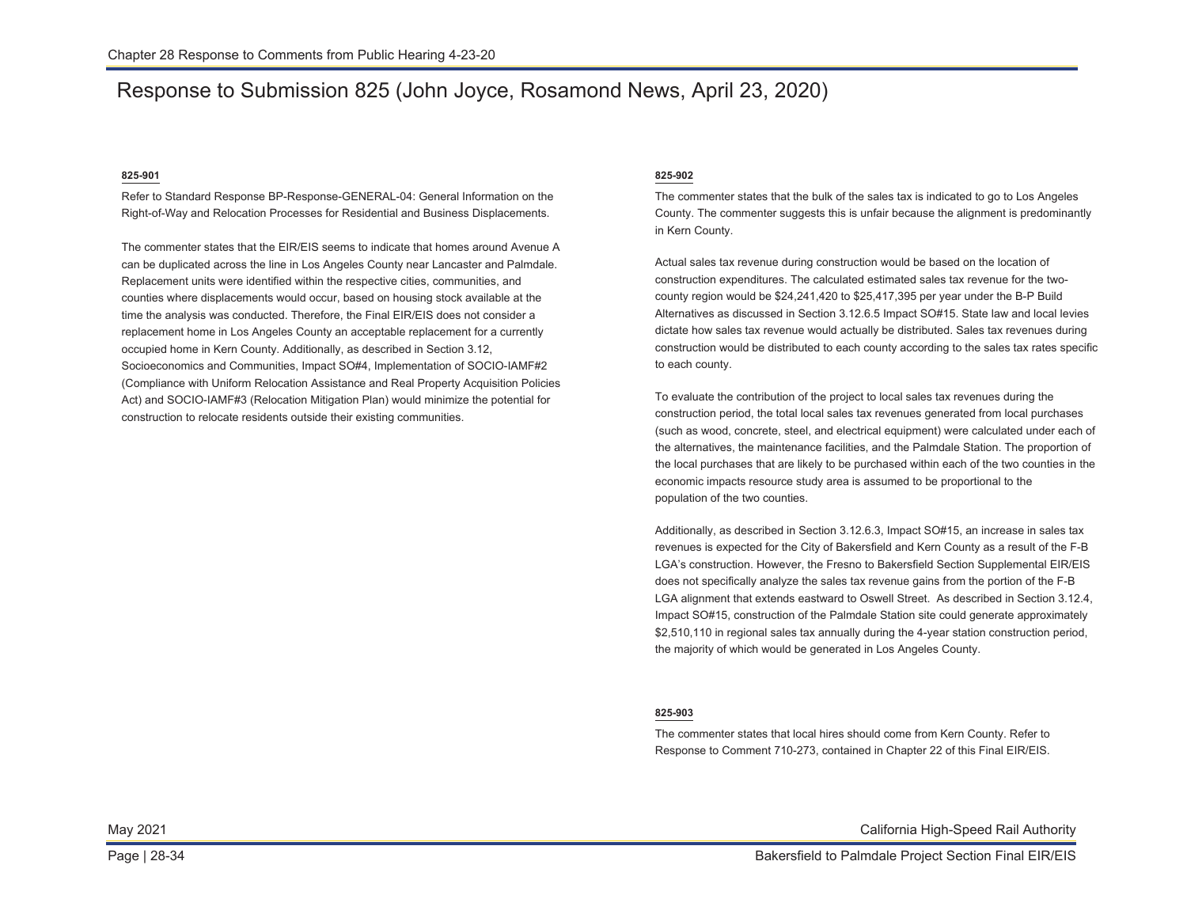### Response to Submission 825 (John Joyce, Rosamond News, April 23, 2020)

### **825-901**

Refer to Standard Response BP-Response-GENERAL-04: General Information on the Right-of-Way and Relocation Processes for Residential and Business Displacements.

The commenter states that the EIR/EIS seems to indicate that homes around Avenue A can be duplicated across the line in Los Angeles County near Lancaster and Palmdale. Replacement units were identified within the respective cities, communities, and counties where displacements would occur, based on housing stock available at the time the analysis was conducted. Therefore, the Final EIR/EIS does not consider a replacement home in Los Angeles County an acceptable replacement for a currently occupied home in Kern County. Additionally, as described in Section 3.12, Socioeconomics and Communities, Impact SO#4, Implementation of SOCIO-IAMF#2 (Compliance with Uniform Relocation Assistance and Real Property Acquisition Policies Act) and SOCIO-IAMF#3 (Relocation Mitigation Plan) would minimize the potential for construction to relocate residents outside their existing communities.

#### **825-902**

The commenter states that the bulk of the sales tax is indicated to go to Los Angeles County. The commenter suggests this is unfair because the alignment is predominantly in Kern County.

Actual sales tax revenue during construction would be based on the location of construction expenditures. The calculated estimated sales tax revenue for the twocounty region would be \$24,241,420 to \$25,417,395 per year under the B-P Build Alternatives as discussed in Section 3.12.6.5 Impact SO#15. State law and local levies dictate how sales tax revenue would actually be distributed. Sales tax revenues during construction would be distributed to each county according to the sales tax rates specific to each county.

To evaluate the contribution of the project to local sales tax revenues during the construction period, the total local sales tax revenues generated from local purchases (such as wood, concrete, steel, and electrical equipment) were calculated under each of the alternatives, the maintenance facilities, and the Palmdale Station. The proportion of the local purchases that are likely to be purchased within each of the two counties in the economic impacts resource study area is assumed to be proportional to the population of the two counties.

Additionally, as described in Section 3.12.6.3, Impact SO#15, an increase in sales tax revenues is expected for the City of Bakersfield and Kern County as a result of the F-B LGA's construction. However, the Fresno to Bakersfield Section Supplemental EIR/EIS does not specifically analyze the sales tax revenue gains from the portion of the F-B LGA alignment that extends eastward to Oswell Street. As described in Section 3.12.4, Impact SO#15, construction of the Palmdale Station site could generate approximately \$2,510,110 in regional sales tax annually during the 4-year station construction period, the majority of which would be generated in Los Angeles County.

#### **825-903**

The commenter states that local hires should come from Kern County. Refer to Response to Comment 710-273, contained in Chapter 22 of this Final EIR/EIS.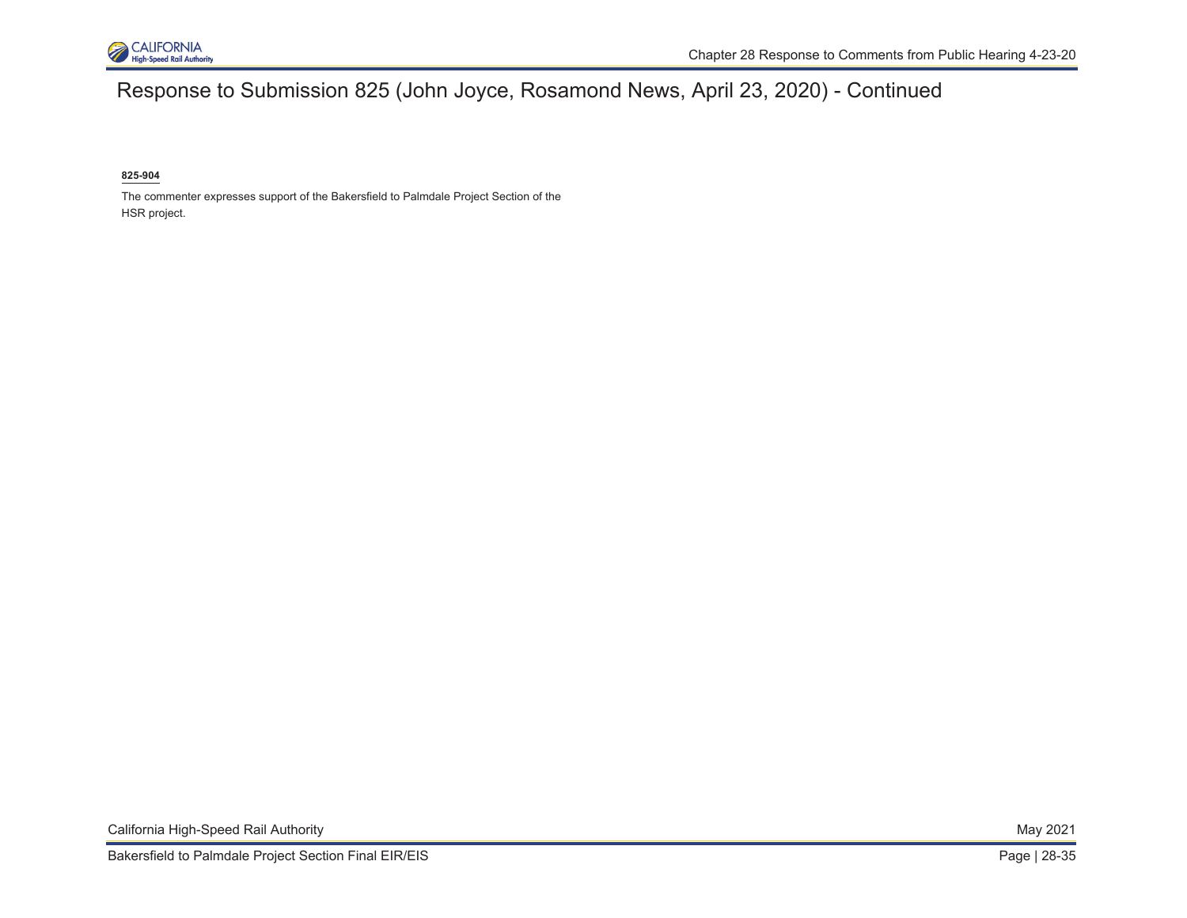

# Response to Submission 825 (John Joyce, Rosamond News, April 23, 2020) - Continued

#### **825-904**

The commenter expresses support of the Bakersfield to Palmdale Project Section of the HSR project.

California High-Speed Rail Authority **May 2021** Nav 2021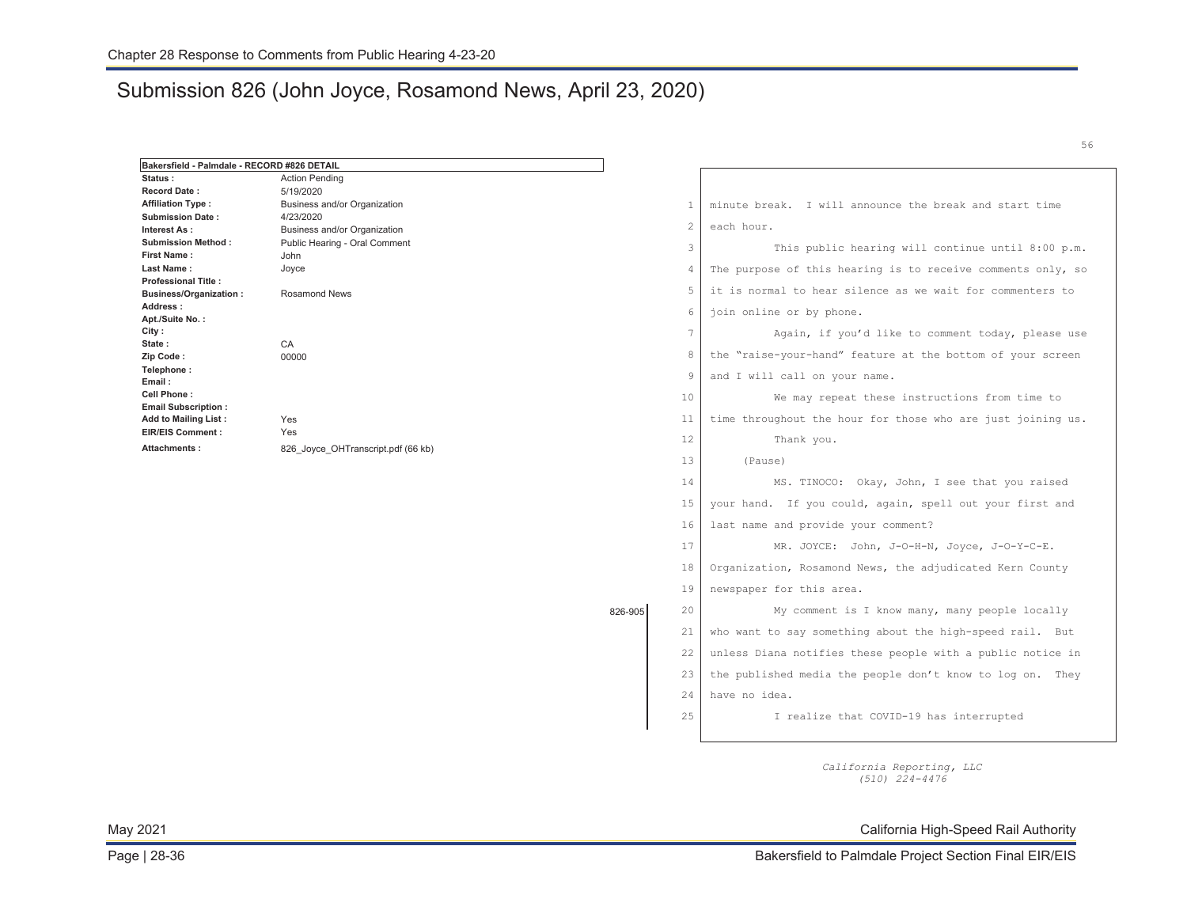### Submission 826 (John Joyce, Rosamond News, April 23, 2020)

| Bakersfield - Palmdale - RECORD #826 DETAIL |                                                  |         |                |                                                             |
|---------------------------------------------|--------------------------------------------------|---------|----------------|-------------------------------------------------------------|
| Status:                                     | <b>Action Pending</b>                            |         |                |                                                             |
| <b>Record Date:</b>                         | 5/19/2020                                        |         |                |                                                             |
| <b>Affiliation Type:</b>                    | Business and/or Organization                     |         | -1             | minute break. I will announce the break and start time      |
| <b>Submission Date:</b>                     | 4/23/2020                                        |         | $\overline{2}$ |                                                             |
| Interest As:                                | Business and/or Organization                     |         |                | each hour.                                                  |
| <b>Submission Method:</b>                   | Public Hearing - Oral Comment                    |         | 3              | This public hearing will continue until 8:00 p.m.           |
| <b>First Name:</b>                          | John                                             |         |                |                                                             |
| Last Name:<br><b>Professional Title:</b>    | Joyce                                            |         | 4              | The purpose of this hearing is to receive comments only, so |
| <b>Business/Organization:</b>               | <b>Rosamond News</b>                             |         | 5              | it is normal to hear silence as we wait for commenters to   |
| Address:                                    |                                                  |         |                |                                                             |
| Apt./Suite No.:                             |                                                  |         | 6              | join online or by phone.                                    |
| City:                                       |                                                  |         | 7              | Again, if you'd like to comment today, please use           |
| State:                                      | CA                                               |         |                |                                                             |
| Zip Code:                                   | 00000                                            |         | 8              | the "raise-your-hand" feature at the bottom of your screen  |
| Telephone:<br>Email:                        |                                                  |         | 9              | and I will call on your name.                               |
| Cell Phone:<br><b>Email Subscription:</b>   |                                                  |         | 10             | We may repeat these instructions from time to               |
| <b>Add to Mailing List:</b>                 | Yes<br>Yes<br>826 Joyce OHTranscript.pdf (66 kb) |         | 11             | time throughout the hour for those who are just joining us. |
| <b>EIR/EIS Comment:</b><br>Attachments:     |                                                  |         | 12             | Thank you.                                                  |
|                                             |                                                  |         | 13             | (Pause)                                                     |
|                                             |                                                  |         | 14             | MS. TINOCO: Okay, John, I see that you raised               |
|                                             |                                                  |         | 15             | your hand. If you could, again, spell out your first and    |
|                                             |                                                  |         | 16             | last name and provide your comment?                         |
|                                             |                                                  |         | 17             | MR. JOYCE: John, J-O-H-N, Joyce, J-O-Y-C-E.                 |
|                                             |                                                  |         | 18             | Organization, Rosamond News, the adjudicated Kern County    |
|                                             |                                                  |         | 19             | newspaper for this area.                                    |
|                                             |                                                  | 826-905 | 20             | My comment is I know many, many people locally              |
|                                             |                                                  |         | 21             | who want to say something about the high-speed rail. But    |
|                                             |                                                  |         | 22             | unless Diana notifies these people with a public notice in  |
|                                             |                                                  |         | 23             | the published media the people don't know to log on. They   |
|                                             |                                                  |         | 24             | have no idea.                                               |
|                                             |                                                  |         | 25             | I realize that COVID-19 has interrupted                     |
|                                             |                                                  |         |                |                                                             |

*California Reporting, LLC (510) 224-4476* 

May 2021 California High-Speed Rail Authority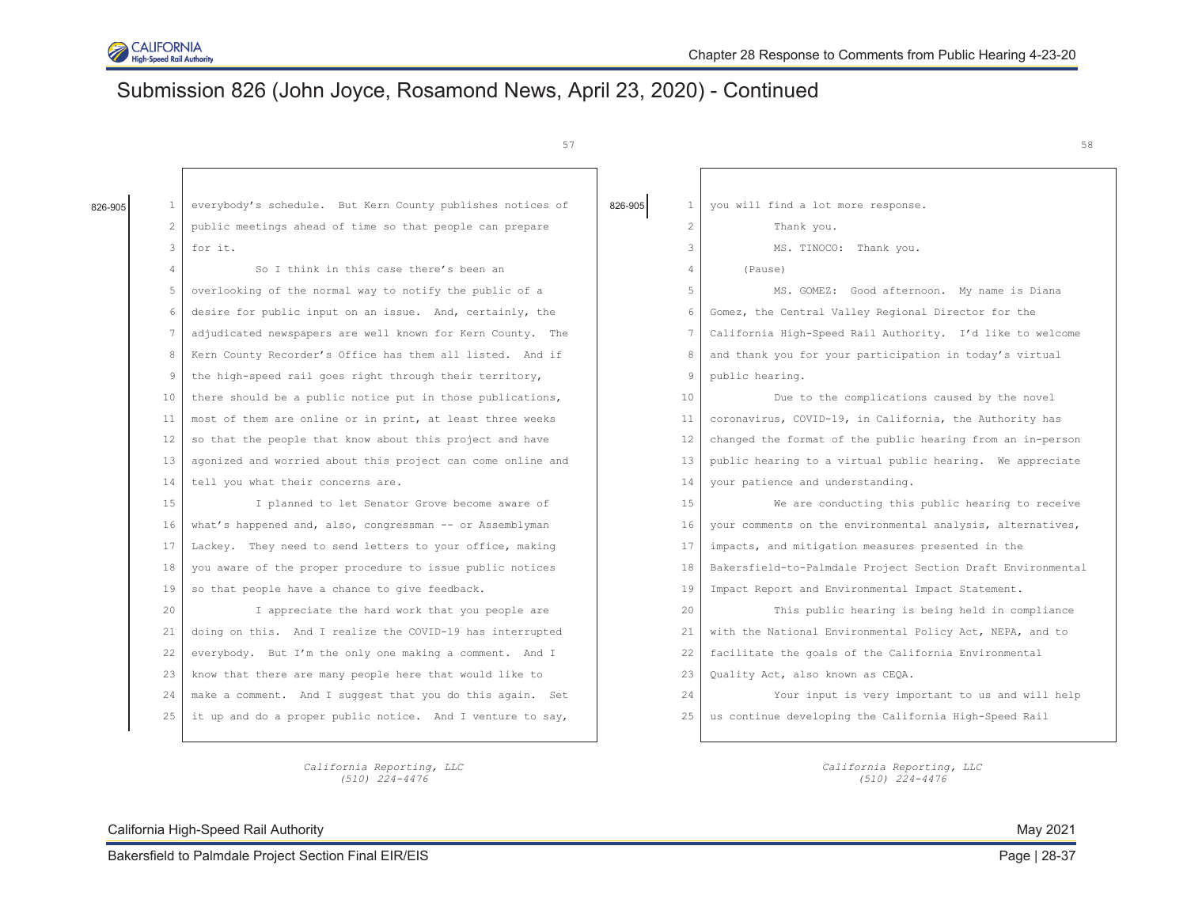

# Submission 826 (John Joyce, Rosamond News, April 23, 2020) - Continued

57

| 826-905 | 1  | everybody's schedule. But Kern County publishes notices of  | 826-905<br>$\mathbf{1}$ | you will find a lot more response.                          |
|---------|----|-------------------------------------------------------------|-------------------------|-------------------------------------------------------------|
|         | 2  | public meetings ahead of time so that people can prepare    | $\mathbf{2}$            | Thank you.                                                  |
|         | 3  | for it.                                                     | 3                       | MS. TINOCO: Thank you.                                      |
|         | 4  | So I think in this case there's been an                     | $\overline{4}$          | (Pause)                                                     |
|         | 5  | overlooking of the normal way to notify the public of a     | 5                       | MS. GOMEZ: Good afternoon. My name is Diana                 |
|         | 6  | desire for public input on an issue. And, certainly, the    | 6                       | Gomez, the Central Valley Regional Director for the         |
|         |    | adjudicated newspapers are well known for Kern County. The  | 7                       | California High-Speed Rail Authority. I'd like to welcome   |
|         | 8  | Kern County Recorder's Office has them all listed. And if   | 8                       | and thank you for your participation in today's virtual     |
|         | 9  | the high-speed rail goes right through their territory,     | 9                       | public hearing.                                             |
|         | 10 | there should be a public notice put in those publications,  | 10                      | Due to the complications caused by the novel                |
|         | 11 | most of them are online or in print, at least three weeks   | 11                      | coronavirus, COVID-19, in California, the Authority has     |
|         | 12 | so that the people that know about this project and have    | 12                      | changed the format of the public hearing from an in-person  |
|         | 13 | agonized and worried about this project can come online and | 13                      | public hearing to a virtual public hearing. We appreciate   |
|         | 14 | tell you what their concerns are.                           | 14                      | your patience and understanding.                            |
|         | 15 | I planned to let Senator Grove become aware of              | 15                      | We are conducting this public hearing to receive            |
|         | 16 | what's happened and, also, congressman -- or Assemblyman    | 16                      | your comments on the environmental analysis, alternatives,  |
|         | 17 | Lackey. They need to send letters to your office, making    | 17                      | impacts, and mitigation measures presented in the           |
|         | 18 | you aware of the proper procedure to issue public notices   | 18                      | Bakersfield-to-Palmdale Project Section Draft Environmental |
|         | 19 | so that people have a chance to give feedback.              | 19                      | Impact Report and Environmental Impact Statement.           |
|         | 20 | I appreciate the hard work that you people are              | 20                      | This public hearing is being held in compliance             |
|         | 21 | doing on this. And I realize the COVID-19 has interrupted   | 21                      | with the National Environmental Policy Act, NEPA, and to    |
|         | 22 | everybody. But I'm the only one making a comment. And I     | 22                      | facilitate the goals of the California Environmental        |
|         | 23 | know that there are many people here that would like to     | 23                      | Quality Act, also known as CEQA.                            |
|         | 24 | make a comment. And I suggest that you do this again. Set   | 24                      | Your input is very important to us and will help            |
|         | 25 | it up and do a proper public notice. And I venture to say,  | 25                      | us continue developing the California High-Speed Rail       |
|         |    |                                                             |                         |                                                             |

*California Reporting, LLC (510) 224-4476* 

*California Reporting, LLC (510) 224-4476*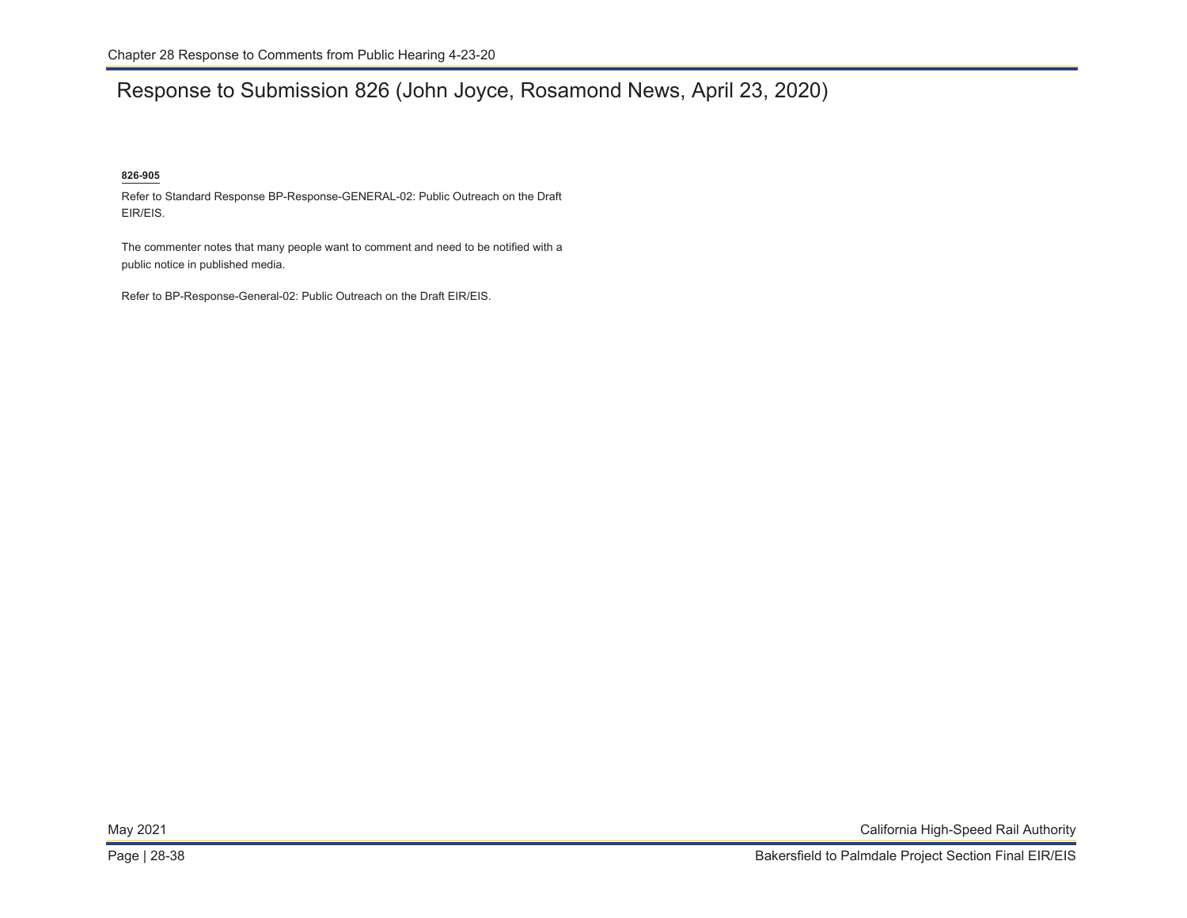# Response to Submission 826 (John Joyce, Rosamond News, April 23, 2020)

### **826-905**

Refer to Standard Response BP-Response-GENERAL-02: Public Outreach on the Draft EIR/EIS.

The commenter notes that many people want to comment and need to be notified with a public notice in published media.

Refer to BP-Response-General-02: Public Outreach on the Draft EIR/EIS.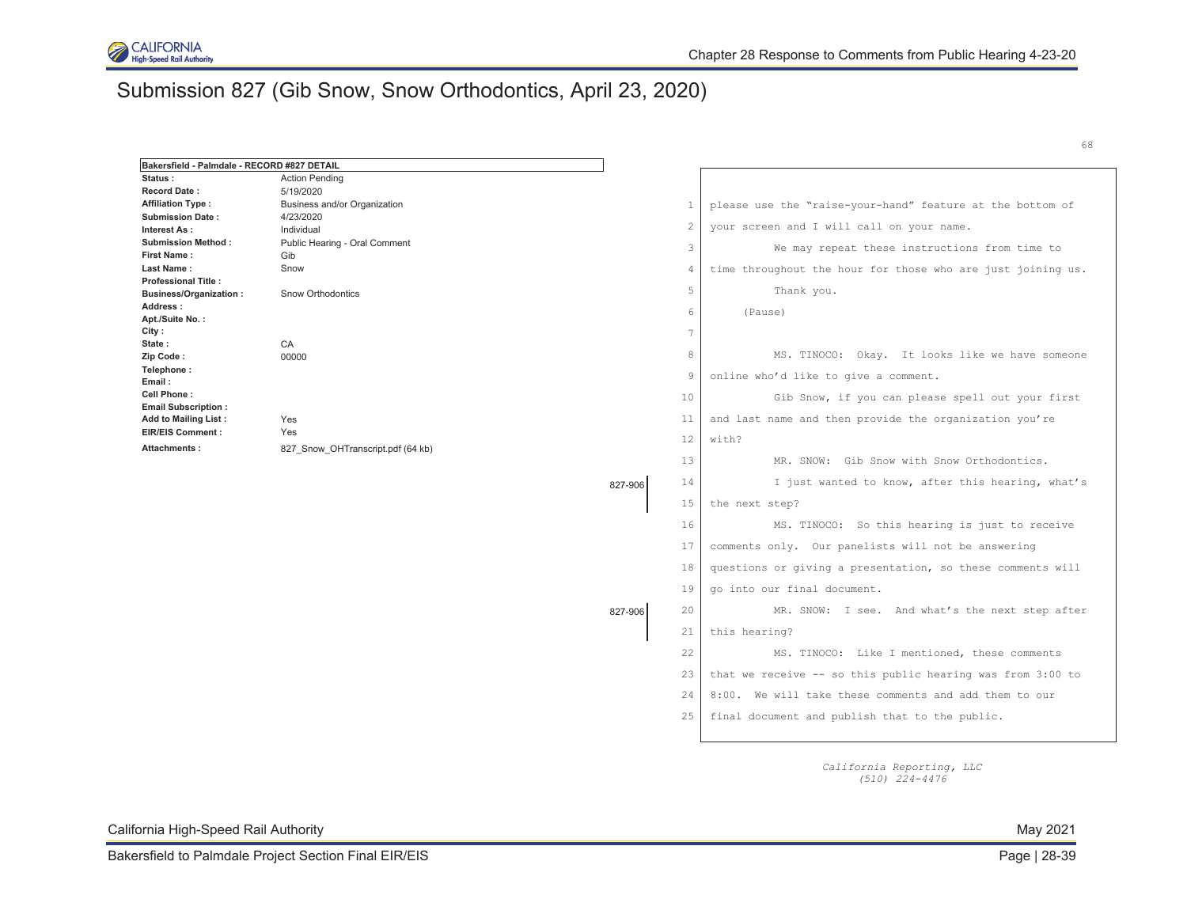

# Submission 827 (Gib Snow, Snow Orthodontics, April 23, 2020)

| Bakersfield - Palmdale - RECORD #827 DETAIL |                                   |         |                |                                                             |
|---------------------------------------------|-----------------------------------|---------|----------------|-------------------------------------------------------------|
| Status:                                     | <b>Action Pending</b>             |         |                |                                                             |
| <b>Record Date:</b>                         | 5/19/2020                         |         |                |                                                             |
| <b>Affiliation Type:</b>                    | Business and/or Organization      |         | $\mathbf{1}$   | please use the "raise-your-hand" feature at the bottom of   |
| <b>Submission Date:</b>                     | 4/23/2020                         |         | $\overline{c}$ | your screen and I will call on your name.                   |
| Interest As:                                | Individual                        |         |                |                                                             |
| <b>Submission Method:</b>                   | Public Hearing - Oral Comment     |         | 3              | We may repeat these instructions from time to               |
| <b>First Name:</b><br>Last Name:            | Gib                               |         |                |                                                             |
| <b>Professional Title:</b>                  | Snow                              |         | 4              | time throughout the hour for those who are just joining us. |
| <b>Business/Organization:</b>               | <b>Snow Orthodontics</b>          |         | 5              | Thank you.                                                  |
| Address:                                    |                                   |         |                |                                                             |
| Apt./Suite No.:                             |                                   |         | 6              | (Pause)                                                     |
| City:                                       |                                   |         | 7              |                                                             |
| State:                                      | CA                                |         |                |                                                             |
| Zip Code:                                   | 00000                             |         | 8              | MS. TINOCO: Okay. It looks like we have someone             |
| Telephone:<br>Email:                        |                                   |         | 9              | online who'd like to give a comment.                        |
| Cell Phone:<br><b>Email Subscription:</b>   |                                   |         | 10             | Gib Snow, if you can please spell out your first            |
| Add to Mailing List:                        | Yes                               |         | 11             | and last name and then provide the organization you're      |
| <b>EIR/EIS Comment:</b>                     | Yes                               |         | 12             | with?                                                       |
| Attachments:                                | 827 Snow OHTranscript.pdf (64 kb) |         | 13             |                                                             |
|                                             |                                   |         |                | MR. SNOW: Gib Snow with Snow Orthodontics.                  |
|                                             |                                   | 827-906 | 14             | I just wanted to know, after this hearing, what's           |
|                                             |                                   |         | 15             | the next step?                                              |
|                                             |                                   |         | 16             | MS. TINOCO: So this hearing is just to receive              |
|                                             |                                   |         | 17             | comments only. Our panelists will not be answering          |
|                                             |                                   |         | 18             | questions or giving a presentation, so these comments will  |
|                                             |                                   |         | 19             | go into our final document.                                 |
|                                             |                                   | 827-906 | 20             | MR. SNOW: I see. And what's the next step after             |
|                                             |                                   |         | 21             | this hearing?                                               |
|                                             |                                   |         | 22             | MS. TINOCO: Like I mentioned, these comments                |
|                                             |                                   |         | 23             | that we receive -- so this public hearing was from 3:00 to  |
|                                             |                                   |         | 24             | 8:00. We will take these comments and add them to our       |
|                                             |                                   |         | 25             | final document and publish that to the public.              |
|                                             |                                   |         |                |                                                             |

*California Reporting, LLC (510) 224-4476* 

California High-Speed Rail Authority May 2021

68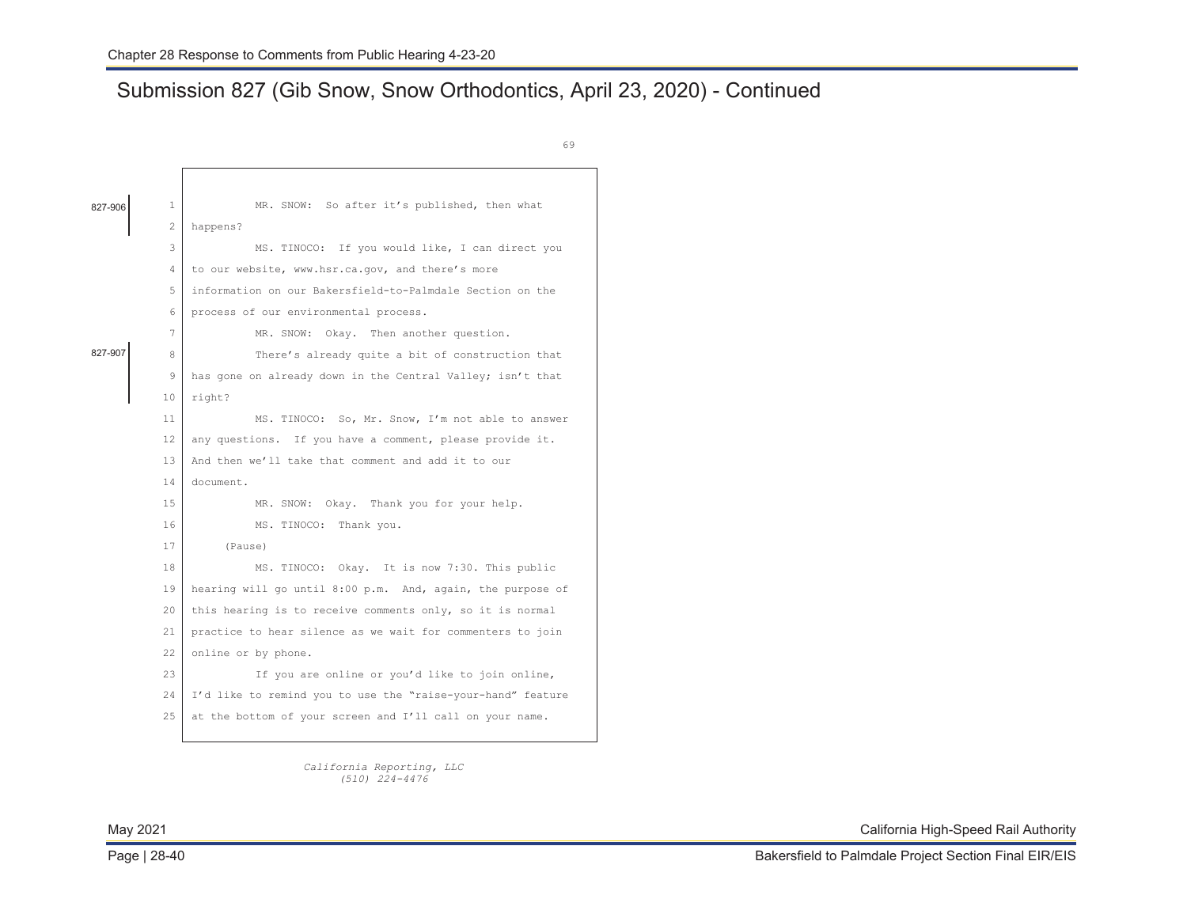# Submission 827 (Gib Snow, Snow Orthodontics, April 23, 2020) - Continued

|         |                | 69                                                          |
|---------|----------------|-------------------------------------------------------------|
|         |                |                                                             |
| 827-906 | 1.             | MR. SNOW: So after it's published, then what                |
|         | $\overline{c}$ | happens?                                                    |
|         | 3              | MS. TINOCO: If you would like, I can direct you             |
|         | 4              | to our website, www.hsr.ca.gov, and there's more            |
|         | 5              | information on our Bakersfield-to-Palmdale Section on the   |
|         | 6              | process of our environmental process.                       |
|         | 7              | MR. SNOW: Okay. Then another question.                      |
| 827-907 | 8              | There's already quite a bit of construction that            |
|         | 9              | has gone on already down in the Central Valley; isn't that  |
|         | 10             | right?                                                      |
|         | 11             | MS. TINOCO: So, Mr. Snow, I'm not able to answer            |
|         | 12             | any questions. If you have a comment, please provide it.    |
|         | 13             | And then we'll take that comment and add it to our          |
|         | 14             | document.                                                   |
|         | 1.5            | MR. SNOW: Okay. Thank you for your help.                    |
|         | 16             | Thank you.<br>MS. TINOCO:                                   |
|         | 17             | (Pause)                                                     |
|         | 18             | MS. TINOCO: Okay. It is now 7:30. This public               |
|         | 19             | hearing will go until 8:00 p.m. And, again, the purpose of  |
|         | 20             | this hearing is to receive comments only, so it is normal   |
|         | 21             | practice to hear silence as we wait for commenters to join  |
|         | 22.2           | online or by phone.                                         |
|         | 2.3            | If you are online or you'd like to join online,             |
|         | 2.4            | I'd like to remind you to use the "raise-your-hand" feature |
|         | 2.5            | at the bottom of your screen and I'll call on your name.    |
|         |                |                                                             |

*California Reporting, LLC (510) 224-4476*